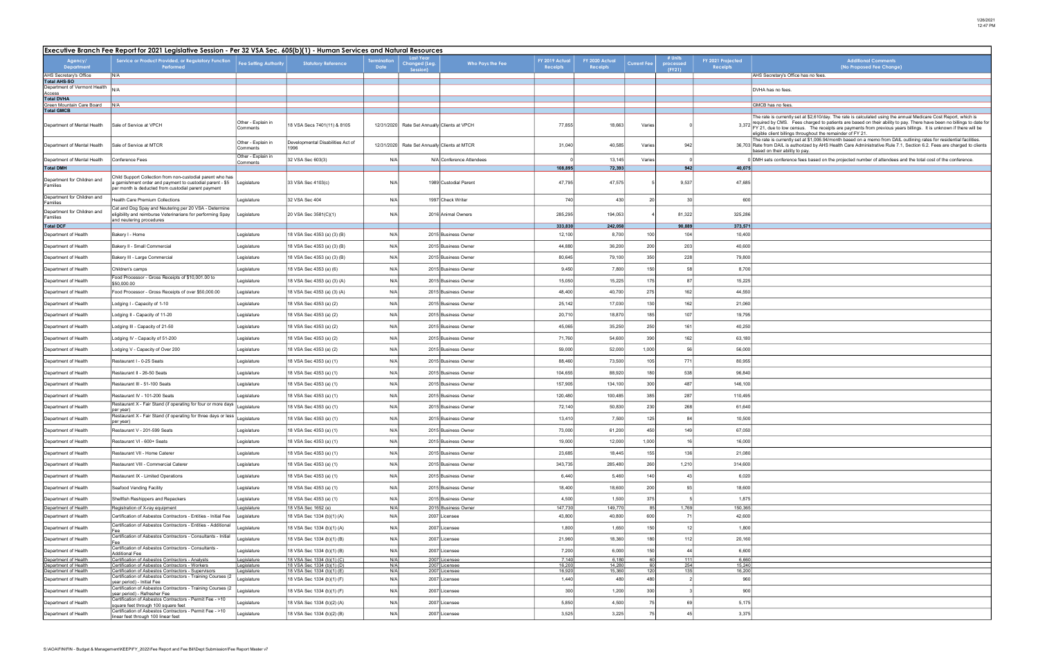┑

| <b>Additional Comments</b><br>(No Proposed Fee Change)                                                                                                                                                                                                                                                                                                                                                                                                                                                                                                                                                                                                                  |
|-------------------------------------------------------------------------------------------------------------------------------------------------------------------------------------------------------------------------------------------------------------------------------------------------------------------------------------------------------------------------------------------------------------------------------------------------------------------------------------------------------------------------------------------------------------------------------------------------------------------------------------------------------------------------|
| AHS Secretary's Office has no fees.                                                                                                                                                                                                                                                                                                                                                                                                                                                                                                                                                                                                                                     |
| DVHA has no fees.                                                                                                                                                                                                                                                                                                                                                                                                                                                                                                                                                                                                                                                       |
| GMCB has no fees.                                                                                                                                                                                                                                                                                                                                                                                                                                                                                                                                                                                                                                                       |
| The rate is currently set at \$2,610/day. The rate is calculated using the annual Medicare Cost Report, which is<br>required by CMS. Fees charged to patients are based on their ability to pay. There have been no billings to date for<br>FY 21, due to low census. The receipts are payments from previous years billings. It is unknown if there will be<br>eligible client billings throughout the remainder of FY 21.<br>The rate is currently set at \$1,006.94/month based on a memo from DAIL outlining rates for residential facilities.<br>Rate from DAIL is authorized by AHS Health Care Administrative Rule 7.1, Section 6.2. Fees are charged to clients |
| based on their ability to pay.                                                                                                                                                                                                                                                                                                                                                                                                                                                                                                                                                                                                                                          |
| DMH sets conference fees based on the projected number of attendees and the total cost of the conference.                                                                                                                                                                                                                                                                                                                                                                                                                                                                                                                                                               |
|                                                                                                                                                                                                                                                                                                                                                                                                                                                                                                                                                                                                                                                                         |
|                                                                                                                                                                                                                                                                                                                                                                                                                                                                                                                                                                                                                                                                         |
|                                                                                                                                                                                                                                                                                                                                                                                                                                                                                                                                                                                                                                                                         |
|                                                                                                                                                                                                                                                                                                                                                                                                                                                                                                                                                                                                                                                                         |
|                                                                                                                                                                                                                                                                                                                                                                                                                                                                                                                                                                                                                                                                         |
|                                                                                                                                                                                                                                                                                                                                                                                                                                                                                                                                                                                                                                                                         |
|                                                                                                                                                                                                                                                                                                                                                                                                                                                                                                                                                                                                                                                                         |
|                                                                                                                                                                                                                                                                                                                                                                                                                                                                                                                                                                                                                                                                         |
|                                                                                                                                                                                                                                                                                                                                                                                                                                                                                                                                                                                                                                                                         |
|                                                                                                                                                                                                                                                                                                                                                                                                                                                                                                                                                                                                                                                                         |
|                                                                                                                                                                                                                                                                                                                                                                                                                                                                                                                                                                                                                                                                         |
|                                                                                                                                                                                                                                                                                                                                                                                                                                                                                                                                                                                                                                                                         |
|                                                                                                                                                                                                                                                                                                                                                                                                                                                                                                                                                                                                                                                                         |
|                                                                                                                                                                                                                                                                                                                                                                                                                                                                                                                                                                                                                                                                         |
|                                                                                                                                                                                                                                                                                                                                                                                                                                                                                                                                                                                                                                                                         |
|                                                                                                                                                                                                                                                                                                                                                                                                                                                                                                                                                                                                                                                                         |
|                                                                                                                                                                                                                                                                                                                                                                                                                                                                                                                                                                                                                                                                         |
|                                                                                                                                                                                                                                                                                                                                                                                                                                                                                                                                                                                                                                                                         |
|                                                                                                                                                                                                                                                                                                                                                                                                                                                                                                                                                                                                                                                                         |
|                                                                                                                                                                                                                                                                                                                                                                                                                                                                                                                                                                                                                                                                         |
|                                                                                                                                                                                                                                                                                                                                                                                                                                                                                                                                                                                                                                                                         |
|                                                                                                                                                                                                                                                                                                                                                                                                                                                                                                                                                                                                                                                                         |
|                                                                                                                                                                                                                                                                                                                                                                                                                                                                                                                                                                                                                                                                         |
|                                                                                                                                                                                                                                                                                                                                                                                                                                                                                                                                                                                                                                                                         |
|                                                                                                                                                                                                                                                                                                                                                                                                                                                                                                                                                                                                                                                                         |
|                                                                                                                                                                                                                                                                                                                                                                                                                                                                                                                                                                                                                                                                         |
|                                                                                                                                                                                                                                                                                                                                                                                                                                                                                                                                                                                                                                                                         |
|                                                                                                                                                                                                                                                                                                                                                                                                                                                                                                                                                                                                                                                                         |
|                                                                                                                                                                                                                                                                                                                                                                                                                                                                                                                                                                                                                                                                         |
|                                                                                                                                                                                                                                                                                                                                                                                                                                                                                                                                                                                                                                                                         |
|                                                                                                                                                                                                                                                                                                                                                                                                                                                                                                                                                                                                                                                                         |
|                                                                                                                                                                                                                                                                                                                                                                                                                                                                                                                                                                                                                                                                         |
|                                                                                                                                                                                                                                                                                                                                                                                                                                                                                                                                                                                                                                                                         |
|                                                                                                                                                                                                                                                                                                                                                                                                                                                                                                                                                                                                                                                                         |
|                                                                                                                                                                                                                                                                                                                                                                                                                                                                                                                                                                                                                                                                         |
|                                                                                                                                                                                                                                                                                                                                                                                                                                                                                                                                                                                                                                                                         |
|                                                                                                                                                                                                                                                                                                                                                                                                                                                                                                                                                                                                                                                                         |
|                                                                                                                                                                                                                                                                                                                                                                                                                                                                                                                                                                                                                                                                         |

|                                                  | Executive Branch Fee Report for 2021 Legislative Session - Per 32 VSA Sec. 605(b)(1) - Human Services and Natural Resources                                                    |                                |                                                          |             |                                               |                                |                            |                            |                    |                                |                                      |                                                                                                                                                                                                                                                                                                                                                                                                                  |  |
|--------------------------------------------------|--------------------------------------------------------------------------------------------------------------------------------------------------------------------------------|--------------------------------|----------------------------------------------------------|-------------|-----------------------------------------------|--------------------------------|----------------------------|----------------------------|--------------------|--------------------------------|--------------------------------------|------------------------------------------------------------------------------------------------------------------------------------------------------------------------------------------------------------------------------------------------------------------------------------------------------------------------------------------------------------------------------------------------------------------|--|
| Agency/<br><b>Department</b>                     | Service or Product Provided, or Regulatory Function<br>Performed                                                                                                               | <b>Fee Setting Authority</b>   | <b>Statutory Reference</b>                               | <b>Date</b> | <b>Last Year</b><br>Changed (Leg.<br>Session) | Who Pays the Fee               | FY 2019 Actual<br>Receipts | FY 2020 Actual<br>Receipts | <b>Current Fee</b> | # Units<br>processed<br>(FY21) | FY 2021 Projected<br><b>Receipts</b> | <b>Additional Comments</b><br>(No Proposed Fee Change)                                                                                                                                                                                                                                                                                                                                                           |  |
| AHS Secretary's Office<br><b>Total AHS-SO</b>    | N/A                                                                                                                                                                            |                                |                                                          |             |                                               |                                |                            |                            |                    |                                |                                      | AHS Secretary's Office has no fees                                                                                                                                                                                                                                                                                                                                                                               |  |
| Department of Vermont Health                     | N/A                                                                                                                                                                            |                                |                                                          |             |                                               |                                |                            |                            |                    |                                |                                      | DVHA has no fees                                                                                                                                                                                                                                                                                                                                                                                                 |  |
| Access<br><b>Total DVHA</b>                      |                                                                                                                                                                                |                                |                                                          |             |                                               |                                |                            |                            |                    |                                |                                      |                                                                                                                                                                                                                                                                                                                                                                                                                  |  |
| Green Mountain Care Board                        | N/A                                                                                                                                                                            |                                |                                                          |             |                                               |                                |                            |                            |                    |                                |                                      | GMCB has no fees.                                                                                                                                                                                                                                                                                                                                                                                                |  |
| <b>Total GMCB</b><br>Department of Mental Health | Sale of Service at VPCH                                                                                                                                                        | Other - Explain in<br>Comments | 18 VSA Secs 7401(11) & 8105                              |             | 12/31/2020 Rate Set Annually Clients at VPCH  |                                | 77,855                     | 18,663                     | Varies             |                                |                                      | The rate is currently set at \$2,610/day. The rate is calculated using the annual Medicare Cost Report, which<br>required by CMS. Fees charged to patients are based on their ability to pay. There have been no billings to<br>3,372 FY 21, due to low census. The receipts are payments from previous years billings. It is unknown if there wi<br>eligible client billings throughout the remainder of FY 21. |  |
| Department of Mental Health                      | Sale of Service at MTCR                                                                                                                                                        | Other - Explain in<br>Comments | Developmental Disabilities Act of<br>1996                |             | 12/31/2020 Rate Set Annually Clients at MTCR  |                                | 31,040                     | 40,585                     | Varies             | 942                            |                                      | The rate is currently set at \$1,006.94/month based on a memo from DAIL outlining rates for residential facilit<br>36,703 Rate from DAIL is authorized by AHS Health Care Administrative Rule 7.1, Section 6.2. Fees are charged to<br>based on their ability to pay.                                                                                                                                            |  |
| Department of Mental Health                      | Conference Fees                                                                                                                                                                | Other - Explain in<br>Comments | 32 VSA Sec 603(3)                                        | N/A         |                                               | N/A Conference Attendees       |                            | 13,145                     | Varies             |                                |                                      | 0 DMH sets conference fees based on the projected number of attendees and the total cost of the conference.                                                                                                                                                                                                                                                                                                      |  |
| <b>Total DMH</b>                                 |                                                                                                                                                                                |                                |                                                          |             |                                               |                                | 108,895                    | 72,393                     |                    | 942                            | 40,075                               |                                                                                                                                                                                                                                                                                                                                                                                                                  |  |
| Department for Children and<br>Families          | Child Support Collection from non-custodial parent who has<br>a garnishment order and payment to custodial parent - \$5<br>per month is deducted from custodial parent payment | Legislature                    | 33 VSA Sec 4103(c)                                       | N/A         |                                               | 1989 Custodial Parent          | 47,795                     | 47,575                     |                    | 9,537                          | 47,685                               |                                                                                                                                                                                                                                                                                                                                                                                                                  |  |
| Department for Children and<br>Families          | <b>Health Care Premium Collections</b>                                                                                                                                         | Legislature                    | 32 VSA Sec 404                                           | N/A         |                                               | 1997 Check Writer              | 740                        | 430                        |                    | 30                             | 600                                  |                                                                                                                                                                                                                                                                                                                                                                                                                  |  |
| Department for Children and<br>Families          | Cat and Dog Spay and Neutering per 20 VSA - Determine<br>eligibility and reimburse Veterinarians for performing Spay<br>and neutering procedures                               | Legislature                    | 20 VSA Sec 3581(C)(1)                                    | N/A         |                                               | 2016 Animal Owners             | 285,295                    | 194,053                    |                    | 81,322                         | 325,286                              |                                                                                                                                                                                                                                                                                                                                                                                                                  |  |
| <b>Total DCF</b>                                 |                                                                                                                                                                                |                                |                                                          |             |                                               |                                | 333,830                    | 242,058                    |                    | 90,889                         | 373,571                              |                                                                                                                                                                                                                                                                                                                                                                                                                  |  |
| Department of Health                             | Bakery I - Home                                                                                                                                                                | Legislature                    | 18 VSA Sec 4353 (a) (3) (B)                              | N/A         |                                               | 2015 Business Owner            | 12,100                     | 8,700                      | 100                | 104                            | 10,400                               |                                                                                                                                                                                                                                                                                                                                                                                                                  |  |
| Department of Health                             | Bakery II - Small Commercial                                                                                                                                                   | Legislature                    | 18 VSA Sec 4353 (a) (3) (B)                              | N/A         |                                               | 2015 Business Owner            | 44,880                     | 36,200                     | 200                | 203                            | 40,600                               |                                                                                                                                                                                                                                                                                                                                                                                                                  |  |
| Department of Health                             | Bakery III - Large Commercial                                                                                                                                                  | Legislature                    | 18 VSA Sec 4353 (a) (3) (B)                              | N/A         |                                               | 2015 Business Owner            | 80,645                     | 79,100                     | 350                | 228                            | 79,800                               |                                                                                                                                                                                                                                                                                                                                                                                                                  |  |
| Department of Health                             | Children's camps                                                                                                                                                               | Legislature                    | 18 VSA Sec 4353 (a) (6)                                  | N/A         |                                               | 2015 Business Owner            | 9,450                      | 7,800                      | 150                |                                | 8,700                                |                                                                                                                                                                                                                                                                                                                                                                                                                  |  |
| Department of Health                             | Food Processor - Gross Receipts of \$10,001.00 to<br>\$50.000.00                                                                                                               | Legislature                    | 18 VSA Sec 4353 (a) (3) (A)                              | N/A         |                                               | 2015 Business Owner            | 15,050                     | 15,225                     | 175                |                                | 15,225                               |                                                                                                                                                                                                                                                                                                                                                                                                                  |  |
| Department of Health                             | Food Processor - Gross Receipts of over \$50,000.00                                                                                                                            | Legislature                    | 18 VSA Sec 4353 (a) (3) (A)                              | N/A         |                                               | 2015 Business Owner            | 48,400                     | 40,700                     | 275                | 162                            | 44,550                               |                                                                                                                                                                                                                                                                                                                                                                                                                  |  |
| Department of Health                             | Lodging I - Capacity of 1-10                                                                                                                                                   | Legislature                    | 18 VSA Sec 4353 (a) (2)                                  | N/A         |                                               | 2015 Business Owner            | 25,142                     | 17,030                     | 130 <sup>1</sup>   | 162                            | 21,060                               |                                                                                                                                                                                                                                                                                                                                                                                                                  |  |
| Department of Health                             | Lodging II - Capacity of 11-20                                                                                                                                                 | Legislature                    | 18 VSA Sec 4353 (a) (2)                                  | N/A         |                                               | 2015 Business Owner            | 20,710                     | 18,870                     | 185                | 107                            | 19,795                               |                                                                                                                                                                                                                                                                                                                                                                                                                  |  |
| Department of Health                             | odging III - Capacity of 21-50.                                                                                                                                                | Legislature                    | 18 VSA Sec 4353 (a) (2)                                  | N/A         |                                               | 2015 Business Owner            | 45,065                     | 35,250                     | 250                | 161                            | 40,250                               |                                                                                                                                                                                                                                                                                                                                                                                                                  |  |
| Department of Health                             | Lodging IV - Capacity of 51-200                                                                                                                                                | Legislature                    | 18 VSA Sec 4353 (a) (2)                                  | N/A         |                                               | 2015 Business Owner            | 71,760                     | 54,600                     | 390                | 162                            | 63,180                               |                                                                                                                                                                                                                                                                                                                                                                                                                  |  |
| Department of Health                             | Lodging V - Capacity of Over 200                                                                                                                                               | Legislature                    | 18 VSA Sec 4353 (a) (2)                                  | N/A         |                                               | 2015 Business Owner            | 59,000                     | 52,000                     | 1,000              |                                | 56,000                               |                                                                                                                                                                                                                                                                                                                                                                                                                  |  |
| Department of Health                             | Restaurant I - 0-25 Seats                                                                                                                                                      | Legislature                    | 18 VSA Sec 4353 (a) (1)                                  | N/A         |                                               | 2015 Business Owner            | 88,460                     | 73,500                     | 105                | 771                            | 80,955                               |                                                                                                                                                                                                                                                                                                                                                                                                                  |  |
| Department of Health                             | Restaurant II - 26-50 Seats                                                                                                                                                    | Legislature                    | 18 VSA Sec 4353 (a) (1)                                  | N/A         |                                               | 2015 Business Owner            | 104,655                    | 88,920                     | 180                | 538                            | 96,840                               |                                                                                                                                                                                                                                                                                                                                                                                                                  |  |
| Department of Health                             | Restaurant III - 51-100 Seats                                                                                                                                                  | Legislature                    | 18 VSA Sec 4353 (a) (1)                                  | N/A         |                                               | 2015 Business Owner            | 157,905                    | 134,100                    | 300                | 487                            | 146,100                              |                                                                                                                                                                                                                                                                                                                                                                                                                  |  |
| Department of Health                             | Restaurant IV - 101-200 Seats                                                                                                                                                  | Legislature                    | 18 VSA Sec 4353 (a) (1)                                  | N/A         |                                               | 2015 Business Owner            | 120,480                    | 100,485                    | 385                | 287                            | 110,495                              |                                                                                                                                                                                                                                                                                                                                                                                                                  |  |
| Department of Health                             | Restaurant X - Fair Stand (if operating for four or more days Legislature<br>per year)                                                                                         |                                | 18 VSA Sec 4353 (a) (1)                                  | N/A         |                                               | 2015 Business Owner            | 72,140                     | 50,830                     | 230                | 268                            | 61,640                               |                                                                                                                                                                                                                                                                                                                                                                                                                  |  |
| Department of Health                             | Restaurant X - Fair Stand (if operating for three days or less  <br>per year)                                                                                                  | Legislature                    | 18 VSA Sec 4353 (a) (1)                                  | N/A         |                                               | 2015 Business Owner            | 13,410                     | 7,500                      |                    |                                | 10,500                               |                                                                                                                                                                                                                                                                                                                                                                                                                  |  |
| Department of Health                             | Restaurant V - 201-599 Seats                                                                                                                                                   | Legislature                    | 18 VSA Sec 4353 (a) (1)                                  | N/A         |                                               | 2015 Business Owner            | 73,000                     | 61,200                     | 450                | 149                            | 67,050                               |                                                                                                                                                                                                                                                                                                                                                                                                                  |  |
| Department of Health                             | Restaurant VI - 600+ Seats                                                                                                                                                     | Legislature                    | 18 VSA Sec 4353 (a) (1)                                  | N/A         |                                               | 2015 Business Owner            | 19,000                     | 12,000                     | 1,000              |                                | 16,000                               |                                                                                                                                                                                                                                                                                                                                                                                                                  |  |
| Department of Health                             | Restaurant VII - Home Caterer                                                                                                                                                  | Legislature                    | 18 VSA Sec 4353 (a) (1)                                  | N/A         |                                               | 2015 Business Owner            | 23,685                     | 18,445                     | 155                | 136                            | 21,080                               |                                                                                                                                                                                                                                                                                                                                                                                                                  |  |
| Department of Health                             | Restaurant VIII - Commercial Caterer                                                                                                                                           | Legislature                    | 18 VSA Sec 4353 (a) (1)                                  | N/A         |                                               | 2015 Business Owner            | 343,735                    | 285,480                    | 260                | 1,210                          | 314,600                              |                                                                                                                                                                                                                                                                                                                                                                                                                  |  |
| Department of Health                             | Restaurant IX - Limited Operations                                                                                                                                             | Legislature                    | 18 VSA Sec 4353 (a) (1)                                  | N/A         |                                               | 2015 Business Owner            | 6,440                      | 5,460                      | 140                |                                | 6,020                                |                                                                                                                                                                                                                                                                                                                                                                                                                  |  |
| Department of Health                             | Seafood Vending Facility                                                                                                                                                       | Legislature                    | 18 VSA Sec 4353 (a) (1)                                  | N/A         |                                               | 2015 Business Owner            | 18,400                     | 18,600                     | 200                |                                | 18,600                               |                                                                                                                                                                                                                                                                                                                                                                                                                  |  |
| Department of Health                             | Shellfish Reshippers and Repackers                                                                                                                                             | Legislature                    | 18 VSA Sec 4353 (a) (1)                                  | N/A         |                                               | 2015 Business Owner            | 4,500                      | 1,500                      | 375                |                                | 1,875                                |                                                                                                                                                                                                                                                                                                                                                                                                                  |  |
| Department of Health                             | Registration of X-ray equipment                                                                                                                                                | Legislature                    | 18 VSA Sec 1652 (e)                                      | N/A         |                                               | 2015 Business Owner            | 147.730                    | 149.770                    | 85                 | 1.769                          | 150.365                              |                                                                                                                                                                                                                                                                                                                                                                                                                  |  |
| Department of Health                             | Certification of Asbestos Contractors - Entities - Initial Fee<br>Certification of Asbestos Contractors - Entities - Additional                                                | Legislature                    | 18 VSA Sec 1334 (b)(1) (A)                               | N/A         |                                               | 2007 Licensee                  | 43,800                     | 40,800                     | 600                |                                | 42,600                               |                                                                                                                                                                                                                                                                                                                                                                                                                  |  |
| Department of Health                             | Certification of Asbestos Contractors - Consultants - Initial                                                                                                                  | Legislature                    | 18 VSA Sec 1334 (b)(1) (A)                               | N/A         |                                               | 2007 Licensee                  | 1,800                      | 1,650                      | 150                |                                | 1,800                                |                                                                                                                                                                                                                                                                                                                                                                                                                  |  |
| Department of Health                             | Certification of Asbestos Contractors - Consultants -                                                                                                                          | Legislature                    | 18 VSA Sec 1334 (b)(1) (B)                               | N/A         |                                               | 2007 Licensee                  | 21,960                     | 18,360                     | 180 <sup>1</sup>   | 112                            | 20,160                               |                                                                                                                                                                                                                                                                                                                                                                                                                  |  |
| Department of Health<br>Department of Health     | <b>Additional Fee</b><br>Certification of Asbestos Contractors - Analysts                                                                                                      | Legislature<br>Legislature     | 18 VSA Sec 1334 (b)(1) (B)<br>18 VSA Sec 1334 (b)(1) (C) | N/A<br>N/A  |                                               | 2007 Licensee<br>2007 Licensee | 7,200<br>7,140             | 6,000<br>6,180             | 150                | 111                            | 6,600<br>6,660                       |                                                                                                                                                                                                                                                                                                                                                                                                                  |  |
| Department of Health                             | Certification of Asbestos Contractors - Workers                                                                                                                                | Legislature                    | 18 VSA Sec 1334 (b)(1) (D)                               | N/A         |                                               | 2007 Licensee                  | 16,200                     | 14,280                     | 60                 | 254                            | 15,240                               |                                                                                                                                                                                                                                                                                                                                                                                                                  |  |
| Department of Health                             | Certification of Asbestos Contractors - Supervisors<br>Certification of Asbestos Contractors - Training Courses (2                                                             | Legislature                    | 18 VSA Sec 1334 (b)(1) (E)                               | N/A         |                                               | 2007 Licensee                  | 16,920                     | 15,360                     | 120                | 135 l                          | 16,200                               |                                                                                                                                                                                                                                                                                                                                                                                                                  |  |
| Department of Health                             | year period) - Initial Fee<br>Certification of Asbestos Contractors - Training Courses (2                                                                                      | Legislature                    | 18 VSA Sec 1334 (b)(1) (F)                               | N/A         |                                               | 2007 Licensee                  | 1,440                      | 480                        | 480                |                                | 960                                  |                                                                                                                                                                                                                                                                                                                                                                                                                  |  |
| Department of Health                             | year period) - Refresher Fee<br>Certification of Asbestos Contractors - Permit Fee - >10                                                                                       | Legislature                    | 18 VSA Sec 1334 (b)(1) (F)                               | N/A         |                                               | 2007 Licensee                  | 300                        | 1,200                      | 300                |                                | 900                                  |                                                                                                                                                                                                                                                                                                                                                                                                                  |  |
| Department of Health                             | square feet through 100 square feet<br>Certification of Asbestos Contractors - Permit Fee - >10                                                                                | Legislature                    | 18 VSA Sec 1334 (b)(2) (A)                               | N/A         |                                               | 2007 Licensee                  | 5,850                      | 4,500                      |                    | 69                             | 5,175                                |                                                                                                                                                                                                                                                                                                                                                                                                                  |  |
| Department of Health                             | linear feet through 100 linear feet                                                                                                                                            | Legislature                    | 18 VSA Sec 1334 (b)(2) (B)                               | N/A         |                                               | 2007 Licensee                  | 3,525                      | 3,225                      |                    | 45                             | 3,375                                |                                                                                                                                                                                                                                                                                                                                                                                                                  |  |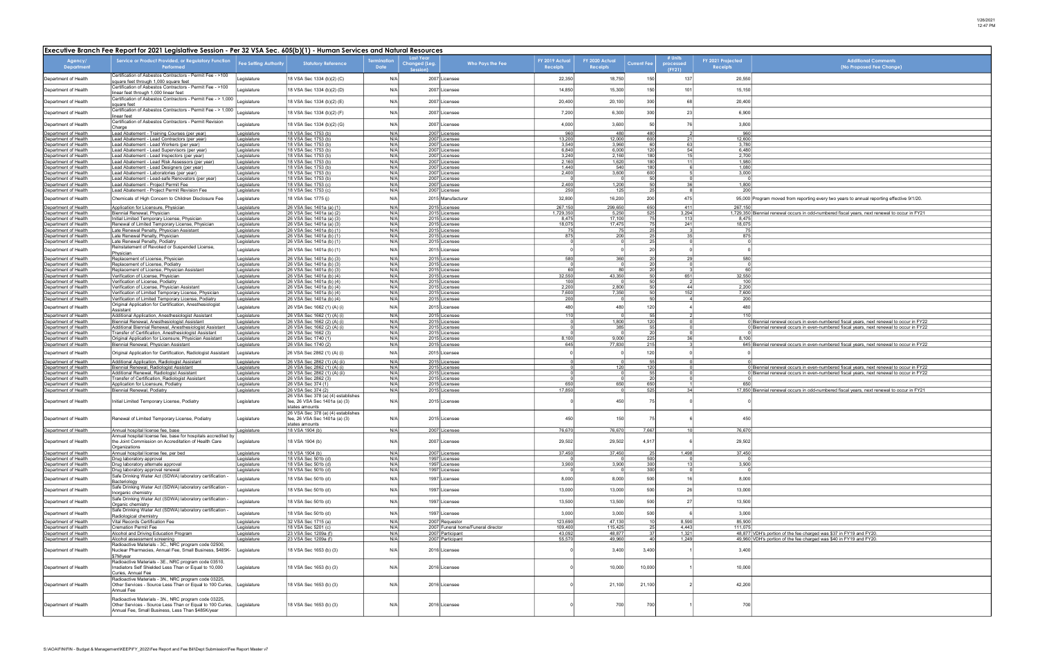| <b>Additional Comments</b>                                                                                                                                           |
|----------------------------------------------------------------------------------------------------------------------------------------------------------------------|
| (No Proposed Fee Change)                                                                                                                                             |
|                                                                                                                                                                      |
|                                                                                                                                                                      |
|                                                                                                                                                                      |
|                                                                                                                                                                      |
|                                                                                                                                                                      |
|                                                                                                                                                                      |
|                                                                                                                                                                      |
|                                                                                                                                                                      |
|                                                                                                                                                                      |
|                                                                                                                                                                      |
|                                                                                                                                                                      |
|                                                                                                                                                                      |
| ram moved from reporting every two years to annual reporting effective 9/1/20.                                                                                       |
|                                                                                                                                                                      |
| nial renewal occurs in odd-numbered fiscal years, next renewal to occur in FY21                                                                                      |
|                                                                                                                                                                      |
|                                                                                                                                                                      |
|                                                                                                                                                                      |
|                                                                                                                                                                      |
|                                                                                                                                                                      |
|                                                                                                                                                                      |
|                                                                                                                                                                      |
|                                                                                                                                                                      |
|                                                                                                                                                                      |
|                                                                                                                                                                      |
| nial renewal occurs in even-numbered fiscal years, next renewal to occur in FY22                                                                                     |
| nial renewal occurs in even-numbered fiscal years, next renewal to occur in FY22                                                                                     |
| nial renewal occurs in even-numbered fiscal years, next renewal to occur in FY22                                                                                     |
|                                                                                                                                                                      |
|                                                                                                                                                                      |
|                                                                                                                                                                      |
| nial renewal occurs in even-numbered fiscal years, next renewal to occur in FY22<br>nial renewal occurs in even-numbered fiscal years, next renewal to occur in FY22 |
|                                                                                                                                                                      |
| nial renewal occurs in odd-numbered fiscal years, next renewal to occur in FY21                                                                                      |
|                                                                                                                                                                      |
|                                                                                                                                                                      |
|                                                                                                                                                                      |
|                                                                                                                                                                      |
|                                                                                                                                                                      |
|                                                                                                                                                                      |
|                                                                                                                                                                      |
|                                                                                                                                                                      |
|                                                                                                                                                                      |
|                                                                                                                                                                      |
|                                                                                                                                                                      |
|                                                                                                                                                                      |
|                                                                                                                                                                      |
|                                                                                                                                                                      |
| 's portion of the fee charged was \$37 in FY19 and FY20.                                                                                                             |
| 's portion of the fee charged was \$40 in FY19 and FY20.                                                                                                             |
|                                                                                                                                                                      |
|                                                                                                                                                                      |
|                                                                                                                                                                      |
|                                                                                                                                                                      |
|                                                                                                                                                                      |
|                                                                                                                                                                      |
|                                                                                                                                                                      |

| Executive Branch Fee Report for 2021 Legislative Session - Per 32 VSA Sec. 605(b)(1) - Human Services and Natural Resources |                                                                                                                                                                        |                              |                                                                                       |                   |                                       |                                      |                            |                                   |                    |                                |                               |                                                                                                                                                                              |
|-----------------------------------------------------------------------------------------------------------------------------|------------------------------------------------------------------------------------------------------------------------------------------------------------------------|------------------------------|---------------------------------------------------------------------------------------|-------------------|---------------------------------------|--------------------------------------|----------------------------|-----------------------------------|--------------------|--------------------------------|-------------------------------|------------------------------------------------------------------------------------------------------------------------------------------------------------------------------|
| Agency/<br>Department                                                                                                       | Service or Product Provided, or Regulatory Function<br>Performed                                                                                                       | <b>Fee Setting Authority</b> | <b>Statutory Reference</b>                                                            | rmination<br>Date | Last Year<br>Changed (Leg.<br>Session | Who Pays the Fee                     | FY 2019 Actual<br>Receipts | FY 2020 Actual<br><b>Receipts</b> | <b>Current Fee</b> | # Units<br>processed<br>(FY21) | FY 2021 Projected<br>Receipts | <b>Additional Comments</b><br>(No Proposed Fee Change)                                                                                                                       |
| Department of Health                                                                                                        | Certification of Asbestos Contractors - Permit Fee - >100<br>square feet through 1,000 square feet                                                                     | Legislature                  | 18 VSA Sec 1334 (b)(2) (C)                                                            | N/A               |                                       | 2007 Licensee                        | 22,350                     | 18,750                            | 150                | 137                            | 20,550                        |                                                                                                                                                                              |
| Department of Health                                                                                                        | Certification of Asbestos Contractors - Permit Fee - >100<br>linear feet through 1,000 linear feet                                                                     | Legislature                  | 18 VSA Sec 1334 (b)(2) (D)                                                            | N/A               |                                       | 2007 Licensee                        | 14,850                     | 15,300                            | 150                | 101                            | 15,150                        |                                                                                                                                                                              |
| Department of Health                                                                                                        | Certification of Asbestos Contractors - Permit Fee - > 1,000<br>square feet                                                                                            | Legislature                  | 18 VSA Sec 1334 (b)(2) (E)                                                            | N/A               |                                       | 2007 Licensee                        | 20,400                     | 20,100                            | 300                | 68                             | 20,400                        |                                                                                                                                                                              |
| Department of Health                                                                                                        | Certification of Asbestos Contractors - Permit Fee - > 1,000<br>linear feet                                                                                            | Legislature                  | 18 VSA Sec 1334 (b)(2) (F)                                                            | N/A               |                                       | 2007 Licensee                        | 7,200                      | 6,300                             | 300                | 23                             | 6,900                         |                                                                                                                                                                              |
| Department of Health                                                                                                        | Certification of Asbestos Contractors - Permit Revision<br>Charge                                                                                                      | Legislature                  | 18 VSA Sec 1334 (b)(2) (G)                                                            | N/A               |                                       | 2007 Licensee                        | 4,000                      | 3,600                             | 50                 | 76                             | 3,800                         |                                                                                                                                                                              |
| Department of Health<br>Department of Health                                                                                | ead Abatement - Training Courses (per year)<br>ead Abatement - Lead Contractors (per year)                                                                             | Legislature<br>Legislature   | 18 VSA Sec 1753 (b)<br>18 VSA Sec 1753 (b)                                            | N/A<br>N/A        |                                       | 2007 Licensee<br>2007 Licensee       | 960<br>13,200              | 480<br>12,000                     | 480<br>600         | 21                             | 960<br>12,600                 |                                                                                                                                                                              |
| Department of Health                                                                                                        | ead Abatement - Lead Workers (per year)                                                                                                                                | Legislature                  | 18 VSA Sec 1753 (b)                                                                   | N/A               |                                       | 2007 Licensee                        | 3,540                      | 3,960                             | 60                 | 63                             | 3,780                         |                                                                                                                                                                              |
| Department of Health<br>Department of Health                                                                                | ead Abatement - Lead Supervisors (per year)<br>ead Abatement - Lead Inspectors (per year)                                                                              | Legislature<br>Legislature   | 18 VSA Sec 1753 (b)<br>18 VSA Sec 1753 (b)                                            | N/A<br>N/A        |                                       | 2007 Licensee<br>2007 Licensee       | 6,840<br>3,240             | 6,000<br>2,160                    | 120<br>180         | 54<br>15                       | 6,480<br>2,700                |                                                                                                                                                                              |
| Department of Health                                                                                                        | ead Abatement - Lead Risk Assessors (per year)                                                                                                                         | Legislature                  | 18 VSA Sec 1753 (b)                                                                   | N/A               |                                       | 2007 Licensee                        | 2,160                      | 1,620                             | 180                | - 11                           | 1,980                         |                                                                                                                                                                              |
| Department of Health<br>Department of Health                                                                                | ead Abatement - Lead Designers (per year)<br>ead Abatement - Laboratories (per year).                                                                                  | Legislature                  | 18 VSA Sec 1753 (b)<br>18 VSA Sec 1753 (b)                                            | N/A<br>N/A        |                                       | 2007 Licensee<br>2007 Licensee       | 1,440<br>2,400             | 540                               | 180<br>600         |                                | 1,080<br>3,000                |                                                                                                                                                                              |
| Department of Health                                                                                                        | ead Abatement - Lead-safe Renovators (per year).                                                                                                                       | Legislature<br>Legislature   | 18 VSA Sec 1753 (b)                                                                   | N/A               |                                       | 2007 Licensee                        |                            | 3,600                             | 50                 |                                |                               |                                                                                                                                                                              |
| Department of Health                                                                                                        | ead Abatement - Project Permit Fee                                                                                                                                     | Legislature                  | 18 VSA Sec 1753 (c)                                                                   | N/A<br>N/A        |                                       | 2007 Licensee                        | 2,400                      | 1,200<br>125                      | 50<br>25           | 36                             | 1,800                         |                                                                                                                                                                              |
| Department of Health<br>Department of Health                                                                                | Lead Abatement - Project Permit Revision Fee<br>Chemicals of High Concern to Children Disclosure Fee                                                                   | Legislature<br>Legislature   | 18 VSA Sec 1753 (c)<br>18 VSA Sec 1775 (j)                                            | N/A               |                                       | 2007 Licensee<br>2015 Manufacturer   | 250<br>32,800              | 16,200                            | 200                | 475                            | 200                           | 95,000 Program moved from reporting every two years to annual reporting effective 9/1/20.                                                                                    |
| Department of Health                                                                                                        | Application for Licensure, Physician                                                                                                                                   | Legislature                  | 26 VSA Sec 1401a (a) (1)                                                              | N/A               |                                       | 2015 Licensee                        | 267,150                    | 299,650                           | 650                | 411                            | 267,150                       |                                                                                                                                                                              |
| Department of Health<br>Department of Health                                                                                | Biennial Renewal, Physician<br>Initial Limited Temporary License, Physician                                                                                            | Legislature<br>Legislature   | 26 VSA Sec 1401a (a) (2<br>26 VSA Sec 1401a (a) (3)                                   | N/A<br>N/A        |                                       | 2015 Licensee<br>2015 Licensee       | 1,729,350<br>8,475         | 5,250<br>17,100                   | 525<br>75          | 3,294<br>113                   | 8,475                         | 1,729,350 Biennial renewal occurs in odd-numbered fiscal years, next renewal to occur in FY21                                                                                |
| Department of Health                                                                                                        | Renewal of Limited Temporary License, Physician                                                                                                                        | Legislature                  | 26 VSA Sec 1401a (a) (3)                                                              | N/A               |                                       | 2015 Licensee                        | 18,075                     | 17,475                            | $\overline{75}$    | 241                            | 18,075                        |                                                                                                                                                                              |
| Department of Health                                                                                                        | ate Renewal Penalty, Physician Assistant                                                                                                                               | Legislature                  | 26 VSA Sec 1401a (b) (1                                                               | N/A               |                                       | 2015 Licensee                        | -75                        | 75                                | 25                 |                                | -75                           |                                                                                                                                                                              |
| Department of Health<br>Department of Health                                                                                | Late Renewal Penalty, Physician<br>Late Renewal Penalty, Podiatry                                                                                                      | Legislature<br>Legislature   | 26 VSA Sec 1401a (b) (1)<br>26 VSA Sec 1401a (b) (1)                                  | N/A<br>N/A        |                                       | 2015 Licensee<br>2015 Licensee       | 875                        | 200                               | 25<br>25           | - 35 I                         | 875                           |                                                                                                                                                                              |
| Department of Health                                                                                                        | Reinstatement of Revoked or Suspended License,                                                                                                                         | Legislature                  | 26 VSA Sec 1401a (b) (1)                                                              | N/A               |                                       | 2015 Licensee                        |                            |                                   | 2 <sup>c</sup>     |                                |                               |                                                                                                                                                                              |
| Department of Health                                                                                                        | Physician<br>Replacement of License, Physician                                                                                                                         | Legislature                  | 26 VSA Sec 1401a (b) (3)                                                              | N/A               |                                       | 2015 Licensee                        | 580                        | 360                               | 20                 | - 29                           | 580                           |                                                                                                                                                                              |
| Department of Health                                                                                                        | Replacement of License, Podiatry                                                                                                                                       | Legislature                  | 26 VSA Sec 1401a (b) (3                                                               | N/A               |                                       | 2015 Licensee                        |                            |                                   | 20                 |                                |                               |                                                                                                                                                                              |
| Department of Health<br>Department of Health                                                                                | Replacement of License, Physician Assistant<br>/erification of License, Physician                                                                                      | Legislature<br>Legislature   | 26 VSA Sec 1401a (b) (3<br>26 VSA Sec 1401a (b) (4)                                   | N/A<br>N/A        |                                       | 2015 Licensee<br>2015 Licensee       | 60<br>32,550               | 80<br>43,350                      | 20<br>50           | 651                            | 60<br>32,550                  |                                                                                                                                                                              |
| Department of Health                                                                                                        | Verification of License, Podiatry                                                                                                                                      | Legislature                  | 26 VSA Sec 1401a (b) (4)                                                              | N/A               |                                       | 2015 Licensee                        | 100                        |                                   | 50                 |                                | 100                           |                                                                                                                                                                              |
| Department of Health                                                                                                        | /erification of License, Physician Assistant                                                                                                                           | Legislature                  | 26 VSA Sec 1401a (b) (4)                                                              | N/A               |                                       | 2015 Licensee                        | 2,200                      | 2,800                             | 50<br>50'          | 44                             | 2,200                         |                                                                                                                                                                              |
| Department of Health<br>Department of Health                                                                                | /erification of Limited Temporary License, Physician<br>Verification of Limited Temporary License, Podiatry                                                            | Legislature<br>Legislature   | 26 VSA Sec 1401a (b) (4)<br>26 VSA Sec 1401a (b) (4)                                  | N/A<br>N/A        |                                       | 2015 Licensee<br>2015 Licensee       | 7,600<br>200               | 7,350                             | 50                 | 152                            | 7,600<br>200                  |                                                                                                                                                                              |
| Department of Health                                                                                                        | Original Application for Certification, Anesthesiologist<br>Assistant                                                                                                  | Legislature                  | 26 VSA Sec 1662 (1) (A) (i)                                                           | N/A               |                                       | 2015 Licensee                        | 480                        | 480                               | 120                |                                | 480                           |                                                                                                                                                                              |
| Department of Health                                                                                                        | Additional Application, Anesthesiologist Assistant                                                                                                                     | Legislature                  | 26 VSA Sec 1662 (1) (A) (i)                                                           | N/A               |                                       | 2015 Licensee                        | 110                        |                                   | 55                 |                                | 110                           |                                                                                                                                                                              |
| Department of Health                                                                                                        | Biennial Renewal, Anesthesiologist Assistant                                                                                                                           | Legislature                  | 26 VSA Sec 1662 (2) (A) (i)                                                           | N/A               |                                       | 2015 Licensee                        |                            | 1,800                             | 120                |                                |                               | Biennial renewal occurs in even-numbered fiscal years, next renewal to occur in FY22                                                                                         |
| Department of Health<br>Department of Health                                                                                | Additional Biennial Renewal, Anesthesiologist Assistant<br>Transfer of Certification, Anesthesiologist Assistant                                                       | Legislature<br>egislature    | 26 VSA Sec 1662 (2) (A) (i)<br>26 VSA Sec 1662 (3)                                    | N/A<br>N/A        |                                       | 2015 Licensee<br>2015 Licensee       |                            | 385                               | 55<br>20           |                                |                               | Biennial renewal occurs in even-numbered fiscal years, next renewal to occur in FY22                                                                                         |
| Department of Health                                                                                                        | Original Application for Licensure, Physician Assistant                                                                                                                | ∟egislature                  | 26 VSA Sec 1740 (1)                                                                   | N/A               |                                       | 2015 Licensee                        | 8,100                      | 9,000                             | 225                | -36 I                          | 8,100                         |                                                                                                                                                                              |
| Department of Health                                                                                                        | Biennial Renewal, Physician Assistant                                                                                                                                  | Legislature                  | 26 VSA Sec 1740 (2)                                                                   | N/A               |                                       | 2015 Licensee                        | 645                        | 77,830                            | 215                |                                |                               | 645 Biennial renewal occurs in even-numbered fiscal years, next renewal to occur in FY22                                                                                     |
| Department of Health                                                                                                        | Original Application for Certification, Radiologist Assistant                                                                                                          | Legislature                  | 26 VSA Sec 2862 (1) (A) (i)                                                           | N/A               |                                       | 2015 Licensee                        |                            |                                   | 120                |                                |                               |                                                                                                                                                                              |
| Department of Health                                                                                                        | Additional Application, Radiologist Assistant                                                                                                                          | Legislature                  | 26 VSA Sec 2862 (1) (A) (ii)                                                          | N/A               |                                       | 2015 Licensee                        |                            |                                   | $\frac{55}{120}$   |                                |                               |                                                                                                                                                                              |
| Department of Health<br>Department of Health                                                                                | Biennial Renewal, Radiologist Assistant<br>Additional Renewal, Radiologist Assistant                                                                                   | Legislature<br>Legislature   | 26 VSA Sec 2862 (1) (A) (i)<br>26 VSA Sec 2862 (1) (A) (ii)                           | N/A<br>N/A        |                                       | 2015 Licensee<br>2015 Licensee       |                            | 120                               | 55                 |                                |                               | Biennial renewal occurs in even-numbered fiscal years, next renewal to occur in FY22<br>Biennial renewal occurs in even-numbered fiscal years, next renewal to occur in FY22 |
| Department of Health                                                                                                        | Transfer of Certification, Radiologist Assistant                                                                                                                       | Legislature                  | 26 VSA Sec 2862 (3)                                                                   | N/A               |                                       | 2015 Licensee                        |                            |                                   | 20                 |                                |                               |                                                                                                                                                                              |
| Department of Health<br>Department of Health                                                                                | Application for Licensure, Podiatry<br>Biennial Renewal, Podiatry                                                                                                      | Legislature<br>Legislature   | 26 VSA Sec 374 (1)<br>26 VSA Sec 374 (2)                                              | N/A<br>N/A        |                                       | 2015 Licensee<br>2015 Licensee       | 650<br>17,850              | 650                               | 650<br>525         | 34                             |                               | 17,850 Biennial renewal occurs in odd-numbered fiscal years, next renewal to occur in FY21                                                                                   |
| Department of Health                                                                                                        | Initial Limited Temporary License, Podiatry                                                                                                                            | Legislature                  | 26 VSA Sec 378 (a) (4) establishes<br>fee, 26 VSA Sec 1401a (a) (3)<br>states amounts | N/A               |                                       | 2015 Licensee                        |                            | 450                               |                    |                                |                               |                                                                                                                                                                              |
| Department of Health                                                                                                        | Renewal of Limited Temporary License, Podiatry                                                                                                                         | Legislature                  | 26 VSA Sec 378 (a) (4) establishes<br>fee, 26 VSA Sec 1401a (a) (3)                   | N/A               |                                       | 2015 Licensee                        | 450                        | 150                               | 75                 |                                | 450                           |                                                                                                                                                                              |
|                                                                                                                             |                                                                                                                                                                        |                              | states amounts                                                                        |                   |                                       |                                      |                            |                                   |                    |                                |                               |                                                                                                                                                                              |
| Department of Health                                                                                                        | Annual hospital license fee, base<br>Annual hospital license fee, base for hospitals accredited by                                                                     | Legislature                  | 18 VSA 1904 (b)                                                                       | N/A               |                                       | 2007 Licensee                        | 76,670                     | 76,670                            | 7,667              | 10 <sup>1</sup>                | 76,670                        |                                                                                                                                                                              |
| Department of Health                                                                                                        | the Joint Commission on Accreditation of Health Care<br>Organizations                                                                                                  | Legislature                  | 18 VSA 1904 (b)                                                                       | N/A               |                                       | 2007 Licensee                        | 29,502                     | 29,502                            | 4,917              |                                | 29,502                        |                                                                                                                                                                              |
| Department of Health                                                                                                        | Annual hospital license fee, per bed                                                                                                                                   | Legislature                  | 18 VSA 1904 (b)                                                                       | N/A               |                                       | 2007 Licensee                        | 37,450                     | 37,450                            | 25                 | 1,498                          | 37,450                        |                                                                                                                                                                              |
| Department of Health<br>Department of Health                                                                                | Drug laboratory approval<br>Drug laboratory alternate approval                                                                                                         | Legislature<br>Legislature   | 18 VSA Sec 501b (d)<br>18 VSA Sec 501b (d)                                            | N/A<br>N/A        |                                       | 1997 Licensee<br>1997 Licensee       | 3,900                      | 3,900                             | 500<br>300         | 13                             | 3,900                         |                                                                                                                                                                              |
| Department of Health                                                                                                        | Drug laboratory approval renewal                                                                                                                                       | Legislature                  | 18 VSA Sec 501b (d)                                                                   | N/A               |                                       | 1997 Licensee                        |                            |                                   | 300                |                                |                               |                                                                                                                                                                              |
| Department of Health                                                                                                        | Safe Drinking Water Act (SDWA) laboratory certification -<br>Bacteriology                                                                                              | Legislature                  | 18 VSA Sec 501b (d)                                                                   | N/A               |                                       | 1997 Licensee                        | 8,000                      | 8,000                             | 500                | 16                             | 8,000                         |                                                                                                                                                                              |
| Department of Health                                                                                                        | Safe Drinking Water Act (SDWA) laboratory certification -<br>Inorganic chemistry                                                                                       | Legislature                  | 18 VSA Sec 501b (d)                                                                   | N/A               |                                       | 1997 Licensee                        | 13,000                     | 13,000                            | 500                | 26                             | 13,000                        |                                                                                                                                                                              |
| Department of Health                                                                                                        | Safe Drinking Water Act (SDWA) laboratory certification -<br>Organic chemistry                                                                                         | Legislature                  | 18 VSA Sec 501b (d)                                                                   | N/A               |                                       | 1997 Licensee                        | 13,500                     | 13,500                            | 500                | 27                             | 13,500                        |                                                                                                                                                                              |
| Department of Health                                                                                                        | Safe Drinking Water Act (SDWA) laboratory certification -                                                                                                              | Legislature                  | 18 VSA Sec 501b (d)                                                                   | N/A               |                                       | 1997 Licensee                        | 3,000                      | 3,000                             | 500                |                                | 3,000                         |                                                                                                                                                                              |
| Department of Health                                                                                                        | Radiological chemistry<br>Vital Records Certification Fee                                                                                                              | Legislature                  | 32 VSA Sec 1715 (a)                                                                   | N/A               |                                       | 2007 Requestor                       | 123,690                    | 47,130                            | 10                 | 8,590                          | 85,900                        |                                                                                                                                                                              |
| Department of Health                                                                                                        | <b>Cremation Permit Fee</b>                                                                                                                                            | Legislature                  | 18 VSA Sec 5201 (c)                                                                   | N/A               |                                       | 2007 Funeral home/Funeral director   | 109,400                    | 115,425                           | 25                 | 4.443                          | 111.075                       |                                                                                                                                                                              |
| Department of Health<br>Department of Health                                                                                | Alcohol and Driving Education Program<br>Alcohol assessment screening                                                                                                  | Legislature<br>Legislature   | 23 VSA Sec 1209a (f)<br>23 VSA Sec 1209a (f)                                          | N/A<br>N/A        |                                       | 2007 Participant<br>2007 Participant | 43,092<br>55,570           | 48,877<br>49,960                  | 37<br>40 l         | 1,321<br>1,249                 |                               | 48,877 VDH's portion of the fee charged was \$37 in FY19 and FY20.<br>49,960 VDH's portion of the fee charged was \$40 in FY19 and FY20.                                     |
| Department of Health                                                                                                        | Radioactive Materials - 3C., NRC program code 02500,<br>Nuclear Pharmacies, Annual Fee, Small Business, \$485K-<br>\$7M/year                                           | Legislature                  | 18 VSA Sec 1653 (b) (3)                                                               | N/A               |                                       | 2016 Licensee                        |                            | 3,400                             | 3,400              |                                | 3,400                         |                                                                                                                                                                              |
| Department of Health                                                                                                        | Radioactive Materials - 3E., NRC program code 03510,<br>Irradiators Self Shielded Less Than or Equal to 10,000<br>Curies, Annual Fee                                   | Legislature                  | 18 VSA Sec 1653 (b) (3)                                                               | N/A               |                                       | 2016 Licensee                        |                            | 10,000                            | 10,000             |                                | 10,000                        |                                                                                                                                                                              |
| Department of Health                                                                                                        | Radioactive Materials - 3N., NRC program code 03225,<br>Other Services - Source Less Than or Equal to 100 Curies,<br>Annual Fee                                        | Legislature                  | 18 VSA Sec 1653 (b) (3)                                                               | N/A               |                                       | 2016 Licensee                        |                            | 21,100                            | 21,100             |                                | 42,200                        |                                                                                                                                                                              |
| Department of Health                                                                                                        | Radioactive Materials - 3N., NRC program code 03225,<br>Other Services - Source Less Than or Equal to 100 Curies,<br>Annual Fee, Small Business, Less Than \$485K/year | Legislature                  | 18 VSA Sec 1653 (b) (3)                                                               | N/A               |                                       | 2016 Licensee                        |                            | 700                               | 700                |                                | 700                           |                                                                                                                                                                              |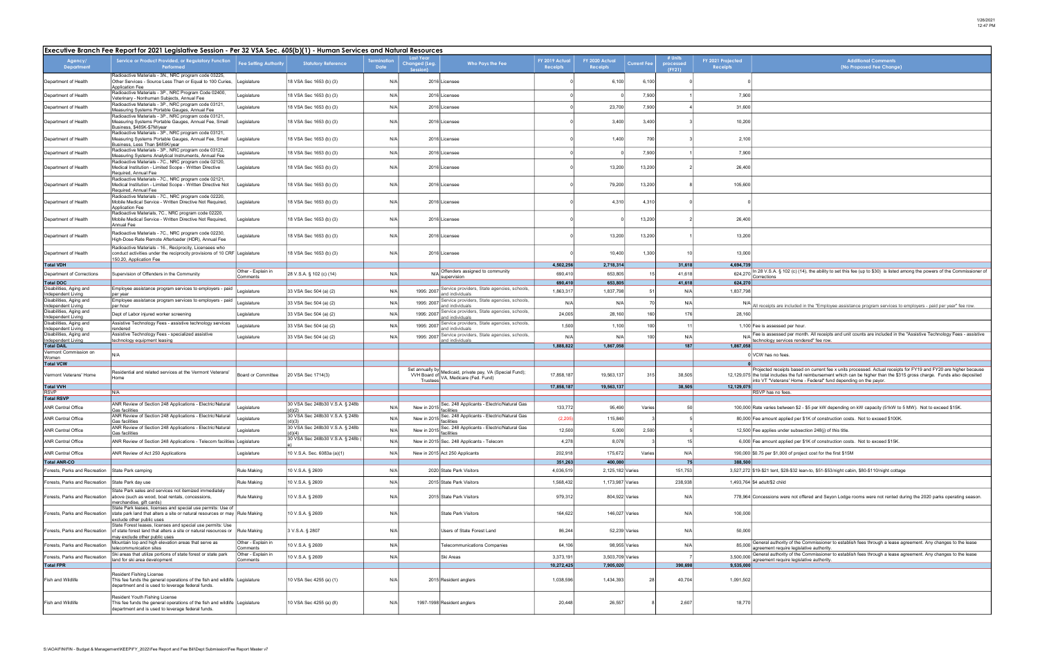| <b>Additional Comments</b><br>(No Proposed Fee Change)                                                                                                                                                                                                                                                 |
|--------------------------------------------------------------------------------------------------------------------------------------------------------------------------------------------------------------------------------------------------------------------------------------------------------|
|                                                                                                                                                                                                                                                                                                        |
|                                                                                                                                                                                                                                                                                                        |
|                                                                                                                                                                                                                                                                                                        |
|                                                                                                                                                                                                                                                                                                        |
|                                                                                                                                                                                                                                                                                                        |
|                                                                                                                                                                                                                                                                                                        |
|                                                                                                                                                                                                                                                                                                        |
|                                                                                                                                                                                                                                                                                                        |
|                                                                                                                                                                                                                                                                                                        |
|                                                                                                                                                                                                                                                                                                        |
|                                                                                                                                                                                                                                                                                                        |
|                                                                                                                                                                                                                                                                                                        |
| In 28 V.S.A. § 102 (c) (14), the ability to set this fee (up to \$30) is listed among the powers of the Commissioner of<br>Corrections                                                                                                                                                                 |
|                                                                                                                                                                                                                                                                                                        |
| All receipts are included in the "Employee assistance program services to employers - paid per year" fee row                                                                                                                                                                                           |
|                                                                                                                                                                                                                                                                                                        |
| Fee is assessed per hour.<br>Fee is assessed per month. All receipts and unit counts are included in the "Assistive Technology Fees - assistive<br>technology services rendered" fee row.                                                                                                              |
| VCW has no fees.                                                                                                                                                                                                                                                                                       |
|                                                                                                                                                                                                                                                                                                        |
| Projected receipts based on current fee x units processed. Actual receipts for FY19 and FY20 are higher because<br>the total includes the full reimbursement which can be higher than the \$315 gross charge.  Funds also deposited<br>into VT "Veterans' Home - Federal" fund depending on the payor. |
| RSVP has no fees.                                                                                                                                                                                                                                                                                      |
| Rate varies between \$2 - \$5 per kW depending on kW capacity (51kW to 5 MW).  Not to exceed \$15K.                                                                                                                                                                                                    |
| Fee amount applied per \$1K of construction costs.  Not to exceed \$100K.                                                                                                                                                                                                                              |
| Fee applies under subsection 248(j) of this title.                                                                                                                                                                                                                                                     |
| Fee amount applied per \$1K of construction costs. Not to exceed \$15K.                                                                                                                                                                                                                                |
| \$0.75 per \$1,000 of project cost for the first \$15M                                                                                                                                                                                                                                                 |
| \$19-\$21 tent, \$28-\$32 lean-to, \$51-\$53/night cabin, \$80-\$110/night cottage                                                                                                                                                                                                                     |
| \$4 adult/\$2 child                                                                                                                                                                                                                                                                                    |
| Concessions were not offered and Seyon Lodge rooms were not rented during the 2020 parks operating season.                                                                                                                                                                                             |
|                                                                                                                                                                                                                                                                                                        |
|                                                                                                                                                                                                                                                                                                        |
| General authority of the Commissioner to establish fees through a lease agreement. Any changes to the lease<br>agreement require legislative authority.                                                                                                                                                |
| General authority of the Commissioner to establish fees through a lease agreement. Any changes to the lease<br>agreement require legislative authority.                                                                                                                                                |
|                                                                                                                                                                                                                                                                                                        |
|                                                                                                                                                                                                                                                                                                        |
|                                                                                                                                                                                                                                                                                                        |

|                                               | Executive Branch Fee Report for 2021 Legislative Session - Per 32 VSA Sec. 605(b)(1) - Human Services and Natural Resources                                                |                                |                                           |      |                                                      |                                                                                       |                            |                                   |                    |                                |                                                                                                                                                                                               |  |  |
|-----------------------------------------------|----------------------------------------------------------------------------------------------------------------------------------------------------------------------------|--------------------------------|-------------------------------------------|------|------------------------------------------------------|---------------------------------------------------------------------------------------|----------------------------|-----------------------------------|--------------------|--------------------------------|-----------------------------------------------------------------------------------------------------------------------------------------------------------------------------------------------|--|--|
| Agency/<br><b>Department</b>                  | Service or Product Provided, or Regulatory Function<br>Performed                                                                                                           | <b>Fee Setting Authority</b>   | <b>Statutory Reference</b>                | Date | <b>Last Year</b><br><b>Changed (Leg.</b><br>Session) | Who Pays the Fee                                                                      | FY 2019 Actual<br>Receipts | FY 2020 Actual<br><b>Receipts</b> | <b>Current Fee</b> | # Units<br>processed<br>(FY21) | FY 2021 Projected<br><b>Additional Comments</b><br>(No Proposed Fee Change)<br>Receipts                                                                                                       |  |  |
| Department of Health                          | Radioactive Materials - 3N., NRC program code 03225,<br>Other Services - Source Less Than or Equal to 100 Curies,<br><b>Application Fee</b>                                | Legislature                    | 18 VSA Sec 1653 (b) (3)                   | N/A  |                                                      | 2016 Licensee                                                                         |                            | 6,100                             | 6,100              |                                |                                                                                                                                                                                               |  |  |
| Department of Health                          | Radioactive Materials - 3P., NRC Program Code 02400,<br>Veterinary - Nonhuman Subjects, Annual Fee                                                                         | egislature                     | 18 VSA Sec 1653 (b) (3)                   | N/A  |                                                      | 2016 Licensee                                                                         |                            |                                   | 7,900              |                                | 7,900                                                                                                                                                                                         |  |  |
| Department of Health                          | Radioactive Materials - 3P., NRC program code 03121,<br>Measuring Systems Portable Gauges, Annual Fee                                                                      | Legislature                    | 18 VSA Sec 1653 (b) (3)                   | N/A  |                                                      | 2016 Licensee                                                                         |                            | 23,700                            | 7,900              |                                | 31,600                                                                                                                                                                                        |  |  |
| Department of Health                          | Radioactive Materials - 3P., NRC program code 03121,<br>Measuring Systems Portable Gauges, Annual Fee, Small                                                               | egislature.                    | 18 VSA Sec 1653 (b) (3)                   | N/A  |                                                      | 2016 Licensee                                                                         |                            | 3,400                             | 3,400              |                                | 10,200                                                                                                                                                                                        |  |  |
| Department of Health                          | 3usiness, \$485K-\$7M/year<br>Radioactive Materials - 3P., NRC program code 03121,<br>Measuring Systems Portable Gauges, Annual Fee, Small                                 | Legislature                    | 18 VSA Sec 1653 (b) (3)                   | N/A  |                                                      | 2016 Licensee                                                                         |                            | 1.400                             | 700                |                                | 2,100                                                                                                                                                                                         |  |  |
| Department of Health                          | Business, Less Than \$485K/year<br>Radioactive Materials - 3P., NRC program code 03122,<br>Measuring Systems Analytical Instruments, Annual Fee                            | egislature.                    | 18 VSA Sec 1653 (b) (3)                   | N/A  |                                                      | 2016 Licensee                                                                         |                            |                                   | 7,900              |                                | 7,900                                                                                                                                                                                         |  |  |
| Department of Health                          | Radioactive Materials - 7C., NRC program code 02120,<br>Medical Institution - Limited Scope - Written Directive<br>Required, Annual Fee                                    | Legislature                    | 18 VSA Sec 1653 (b) (3)                   | N/A  |                                                      | 2016 Licensee                                                                         |                            | 13,200                            | 13,200             |                                | 26,400                                                                                                                                                                                        |  |  |
| Department of Health                          | Radioactive Materials - 7C., NRC program code 02121,<br>Medical Institution - Limited Scope - Written Directive Not<br>Required, Annual Fee                                | egislature.                    | 18 VSA Sec 1653 (b) (3)                   | N/A  |                                                      | 2016 Licensee                                                                         |                            | 79,200                            | 13,200             |                                | 105,600                                                                                                                                                                                       |  |  |
| Department of Health                          | Radioactive Materials - 7C., NRC program code 02220,<br>Mobile Medical Service - Written Directive Not Required,                                                           | Legislature                    | 18 VSA Sec 1653 (b) (3)                   | N/A  |                                                      | 2016 Licensee                                                                         |                            | 4,310                             | 4,310              |                                |                                                                                                                                                                                               |  |  |
| Department of Health                          | <b>Application Fee</b><br>Radioactive Materials, 7C., NRC program code 02220,<br>Mobile Medical Service - Written Directive Not Required,<br>Annual Fee                    | Legislature                    | 18 VSA Sec 1653 (b) (3)                   | N/A  |                                                      | 2016 Licensee                                                                         |                            |                                   | 13,200             |                                | 26,400                                                                                                                                                                                        |  |  |
| Department of Health                          | Radioactive Materials - 7C., NRC program code 02230,<br>High-Dose Rate Remote Afterloader (HDR), Annual Fee                                                                | egislature.                    | 18 VSA Sec 1653 (b) (3)                   | N/A  |                                                      | 2016 Licensee                                                                         |                            | 13,200                            | 13,200             |                                | 13,200                                                                                                                                                                                        |  |  |
| Department of Health                          | Radioactive Materials - 16., Reciprocity, Licensees who<br>conduct activities under the reciprocity provisions of 10 CRF Legislature<br>150.20, Application Fee            |                                | 18 VSA Sec 1653 (b) (3)                   | N/A  |                                                      | 2016 Licensee                                                                         |                            | 10,400                            | 1,300              |                                | 13,000                                                                                                                                                                                        |  |  |
| <b>Total VDH</b>                              |                                                                                                                                                                            |                                |                                           |      |                                                      |                                                                                       | 4,502,256                  | 2,718,314                         |                    | 31,618                         | 4,694,739                                                                                                                                                                                     |  |  |
| Department of Corrections                     | Supervision of Offenders in the Community                                                                                                                                  | Other - Explain in<br>Comments | 28 V.S.A. § 102 (c) (14)                  | N/A  |                                                      | N/A Offenders assigned to community<br>supervision                                    | 690,410                    | 653,805                           |                    | 41,618                         | 624,270 n 28 V.S.A. § 102 (c) (14), the ability to set this fee (up to \$30) is listed among the powers of the Commissioner of<br>Corrections                                                 |  |  |
| <b>Total DOC</b><br>Disabilities, Aging and   | Employee assistance program services to employers - paid                                                                                                                   |                                |                                           |      |                                                      | Service providers, State agencies, schools,                                           | 690,410                    | 653,805                           |                    | 41,618                         | 624,270                                                                                                                                                                                       |  |  |
| Independent Living<br>Disabilities, Aging and | per year<br>Employee assistance program services to employers - paid                                                                                                       | egislature                     | 33 VSA Sec 504 (a) (2)                    | N/f  | 1995: 2007                                           | and individuals<br>Service providers, State agencies, schools,                        | 1,863,317                  | 1,837,798                         | -51                | N/A                            | 1,837,798                                                                                                                                                                                     |  |  |
| Independent Living<br>Disabilities, Aging and | per hour                                                                                                                                                                   | Legislature                    | 33 VSA Sec 504 (a) (2)                    | N/f  | 1995: 2007                                           | and individuals<br>Service providers, State agencies, schools,                        | N/A                        | N/                                | 70                 | N/A                            | All receipts are included in the "Employee assistance program services to employers - paid per year" fee row.                                                                                 |  |  |
| <b>Independent Living</b>                     | Dept of Labor injured worker screening                                                                                                                                     | Legislature                    | 33 VSA Sec 504 (a) (2)                    | N/f  | 1995: 2007                                           | and individuals                                                                       | 24,005                     | 28,160                            | 160                | 176                            | 28,160                                                                                                                                                                                        |  |  |
| Disabilities, Aging and<br>Independent Living | Assistive Technology Fees - assistive technology services<br>rendered                                                                                                      | Legislature                    | 33 VSA Sec 504 (a) (2)                    | N/f  | 1995: 200                                            | Service providers, State agencies, schools,<br>and individuals                        | 1,500                      | 1,100                             | 100                |                                | 1,100 Fee is assessed per hour.                                                                                                                                                               |  |  |
| Disabilities, Aging and<br>Independent Living | Assistive Technology Fees - specialized assistive<br>technology equipment leasing                                                                                          | Legislature                    | 33 VSA Sec 504 (a) (2)                    | N/f  | 1995: 2007                                           | Service providers, State agencies, schools,<br>and individuals                        | N/A                        | N/A                               | 100                | N/A                            | N/A Fee is assessed per month. All receipts and unit counts are included in the "Assistive Technology Fees - assistive<br>technology services rendered" fee row.                              |  |  |
| <b>Total DAIL</b>                             |                                                                                                                                                                            |                                |                                           |      |                                                      |                                                                                       | 1,888,822                  | 1,867,058                         |                    | 187                            | 1,867,058                                                                                                                                                                                     |  |  |
| Vermont Commission on<br>Women                | <b>N/A</b>                                                                                                                                                                 |                                |                                           |      |                                                      |                                                                                       |                            |                                   |                    |                                | 0 VCW has no fees.                                                                                                                                                                            |  |  |
| <b>Total VCW</b>                              |                                                                                                                                                                            |                                |                                           |      |                                                      |                                                                                       |                            |                                   |                    |                                | Projected receipts based on current fee x units processed. Actual receipts for FY19 and FY20 are higher because                                                                               |  |  |
| Vermont Veterans' Home                        | Residential and related services at the Vermont Veterans'<br>Home                                                                                                          | Board or Committee             | 20 VSA Sec 1714(3)                        |      | VVH Board of<br>Trustees                             | Set annually by Medicaid, private pay, VA (Special Fund);<br>VA, Medicare (Fed. Fund) | 17,858,187                 | 19,563,137                        | 315                | 38,505                         | 12,129,075 the total includes the full reimbursement which can be higher than the \$315 gross charge. Funds also deposited<br>into VT "Veterans' Home - Federal" fund depending on the payor. |  |  |
| <b>Total VVH</b><br><b>RSVP</b>               | ۷/A                                                                                                                                                                        |                                |                                           |      |                                                      |                                                                                       | 17,858,187                 | 19,563,137                        |                    | 38,505                         | 12,129,075<br>RSVP has no fees.                                                                                                                                                               |  |  |
| <b>Total RSVP</b>                             |                                                                                                                                                                            |                                | 30 VSA Sec 248b30 V.S.A. § 248b           |      |                                                      |                                                                                       |                            |                                   |                    |                                |                                                                                                                                                                                               |  |  |
| ANR Central Office                            | ANR Review of Section 248 Applications - Electric/Natural<br>Gas facilities                                                                                                | egislature                     | (d)(2)                                    | N/4  | New in 2015                                          | Sec. 248 Applicants - Electric/Natural Gas<br>facilities                              | 133,772                    | 95,490                            | Varies             |                                | 100,000 Rate varies between \$2 - \$5 per kW depending on kW capacity (51kW to 5 MW). Not to exceed \$15K.                                                                                    |  |  |
| ANR Central Office                            | ANR Review of Section 248 Applications - Electric/Natural<br>Gas facilities                                                                                                | Legislature                    | 30 VSA Sec 248b30 V.S.A. § 248b<br>(d)(3) | N/A  | New in 2015                                          | Sec. 248 Applicants - Electric/Natural Gas<br>facilities                              | (2, 205)                   | 115,840                           |                    |                                | 80,000 Fee amount applied per \$1K of construction costs. Not to exceed \$100K.                                                                                                               |  |  |
| <b>ANR Central Office</b>                     | ANR Review of Section 248 Applications - Electric/Natural<br>Gas facilities                                                                                                | Legislature                    | 30 VSA Sec 248b30 V.S.A. § 248b<br>(d)(4) | N/A  |                                                      | New in 2015 Sec. 248 Applicants - Electric/Natural Gas                                | 12,500                     | 5,000                             | 2,500              |                                | 12,500 Fee applies under subsection 248(j) of this title.                                                                                                                                     |  |  |
| ANR Central Office                            | ANR Review of Section 248 Applications - Telecom facilities Legislature                                                                                                    |                                | 30 VSA Sec 248b30 V.S.A. § 248b (         | N/A  |                                                      | New in 2015 Sec. 248 Applicants - Telecom                                             | 4,278                      | 8,078                             |                    |                                | 6,000 Fee amount applied per \$1K of construction costs. Not to exceed \$15K.                                                                                                                 |  |  |
| ANR Central Office                            | ANR Review of Act 250 Applications                                                                                                                                         | Legislature                    | 10 V.S.A. Sec. 6083a (a)(1)               | N/f  |                                                      | New in 2015 Act 250 Applicants                                                        | 202,918                    | 175,672                           | Varies             | N/A                            | 190,000 \$0.75 per \$1,000 of project cost for the first \$15M                                                                                                                                |  |  |
| <b>Total ANR-CO</b>                           |                                                                                                                                                                            |                                |                                           |      |                                                      |                                                                                       | 351,263                    | 400,080                           |                    | 75                             | 388,500                                                                                                                                                                                       |  |  |
| Forests, Parks and Recreation                 | State Park camping                                                                                                                                                         | Rule Making                    | 10 V.S.A. § 2609                          | N/A  |                                                      | 2020 State Park Visitors                                                              | 4,036,519                  | 2,125,182 Varies                  |                    | 151,753                        | 3,527,272 \$19-\$21 tent, \$28-\$32 lean-to, \$51-\$53/night cabin, \$80-\$110/night cottage                                                                                                  |  |  |
| Forests, Parks and Recreation                 | State Park day use                                                                                                                                                         | <b>Rule Making</b>             | 10 V.S.A. § 2609                          | N/A  |                                                      | 2015 State Park Visitors                                                              | 1,568,432                  | 1,173,987 Varies                  |                    | 238,938                        | 1,493,764 \$4 adult/\$2 child                                                                                                                                                                 |  |  |
| Forests, Parks and Recreation                 | State Park sales and services not itemized immediately<br>above (such as wood, boat rentals, concessions,<br>merchandise, gift cards)                                      | Rule Making                    | 10 V.S.A. § 2609                          | N/A  |                                                      | 2015 State Park Visitors                                                              | 979,312                    | 804,922 Varies                    |                    | N/A                            | 778,964 Concessions were not offered and Seyon Lodge rooms were not rented during the 2020 parks operating season.                                                                            |  |  |
| Forests, Parks and Recreation                 | State Park leases, licenses and special use permits: Use of<br>state park land that alters a site or natural resources or may Rule Making<br>exclude other public uses     |                                | 10 V.S.A. § 2609                          | N/A  |                                                      | <b>State Park Visitors</b>                                                            | 164,622                    | 146,027 Varies                    |                    | N/A                            | 100,000                                                                                                                                                                                       |  |  |
| Forests, Parks and Recreation                 | State Forest leases, licenses and special use permits: Use<br>of state forest land that alters a site or natural resources or Rule Making<br>nay exclude other public uses |                                | 3 V.S.A. § 2807                           | N/A  |                                                      | Users of State Forest Land                                                            | 86,244                     | 52,239 Varies                     |                    | N/A                            | 50,000                                                                                                                                                                                        |  |  |
| Forests, Parks and Recreation                 | Mountain top and high elevation areas that serve as<br>telecommunication sites                                                                                             | Other - Explain in<br>Comments | 10 V.S.A. § 2609                          | N/A  |                                                      | <b>Felecommunications Companies</b>                                                   | 64,106                     | 98,955 Varies                     |                    | N/A                            | 85,000 General authority of the Commissioner to establish fees through a lease agreement. Any changes to the lease<br>agreement require legislative authority.                                |  |  |
| Forests, Parks and Recreation                 | Ski areas that utilize portions of state forest or state park<br>land for ski area development                                                                             | Other - Explain in<br>Comments | 10 V.S.A. § 2609                          | N/A  |                                                      | Ski Areas                                                                             | 3,373,191                  | 3,503,709 Varies                  |                    |                                | 3,500,000 General authority of the Commissioner to establish fees through a lease agreement. Any changes to the lease<br>agreement require legislative authority.                             |  |  |
| <b>Total FPR</b>                              |                                                                                                                                                                            |                                |                                           |      |                                                      |                                                                                       | 10,272,425                 | 7,905,020                         |                    | 390,698                        | 9,535,000                                                                                                                                                                                     |  |  |
| Fish and Wildlife                             | Resident Fishing License<br>This fee funds the general operations of the fish and wildlife Legislature<br>department and is used to leverage federal funds.                |                                | 10 VSA Sec 4255 (a) (1)                   | N/A  |                                                      | 2015 Resident anglers                                                                 | 1,038,596                  | 1,434,393                         | -28                | 40,704                         | 1,091,502                                                                                                                                                                                     |  |  |
| Fish and Wildlife                             | Resident Youth Fishing License<br>This fee funds the general operations of the fish and wildlife Legislature<br>department and is used to leverage federal funds.          |                                | 10 VSA Sec 4255 (a) (8)                   | N/A  |                                                      | 1997-1998 Resident anglers                                                            | 20,448                     | 26,557                            |                    | 2,607                          | 18,770                                                                                                                                                                                        |  |  |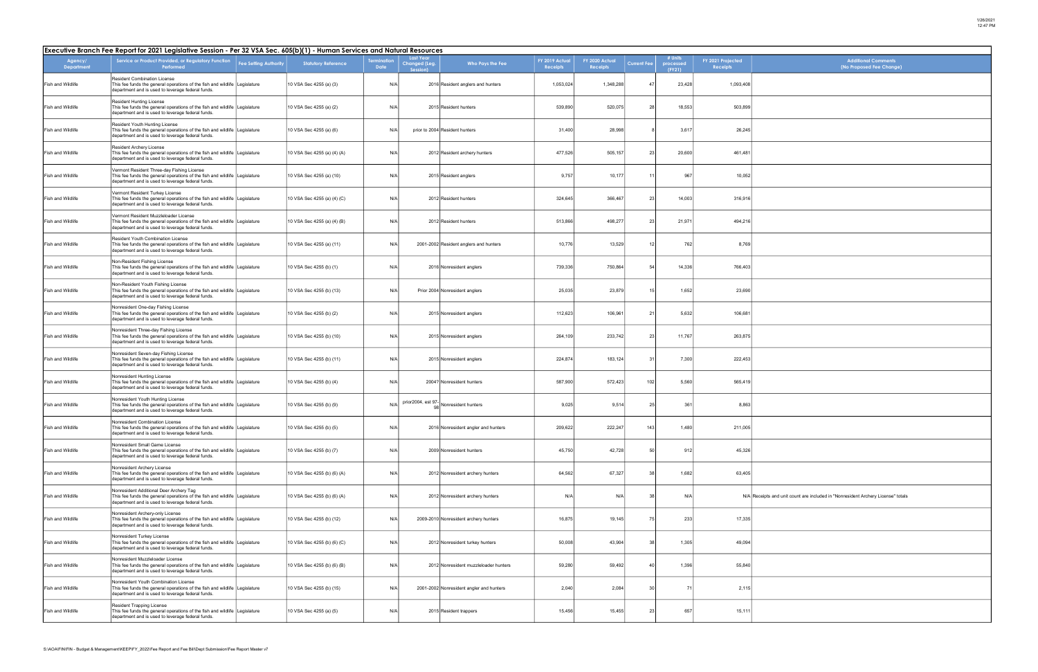| <b>Additional Comments</b><br>(No Proposed Fee Change)                       |
|------------------------------------------------------------------------------|
|                                                                              |
|                                                                              |
|                                                                              |
|                                                                              |
|                                                                              |
|                                                                              |
|                                                                              |
|                                                                              |
|                                                                              |
|                                                                              |
|                                                                              |
|                                                                              |
|                                                                              |
|                                                                              |
|                                                                              |
|                                                                              |
|                                                                              |
|                                                                              |
|                                                                              |
| Receipts and unit count are included in "Nonresident Archery License" totals |
|                                                                              |
|                                                                              |
|                                                                              |
|                                                                              |
|                                                                              |
|                                                                              |

| Executive Branch Fee Report for 2021 Legislative Session - Per 32 VSA Sec. 605(b)(1) - Human Services and Natural Resources |                                                                                                                                                                               |                              |                             |                           |                                                             |                                           |                            |                                   |                    |                                |                               |                                                                                  |
|-----------------------------------------------------------------------------------------------------------------------------|-------------------------------------------------------------------------------------------------------------------------------------------------------------------------------|------------------------------|-----------------------------|---------------------------|-------------------------------------------------------------|-------------------------------------------|----------------------------|-----------------------------------|--------------------|--------------------------------|-------------------------------|----------------------------------------------------------------------------------|
| Agency/<br><b>Department</b>                                                                                                | Service or Product Provided, or Regulatory Function<br>Performed                                                                                                              | <b>Fee Setting Authority</b> | <b>Statutory Reference</b>  | erminatior<br><b>Date</b> | <b>Last Year</b><br>Changed <mark>(L</mark> eg.<br>Session) | Who Pays the Fee                          | FY 2019 Actual<br>Receipts | FY 2020 Actual<br><b>Receipts</b> | <b>Current Fee</b> | # Units<br>processed<br>(FY21) | FY 2021 Projected<br>Receipts | <b>Additional Comments</b><br>(No Proposed Fee Change)                           |
| Fish and Wildlife                                                                                                           | Resident Combination License<br>This fee funds the general operations of the fish and wildlife Legislature<br>department and is used to leverage federal funds.               |                              | 10 VSA Sec 4255 (a) (3)     | N/A                       |                                                             | 2016 Resident anglers and hunters         | 1,053,024                  | 1,348,288                         | 47                 | 23,428                         | 1,093,408                     |                                                                                  |
| Fish and Wildlife                                                                                                           | <b>Resident Hunting License</b><br>This fee funds the general operations of the fish and wildlife Legislature<br>department and is used to leverage federal funds.            |                              | 10 VSA Sec 4255 (a) (2)     | N/A                       |                                                             | 2015 Resident hunters                     | 539,890                    | 520,075                           | 28                 | 18,553                         | 503,899                       |                                                                                  |
| Fish and Wildlife                                                                                                           | Resident Youth Hunting License<br>This fee funds the general operations of the fish and wildlife Legislature<br>department and is used to leverage federal funds.             |                              | 10 VSA Sec 4255 (a) (6)     | N/A                       |                                                             | prior to 2004 Resident hunters            | 31,400                     | 28,998                            |                    | 3,617                          | 26,245                        |                                                                                  |
| Fish and Wildlife                                                                                                           | Resident Archery License<br>This fee funds the general operations of the fish and wildlife Legislature<br>department and is used to leverage federal funds.                   |                              | 10 VSA Sec 4255 (a) (4) (A) | N/A                       |                                                             | 2012 Resident archery hunters             | 477,526                    | 505,157                           | 23                 | 20,600                         | 461,481                       |                                                                                  |
| Fish and Wildlife                                                                                                           | Vermont Resident Three-day Fishing License<br>This fee funds the general operations of the fish and wildlife Legislature<br>department and is used to leverage federal funds. |                              | 10 VSA Sec 4255 (a) (10)    | N/A                       |                                                             | 2015 Resident anglers                     | 9,757                      | 10,177                            | 11                 | 967                            | 10,052                        |                                                                                  |
| Fish and Wildlife                                                                                                           | Vermont Resident Turkey License<br>This fee funds the general operations of the fish and wildlife Legislature<br>department and is used to leverage federal funds.            |                              | 10 VSA Sec 4255 (a) (4) (C) | N/A                       |                                                             | 2012 Resident hunters                     | 324,645                    | 366,467                           | 23                 | 14,003                         | 316,916                       |                                                                                  |
| Fish and Wildlife                                                                                                           | Vermont Resident Muzzleloader License<br>This fee funds the general operations of the fish and wildlife Legislature<br>department and is used to leverage federal funds.      |                              | 10 VSA Sec 4255 (a) (4) (B) | N/A                       |                                                             | 2012 Resident hunters                     | 513,866                    | 498,277                           | 23                 | 21,971                         | 494,216                       |                                                                                  |
| Fish and Wildlife                                                                                                           | Resident Youth Combination License<br>This fee funds the general operations of the fish and wildlife Legislature<br>department and is used to leverage federal funds.         |                              | 10 VSA Sec 4255 (a) (11)    | N/A                       |                                                             | 2001-2002 Resident anglers and hunters    | 10,776                     | 13,529                            | 12                 | 762                            | 8,769                         |                                                                                  |
| Fish and Wildlife                                                                                                           | Non-Resident Fishing License<br>This fee funds the general operations of the fish and wildlife Legislature<br>department and is used to leverage federal funds.               |                              | 10 VSA Sec 4255 (b) (1)     | N/A                       |                                                             | 2016 Nonresident anglers                  | 739,336                    | 750,864                           | 54                 | 14,336                         | 766,403                       |                                                                                  |
| Fish and Wildlife                                                                                                           | Non-Resident Youth Fishing License<br>This fee funds the general operations of the fish and wildlife Legislature<br>department and is used to leverage federal funds.         |                              | 10 VSA Sec 4255 (b) (13)    | N/A                       |                                                             | Prior 2004 Nonresident anglers            | 25,035                     | 23,879                            | 15                 | 1,652                          | 23,690                        |                                                                                  |
| Fish and Wildlife                                                                                                           | Nonresident One-day Fishing License<br>This fee funds the general operations of the fish and wildlife Legislature<br>department and is used to leverage federal funds.        |                              | 10 VSA Sec 4255 (b) (2)     | N/A                       |                                                             | 2015 Nonresident anglers                  | 112,623                    | 106,961                           | 21                 | 5,632                          | 106,681                       |                                                                                  |
| Fish and Wildlife                                                                                                           | Nonresident Three-day Fishing License<br>This fee funds the general operations of the fish and wildlife Legislature<br>department and is used to leverage federal funds.      |                              | 10 VSA Sec 4255 (b) (10)    | N/A                       |                                                             | 2015 Nonresident anglers                  | 264,109                    | 233,742                           | 23                 | 11,767                         | 263,875                       |                                                                                  |
| Fish and Wildlife                                                                                                           | Nonresident Seven-day Fishing License<br>This fee funds the general operations of the fish and wildlife Legislature<br>department and is used to leverage federal funds.      |                              | 10 VSA Sec 4255 (b) (11)    | N/A                       |                                                             | 2015 Nonresident anglers                  | 224,874                    | 183,124                           | 31                 | 7,300                          | 222,453                       |                                                                                  |
| Fish and Wildlife                                                                                                           | Nonresident Hunting License<br>This fee funds the general operations of the fish and wildlife Legislature<br>department and is used to leverage federal funds.                |                              | 10 VSA Sec 4255 (b) (4)     | N/A                       |                                                             | 2004? Nonresident hunters                 | 587,900                    | 572,423                           | 102                | 5,560                          | 565,419                       |                                                                                  |
| Fish and Wildlife                                                                                                           | Nonresident Youth Hunting License<br>This fee funds the general operations of the fish and wildlife Legislature<br>department and is used to leverage federal funds.          |                              | 10 VSA Sec 4255 (b) (9)     | N/A                       |                                                             | prior2004, est 97-<br>Nonresident hunters | 9,025                      | 9,514                             | 25                 | 361                            | 8,863                         |                                                                                  |
| ish and Wildlife                                                                                                            | Nonresident Combination License<br>This fee funds the general operations of the fish and wildlife Legislature<br>department and is used to leverage federal funds.            |                              | 10 VSA Sec 4255 (b) (5)     | N/A                       |                                                             | 2016 Nonresident angler and hunters       | 209,622                    | 222,247                           | 143                | 1,480                          | 211,005                       |                                                                                  |
| Fish and Wildlife                                                                                                           | Nonresident Small Game License<br>This fee funds the general operations of the fish and wildlife Legislature<br>department and is used to leverage federal funds.             |                              | 10 VSA Sec 4255 (b) (7)     | N/A                       |                                                             | 2009 Nonresident hunters                  | 45,750                     | 42,728                            | 50                 | 912                            | 45,326                        |                                                                                  |
| Fish and Wildlife                                                                                                           | Nonresident Archery License<br>This fee funds the general operations of the fish and wildlife Legislature<br>department and is used to leverage federal funds.                |                              | 10 VSA Sec 4255 (b) (6) (A) | N/A                       |                                                             | 2012 Nonresident archery hunters          | 64,562                     | 67,327                            | 38 <sup>l</sup>    | 1,682                          | 63,405                        |                                                                                  |
| Fish and Wildlife                                                                                                           | Nonresident Additional Deer Archery Tag<br>This fee funds the general operations of the fish and wildlife Legislature<br>department and is used to leverage federal funds.    |                              | 10 VSA Sec 4255 (b) (6) (A) | N/A                       |                                                             | 2012 Nonresident archery hunters          | N/A                        | N/A                               | 38                 | N/A                            |                               | N/A Receipts and unit count are included in "Nonresident Archery License" totals |
| Fish and Wildlife                                                                                                           | Nonresident Archery-only License<br>This fee funds the general operations of the fish and wildlife Legislature<br>department and is used to leverage federal funds.           |                              | 10 VSA Sec 4255 (b) (12)    | N/A                       |                                                             | 2009-2010 Nonresident archery hunters     | 16,875                     | 19,145                            | 75                 | 233                            | 17,335                        |                                                                                  |
| Fish and Wildlife                                                                                                           | Nonresident Turkey License<br>This fee funds the general operations of the fish and wildlife Legislature<br>department and is used to leverage federal funds.                 |                              | 10 VSA Sec 4255 (b) (6) (C) | N/A                       |                                                             | 2012 Nonresident turkey hunters           | 50,008                     | 43,904                            | 38 <sup>l</sup>    | 1,305                          | 49,094                        |                                                                                  |
| Fish and Wildlife                                                                                                           | Nonresident Muzzleloader License<br>This fee funds the general operations of the fish and wildlife Legislature<br>department and is used to leverage federal funds.           |                              | 10 VSA Sec 4255 (b) (6) (B) | N/A                       |                                                             | 2012 Nonresident muzzleloader hunters     | 59,280                     | 59,492                            | 40                 | 1,396                          | 55,840                        |                                                                                  |
| Fish and Wildlife                                                                                                           | Nonresident Youth Combination License<br>This fee funds the general operations of the fish and wildlife Legislature<br>department and is used to leverage federal funds.      |                              | 10 VSA Sec 4255 (b) (15)    | N/A                       |                                                             | 2001-2002 Nonresident angler and hunters  | 2,040                      | 2,084                             | 30 <sup>1</sup>    |                                | 2,115                         |                                                                                  |
| Fish and Wildlife                                                                                                           | Resident Trapping License<br>This fee funds the general operations of the fish and wildlife Legislature<br>department and is used to leverage federal funds.                  |                              | 10 VSA Sec 4255 (a) (5)     | N/A                       |                                                             | 2015 Resident trappers                    | 15,456                     | 15,455                            | 23                 | 657                            | 15,111                        |                                                                                  |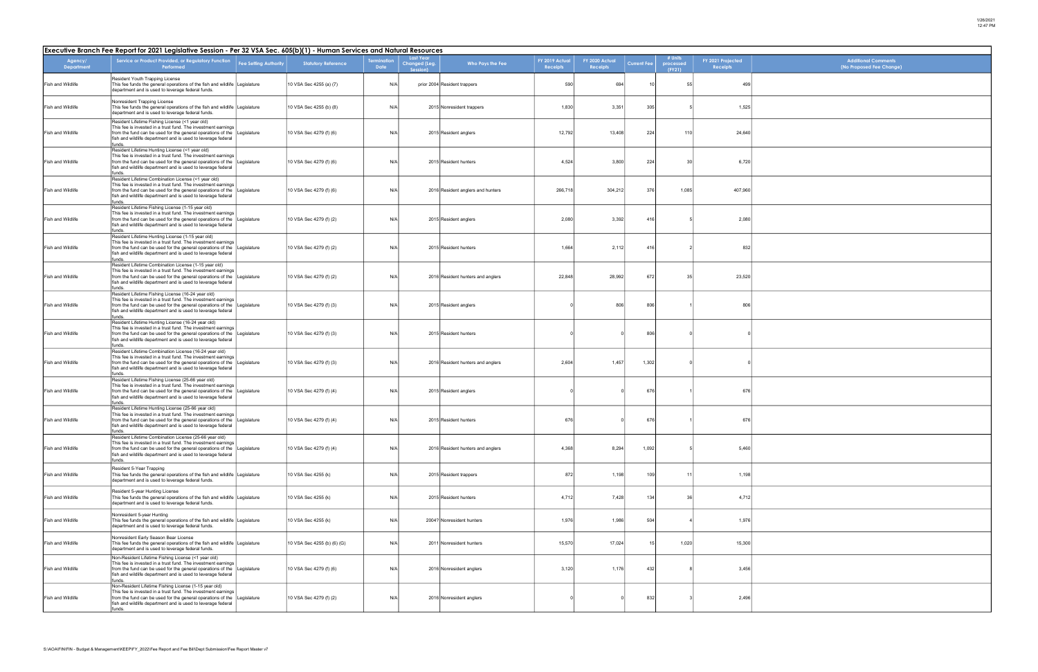| <b>Additional Comments</b><br>(No Proposed Fee Change) |
|--------------------------------------------------------|
|                                                        |
|                                                        |
|                                                        |
|                                                        |
|                                                        |
|                                                        |
|                                                        |
|                                                        |
|                                                        |
|                                                        |
|                                                        |
|                                                        |
|                                                        |
|                                                        |
|                                                        |
|                                                        |
|                                                        |
|                                                        |
|                                                        |
|                                                        |
|                                                        |
|                                                        |
|                                                        |
|                                                        |
|                                                        |
|                                                        |

|                              | Executive Branch Fee Report for 2021 Legislative Session - Per 32 VSA Sec. 605(b)(1) - Human Services and Natural Resources                                                                                                                                                  |                              |                             |                    |                                               |                                   |                                   |                                   |                    |                                |                                      |  |  |
|------------------------------|------------------------------------------------------------------------------------------------------------------------------------------------------------------------------------------------------------------------------------------------------------------------------|------------------------------|-----------------------------|--------------------|-----------------------------------------------|-----------------------------------|-----------------------------------|-----------------------------------|--------------------|--------------------------------|--------------------------------------|--|--|
| Agency/<br><b>Department</b> | Service or Product Provided, or Regulatory Function<br>Performed                                                                                                                                                                                                             | <b>Fee Setting Authority</b> | <b>Statutory Reference</b>  | ermination<br>Date | <b>Last Year</b><br>Changed (Leg.<br>Session) | Who Pays the Fee                  | FY 2019 Actual<br><b>Receipts</b> | FY 2020 Actual<br><b>Receipts</b> | <b>Current Fee</b> | # Units<br>processed<br>(FY21) | FY 2021 Projected<br><b>Receipts</b> |  |  |
| Fish and Wildlife            | Resident Youth Trapping License<br>This fee funds the general operations of the fish and wildlife Legislature<br>department and is used to leverage federal funds.                                                                                                           |                              | 10 VSA Sec 4255 (a) (7)     | N/A                |                                               | prior 2004 Resident trappers      | 590                               | 694                               | 10                 | 55                             | 499                                  |  |  |
| Fish and Wildlife            | Nonresident Trapping License<br>This fee funds the general operations of the fish and wildlife Legislature<br>department and is used to leverage federal funds.                                                                                                              |                              | 10 VSA Sec 4255 (b) (8)     | N/A                |                                               | 2015 Nonresident trappers         | 1,830                             | 3,351                             | 305                |                                | 1,525                                |  |  |
| Fish and Wildlife            | Resident Lifetime Fishing License (<1 year old)<br>This fee is invested in a trust fund. The investment earnings<br>from the fund can be used for the general operations of the Legislature<br>fish and wildlife department and is used to leverage federal<br>funds.        |                              | 10 VSA Sec 4279 (f) (6)     | N/A                |                                               | 2015 Resident anglers             | 12,792                            | 13,408                            | 224                | 110                            | 24,640                               |  |  |
| Fish and Wildlife            | Resident Lifetime Hunting License (<1 year old)<br>This fee is invested in a trust fund. The investment earnings<br>from the fund can be used for the general operations of the Legislature<br>fish and wildlife department and is used to leverage federal<br>funds.        |                              | 10 VSA Sec 4279 (f) (6)     | N/A                |                                               | 2015 Resident hunters             | 4,524                             | 3,800                             | 224                | 30                             | 6,720                                |  |  |
| Fish and Wildlife            | Resident Lifetime Combination License (<1 year old)<br>This fee is invested in a trust fund. The investment earnings<br>from the fund can be used for the general operations of the Legislature<br>fish and wildlife department and is used to leverage federal<br>funds.    |                              | 10 VSA Sec 4279 (f) (6)     | N/A                |                                               | 2016 Resident anglers and hunters | 266,718                           | 304,212                           | 376                | 1,085                          | 407,960                              |  |  |
| Fish and Wildlife            | Resident Lifetime Fishing License (1-15 year old)<br>This fee is invested in a trust fund. The investment earnings<br>from the fund can be used for the general operations of the<br>fish and wildlife department and is used to leverage federal<br>funds.                  | Legislature                  | 10 VSA Sec 4279 (f) (2)     | N/A                |                                               | 2015 Resident anglers             | 2,080                             | 3,392                             | 416                |                                | 2,080                                |  |  |
| Fish and Wildlife            | Resident Lifetime Hunting License (1-15 year old)<br>This fee is invested in a trust fund. The investment earnings<br>from the fund can be used for the general operations of the Legislature<br>fish and wildlife department and is used to leverage federal<br>funds.      |                              | 10 VSA Sec 4279 (f) (2)     | N/A                |                                               | 2015 Resident hunters             | 1,664                             | 2,112                             | 416                |                                | 832                                  |  |  |
| Fish and Wildlife            | Resident Lifetime Combination License (1-15 year old)<br>This fee is invested in a trust fund. The investment earnings<br>from the fund can be used for the general operations of the Legislature<br>fish and wildlife department and is used to leverage federal<br>funds.  |                              | 10 VSA Sec 4279 (f) (2)     | N/A                |                                               | 2016 Resident hunters and anglers | 22,848                            | 28,992                            | 672                | 35                             | 23,520                               |  |  |
| Fish and Wildlife            | Resident Lifetime Fishing License (16-24 year old)<br>This fee is invested in a trust fund. The investment earnings<br>from the fund can be used for the general operations of the Legislature<br>fish and wildlife department and is used to leverage federal<br>funds.     |                              | 10 VSA Sec 4279 (f) (3)     | N/A                |                                               | 2015 Resident anglers             |                                   | 806                               | 806                |                                | 806                                  |  |  |
| Fish and Wildlife            | Resident Lifetime Hunting License (16-24 year old)<br>This fee is invested in a trust fund. The investment earnings<br>from the fund can be used for the general operations of the Legislature<br>fish and wildlife department and is used to leverage federal<br>funds.     |                              | 10 VSA Sec 4279 (f) (3)     | N/A                |                                               | 2015 Resident hunters             |                                   |                                   | 806                |                                |                                      |  |  |
| Fish and Wildlife            | Resident Lifetime Combination License (16-24 year old)<br>This fee is invested in a trust fund. The investment earnings<br>from the fund can be used for the general operations of the Legislature<br>fish and wildlife department and is used to leverage federal<br>funds. |                              | 10 VSA Sec 4279 (f) (3)     | N/A                |                                               | 2016 Resident hunters and anglers | 2,604                             | 1,457                             | 1,302              |                                |                                      |  |  |
| Fish and Wildlife            | Resident Lifetime Fishing License (25-66 year old)<br>This fee is invested in a trust fund. The investment earnings<br>from the fund can be used for the general operations of the<br>fish and wildlife department and is used to leverage federal<br>funds.                 | Legislature                  | 10 VSA Sec 4279 (f) (4)     | N/A                |                                               | 2015 Resident anglers             |                                   |                                   | 676                |                                | 676                                  |  |  |
| Fish and Wildlife            | Resident Lifetime Hunting License (25-66 year old)<br>This fee is invested in a trust fund. The investment earnings<br>from the fund can be used for the general operations of the Legislature<br>fish and wildlife department and is used to leverage federal<br>funds.     |                              | 10 VSA Sec 4279 (f) (4)     | N/A                |                                               | 2015 Resident hunters             | 676                               |                                   | 676                |                                | 676                                  |  |  |
| Fish and Wildlife            | Resident Lifetime Combination License (25-66 year old)<br>This fee is invested in a trust fund. The investment earnings<br>from the fund can be used for the general operations of the Legislature<br>fish and wildlife department and is used to leverage federal<br>funds. |                              | 10 VSA Sec 4279 (f) (4)     | N/A                |                                               | 2016 Resident hunters and anglers | 4,368                             | 8,294                             | 1,092              | -5                             | 5,460                                |  |  |
| Fish and Wildlife            | Resident 5-Year Trapping<br>This fee funds the general operations of the fish and wildlife Legislature<br>department and is used to leverage federal funds.                                                                                                                  |                              | 10 VSA Sec 4255 (k)         | N/A                |                                               | 2015 Resident trappers            | 872                               | 1,198                             | 109                | 11                             | 1,198                                |  |  |
| Fish and Wildlife            | Resident 5-year Hunting License<br>This fee funds the general operations of the fish and wildlife Legislature<br>department and is used to leverage federal funds.                                                                                                           |                              | 10 VSA Sec 4255 (k)         | N/A                |                                               | 2015 Resident hunters             | 4,712                             | 7,428                             | 134                | 36                             | 4,712                                |  |  |
| Fish and Wildlife            | Nonresident 5-year Hunting<br>This fee funds the general operations of the fish and wildlife Legislature<br>department and is used to leverage federal funds.                                                                                                                |                              | 10 VSA Sec 4255 (k)         | N/A                |                                               | 2004? Nonresident hunters         | 1,976                             | 1,986                             | 504                |                                | 1,976                                |  |  |
| Fish and Wildlife            | Nonresident Early Season Bear License<br>This fee funds the general operations of the fish and wildlife Legislature<br>department and is used to leverage federal funds.                                                                                                     |                              | 10 VSA Sec 4255 (b) (6) (G) | N/A                |                                               | 2011 Nonresident hunters          | 15,570                            | 17,024                            | 15                 | 1,020                          | 15,300                               |  |  |
| Fish and Wildlife            | Non-Resident Lifetime Fishing License (<1 year old)<br>This fee is invested in a trust fund. The investment earnings<br>from the fund can be used for the general operations of the Legislature<br>fish and wildlife department and is used to leverage federal<br>funds.    |                              | 10 VSA Sec 4279 (f) (6)     | N/A                |                                               | 2016 Nonresident anglers          | 3,120                             | 1,176                             | 432                |                                | 3,456                                |  |  |
| Fish and Wildlife            | Non-Resident Lifetime Fishing License (1-15 year old)<br>This fee is invested in a trust fund. The investment earnings<br>from the fund can be used for the general operations of the Legislature<br>fish and wildlife department and is used to leverage federal<br>funds.  |                              | 10 VSA Sec 4279 (f) (2)     | N/A                |                                               | 2016 Nonresident anglers          |                                   |                                   | 832                |                                | 2,496                                |  |  |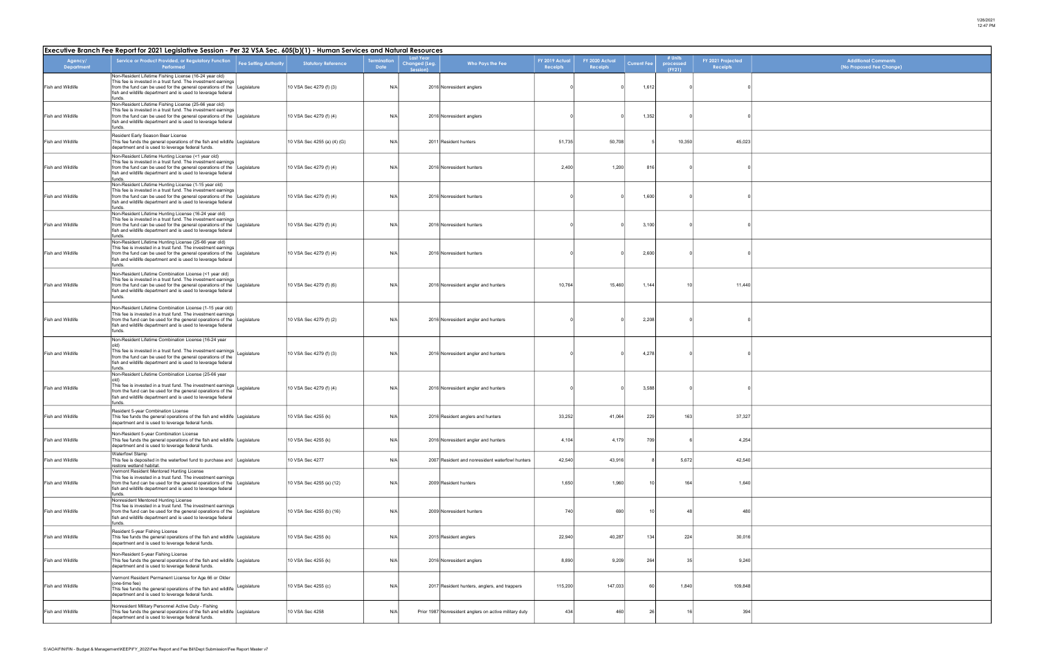| Additional Comments<br>(No Proposed Fee Change) |
|-------------------------------------------------|
|                                                 |
|                                                 |
|                                                 |
|                                                 |
|                                                 |
|                                                 |
|                                                 |
|                                                 |
|                                                 |
|                                                 |
|                                                 |
|                                                 |
|                                                 |
|                                                 |
|                                                 |
|                                                 |
|                                                 |
|                                                 |
|                                                 |
|                                                 |
|                                                 |
|                                                 |
|                                                 |
|                                                 |
|                                                 |
|                                                 |
|                                                 |
|                                                 |

| Executive Branch Fee Report for 2021 Legislative Session - Per 32 VSA Sec. 605(b)(1) - Human Services and Natural Resources |                                                                                                                                                                                                                                                                              |                              |                             |                           |                                               |                                                        |                                   |                                   |                    |                                |                                      |  |  |
|-----------------------------------------------------------------------------------------------------------------------------|------------------------------------------------------------------------------------------------------------------------------------------------------------------------------------------------------------------------------------------------------------------------------|------------------------------|-----------------------------|---------------------------|-----------------------------------------------|--------------------------------------------------------|-----------------------------------|-----------------------------------|--------------------|--------------------------------|--------------------------------------|--|--|
| Agency/<br>Department                                                                                                       | Service or Product Provided, or Regulatory Function<br>Performed                                                                                                                                                                                                             | <b>Fee Setting Authority</b> | <b>Statutory Reference</b>  | ermination<br><b>Date</b> | <b>Last Year</b><br>Changed (Leg.<br>Session) | Who Pays the Fee                                       | FY 2019 Actual<br><b>Receipts</b> | FY 2020 Actual<br><b>Receipts</b> | <b>Current Fee</b> | # Units<br>processed<br>(FY21) | FY 2021 Projected<br><b>Receipts</b> |  |  |
| Fish and Wildlife                                                                                                           | Non-Resident Lifetime Fishing License (16-24 year old)<br>This fee is invested in a trust fund. The investment earnings<br>from the fund can be used for the general operations of the<br>fish and wildlife department and is used to leverage federal<br>funds.             | Legislature                  | 10 VSA Sec 4279 (f) (3)     | N/A                       |                                               | 2016 Nonresident anglers                               |                                   |                                   | 1,612              |                                |                                      |  |  |
| Fish and Wildlife                                                                                                           | Non-Resident Lifetime Fishing License (25-66 year old)<br>This fee is invested in a trust fund. The investment earnings<br>from the fund can be used for the general operations of the<br>fish and wildlife department and is used to leverage federal<br>funds.             | Legislature                  | 10 VSA Sec 4279 (f) (4)     | N/A                       |                                               | 2016 Nonresident anglers                               |                                   |                                   | 1,352              |                                |                                      |  |  |
| Fish and Wildlife                                                                                                           | Resident Early Season Bear License<br>This fee funds the general operations of the fish and wildlife Legislature<br>department and is used to leverage federal funds.                                                                                                        |                              | 10 VSA Sec 4255 (a) (4) (G) | N/A                       |                                               | 2011 Resident hunters                                  | 51,735                            | 50,708                            |                    | 10,350                         | 45,023                               |  |  |
| Fish and Wildlife                                                                                                           | Non-Resident Lifetime Hunting License (<1 year old)<br>This fee is invested in a trust fund. The investment earnings<br>from the fund can be used for the general operations of the<br>fish and wildlife department and is used to leverage federal<br>funds.                | Legislature                  | 10 VSA Sec 4279 (f) (4)     | N/A                       |                                               | 2016 Nonresident hunters                               | 2,400                             | 1,200                             | 816                |                                |                                      |  |  |
| Fish and Wildlife                                                                                                           | Non-Resident Lifetime Hunting License (1-15 year old)<br>This fee is invested in a trust fund. The investment earnings<br>from the fund can be used for the general operations of the<br>fish and wildlife department and is used to leverage federal<br>funds.              | Legislature                  | 10 VSA Sec 4279 (f) (4)     | N/A                       |                                               | 2016 Nonresident hunters                               |                                   |                                   | 1,600              |                                |                                      |  |  |
| Fish and Wildlife                                                                                                           | Non-Resident Lifetime Hunting License (16-24 year old)<br>This fee is invested in a trust fund. The investment earnings<br>from the fund can be used for the general operations of the Legislature<br>fish and wildlife department and is used to leverage federal<br>funds. |                              | 10 VSA Sec 4279 (f) (4)     | N/A                       |                                               | 2016 Nonresident hunters                               |                                   |                                   | 3,100              |                                |                                      |  |  |
| Fish and Wildlife                                                                                                           | Non-Resident Lifetime Hunting License (25-66 year old)<br>This fee is invested in a trust fund. The investment earnings<br>from the fund can be used for the general operations of the<br>fish and wildlife department and is used to leverage federal<br>funds.             | Legislature                  | 10 VSA Sec 4279 (f) (4)     | N/A                       |                                               | 2016 Nonresident hunters                               |                                   |                                   | 2,600              |                                |                                      |  |  |
| <b>Fish and Wildlife</b>                                                                                                    | Non-Resident Lifetime Combination License (<1 year old)<br>This fee is invested in a trust fund. The investment earnings<br>from the fund can be used for the general operations of the<br>fish and wildlife department and is used to leverage federal<br>funds.            | Legislature                  | 10 VSA Sec 4279 (f) (6)     | N/A                       |                                               | 2016 Nonresident angler and hunters                    | 10,764                            | 15,460                            | 1,144              | 10                             | 11,440                               |  |  |
| <b>Fish and Wildlife</b>                                                                                                    | Non-Resident Lifetime Combination License (1-15 year old)<br>This fee is invested in a trust fund. The investment earnings<br>from the fund can be used for the general operations of the<br>fish and wildlife department and is used to leverage federal<br>funds.          | Legislature                  | 10 VSA Sec 4279 (f) (2)     | N/A                       |                                               | 2016 Nonresident angler and hunters                    |                                   |                                   | 2,208              |                                |                                      |  |  |
| Fish and Wildlife                                                                                                           | Non-Resident Lifetime Combination License (16-24 year<br>This fee is invested in a trust fund. The investment earnings<br>from the fund can be used for the general operations of the<br>fish and wildlife department and is used to leverage federal<br>funds.              | Legislature                  | 10 VSA Sec 4279 (f) (3)     | N/A                       |                                               | 2016 Nonresident angler and hunters                    |                                   |                                   | 4,278              |                                |                                      |  |  |
| Fish and Wildlife                                                                                                           | Non-Resident Lifetime Combination License (25-66 year<br>old)<br>This fee is invested in a trust fund. The investment earnings<br>from the fund can be used for the general operations of the<br>fish and wildlife department and is used to leverage federal<br>funds.      | Legislature                  | 10 VSA Sec 4279 (f) (4)     | N/A                       |                                               | 2016 Nonresident angler and hunters                    |                                   |                                   | 3,588              |                                |                                      |  |  |
| Fish and Wildlife                                                                                                           | Resident 5-year Combination License<br>This fee funds the general operations of the fish and wildlife Legislature<br>department and is used to leverage federal funds.                                                                                                       |                              | 10 VSA Sec 4255 (k)         | N/A                       |                                               | 2016 Resident anglers and hunters                      | 33,252                            | 41,064                            | 229                | 163                            | 37,327                               |  |  |
| Fish and Wildlife                                                                                                           | Non-Resident 5-year Combination License<br>This fee funds the general operations of the fish and wildlife Legislature<br>department and is used to leverage federal funds.                                                                                                   |                              | 10 VSA Sec 4255 (k)         | N/A                       |                                               | 2016 Nonresident angler and hunters                    | 4,104                             | 4,179                             | 709                |                                | 4,254                                |  |  |
| Fish and Wildlife                                                                                                           | <b>Waterfowl Stamp</b><br>This fee is deposited in the waterfowl fund to purchase and Legislature<br>restore wetland habitat.                                                                                                                                                |                              | 10 VSA Sec 4277             | N/A                       |                                               | 2007 Resident and nonresident waterfowl hunters        | 42,540                            | 43,916                            |                    | 5,672                          | 42,540                               |  |  |
| Fish and Wildlife                                                                                                           | Vermont Resident Mentored Hunting License<br>This fee is invested in a trust fund. The investment earnings<br>from the fund can be used for the general operations of the<br>fish and wildlife department and is used to leverage federal<br>funds.                          | Legislature                  | 10 VSA Sec 4255 (a) (12)    | N/A                       |                                               | 2009 Resident hunters                                  | 1,650                             | 1,960                             | 10 <sup>1</sup>    | 164                            | 1,640                                |  |  |
| Fish and Wildlife                                                                                                           | Nonresident Mentored Hunting License<br>This fee is invested in a trust fund. The investment earnings<br>from the fund can be used for the general operations of the<br>fish and wildlife department and is used to leverage federal<br>funds.                               | Legislature                  | 10 VSA Sec 4255 (b) (16)    | N/A                       |                                               | 2009 Nonresident hunters                               | 740                               | 690                               | 10 <sup>1</sup>    | $\Delta$                       | 480                                  |  |  |
| Fish and Wildlife                                                                                                           | Resident 5-year Fishing License<br>This fee funds the general operations of the fish and wildlife Legislature<br>department and is used to leverage federal funds.                                                                                                           |                              | 10 VSA Sec 4255 (k)         | N/A                       |                                               | 2015 Resident anglers                                  | 22,940                            | 40,287                            | 134                | 224                            | 30,016                               |  |  |
| Fish and Wildlife                                                                                                           | Non-Resident 5-year Fishing License<br>This fee funds the general operations of the fish and wildlife Legislature<br>department and is used to leverage federal funds.                                                                                                       |                              | 10 VSA Sec 4255 (k)         | N/A                       |                                               | 2016 Nonresident anglers                               | 8,890                             | 9,209                             | 264                | 35                             | 9,240                                |  |  |
| Fish and Wildlife                                                                                                           | Vermont Resident Permanent License for Age 66 or Older<br>(one-time fee)<br>This fee funds the general operations of the fish and wildlife<br>department and is used to leverage federal funds.                                                                              | Legislature                  | 10 VSA Sec 4255 (c)         | N/A                       |                                               | 2017 Resident hunters, anglers, and trappers           | 115,200                           | 147,033                           | 60                 | 1,840                          | 109,848                              |  |  |
| Fish and Wildlife                                                                                                           | Nonresident Military Personnel Active Duty - Fishing<br>This fee funds the general operations of the fish and wildlife Legislature<br>department and is used to leverage federal funds.                                                                                      |                              | 10 VSA Sec 4258             | N/A                       |                                               | Prior 1987 Nonresident anglers on active military duty | 434                               | 460                               | <b>26</b>          | 16                             | 394                                  |  |  |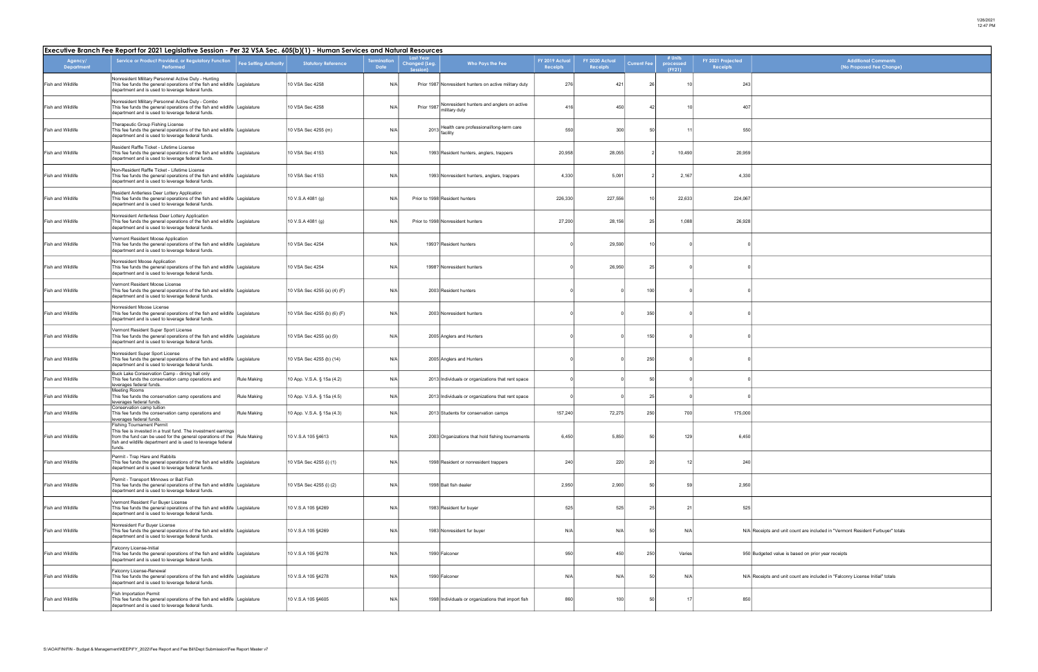| <b>Additional Comments</b><br>(No Proposed Fee Change)                    |
|---------------------------------------------------------------------------|
|                                                                           |
|                                                                           |
|                                                                           |
|                                                                           |
|                                                                           |
|                                                                           |
|                                                                           |
|                                                                           |
|                                                                           |
|                                                                           |
|                                                                           |
|                                                                           |
|                                                                           |
|                                                                           |
|                                                                           |
|                                                                           |
|                                                                           |
|                                                                           |
|                                                                           |
|                                                                           |
|                                                                           |
|                                                                           |
|                                                                           |
|                                                                           |
|                                                                           |
|                                                                           |
| eceipts and unit count are included in "Vermont Resident Furbuyer" totals |
| udgeted value is based on prior year receipts                             |
| teceipts and unit count are included in "Falconry License Initial" totals |
|                                                                           |

| Executive Branch Fee Report for 2021 Legislative Session - Per 32 VSA Sec. 605(b)(1) - Human Services and Natural Resources |                                                                                                                                                                                                                                              |                              |                             |                   |                                               |                                                                       |                            |                           |                    |                                |                               |                                                                                |
|-----------------------------------------------------------------------------------------------------------------------------|----------------------------------------------------------------------------------------------------------------------------------------------------------------------------------------------------------------------------------------------|------------------------------|-----------------------------|-------------------|-----------------------------------------------|-----------------------------------------------------------------------|----------------------------|---------------------------|--------------------|--------------------------------|-------------------------------|--------------------------------------------------------------------------------|
| Agency/<br><b>Department</b>                                                                                                | Service or Product Provided, or Regulatory Function<br>Performed                                                                                                                                                                             | <b>Fee Setting Authority</b> | <b>Statutory Reference</b>  | rminatior<br>Date | <b>Last Year</b><br>Changed (Leg.<br>Session) | Who Pays the Fee                                                      | FY 2019 Actual<br>Receipts | FY 2020 Actua<br>Receipts | <b>Current Fee</b> | # Units<br>processed<br>(FY21) | FY 2021 Projected<br>Receipts | <b>Additional Comments</b><br>(No Proposed Fee Change)                         |
| Fish and Wildlife                                                                                                           | Nonresident Military Personnel Active Duty - Hunting<br>This fee funds the general operations of the fish and wildlife Legislature<br>department and is used to leverage federal funds.                                                      |                              | 10 VSA Sec 4258             | N/A               |                                               | Prior 1987 Nonresident hunters on active military duty                | 276                        | 421                       | 26                 |                                | 243                           |                                                                                |
| Fish and Wildlife                                                                                                           | Nonresident Military Personnel Active Duty - Combo<br>This fee funds the general operations of the fish and wildlife Legislature<br>department and is used to leverage federal funds.                                                        |                              | 10 VSA Sec 4258             | N/A               |                                               | Prior 1987 Nonresident hunters and anglers on active<br>military duty | 416                        | 450                       | $\mathbf{A}$       |                                | 407                           |                                                                                |
| Fish and Wildlife                                                                                                           | Therapeutic Group Fishing License<br>This fee funds the general operations of the fish and wildlife Legislature<br>department and is used to leverage federal funds.                                                                         |                              | 10 VSA Sec 4255 (m)         | N/A               |                                               | 2013 Health care professional/long-term care<br>facility              | 550                        | 300                       | 5                  | 11                             | 550                           |                                                                                |
| Fish and Wildlife                                                                                                           | Resident Raffle Ticket - Lifetime License<br>This fee funds the general operations of the fish and wildlife Legislature<br>department and is used to leverage federal funds.                                                                 |                              | 10 VSA Sec 4153             | N/A               |                                               | 1993 Resident hunters, anglers, trappers                              | 20,958                     | 28,055                    |                    | 10,490                         | 20,959                        |                                                                                |
| Fish and Wildlife                                                                                                           | Non-Resident Raffle Ticket - Lifetime License<br>This fee funds the general operations of the fish and wildlife Legislature<br>department and is used to leverage federal funds.                                                             |                              | 10 VSA Sec 4153             | N/A               |                                               | 1993 Nonresident hunters, anglers, trappers                           | 4,330                      | 5,091                     |                    | 2,167                          | 4,330                         |                                                                                |
| Fish and Wildlife                                                                                                           | Resident Antlerless Deer Lottery Application<br>This fee funds the general operations of the fish and wildlife Legislature<br>department and is used to leverage federal funds.                                                              |                              | 10 V.S.A 4081 (g)           | N/A               |                                               | Prior to 1998 Resident hunters                                        | 226,330                    | 227,556                   |                    | 22,633                         | 224,067                       |                                                                                |
| Fish and Wildlife                                                                                                           | Nonresident Antlerless Deer Lottery Application<br>This fee funds the general operations of the fish and wildlife Legislature<br>department and is used to leverage federal funds.                                                           |                              | 10 V.S.A 4081 (g)           | N/A               |                                               | Prior to 1998 Nonresident hunters                                     | 27,200                     | 28,156                    | 25                 | 1,088                          | 26,928                        |                                                                                |
| Fish and Wildlife                                                                                                           | Vermont Resident Moose Application<br>This fee funds the general operations of the fish and wildlife Legislature<br>department and is used to leverage federal funds.                                                                        |                              | 10 VSA Sec 4254             | N/A               |                                               | 1993? Resident hunters                                                |                            | 29,590                    |                    |                                |                               |                                                                                |
| Fish and Wildlife                                                                                                           | Nonresident Moose Application<br>This fee funds the general operations of the fish and wildlife Legislature<br>department and is used to leverage federal funds.                                                                             |                              | 10 VSA Sec 4254             | N/A               |                                               | 1998? Nonresident hunters                                             |                            | 26,950                    | 25                 |                                |                               |                                                                                |
| Fish and Wildlife                                                                                                           | Vermont Resident Moose License<br>This fee funds the general operations of the fish and wildlife Legislature<br>department and is used to leverage federal funds.                                                                            |                              | 10 VSA Sec 4255 (a) (4) (F) | N/A               |                                               | 2003 Resident hunters                                                 |                            |                           | 100                |                                |                               |                                                                                |
| Fish and Wildlife                                                                                                           | Nonresident Moose License<br>This fee funds the general operations of the fish and wildlife Legislature<br>department and is used to leverage federal funds.                                                                                 |                              | 10 VSA Sec 4255 (b) (6) (F) | N/A               |                                               | 2003 Nonresident hunters                                              |                            |                           | 350                |                                |                               |                                                                                |
| Fish and Wildlife                                                                                                           | Vermont Resident Super Sport License<br>This fee funds the general operations of the fish and wildlife Legislature<br>department and is used to leverage federal funds.                                                                      |                              | 10 VSA Sec 4255 (a) (9)     | N/A               |                                               | 2005 Anglers and Hunters                                              |                            |                           | 150                |                                |                               |                                                                                |
| Fish and Wildlife                                                                                                           | Nonresident Super Sport License<br>This fee funds the general operations of the fish and wildlife Legislature<br>department and is used to leverage federal funds.                                                                           |                              | 10 VSA Sec 4255 (b) (14)    | N/A               |                                               | 2005 Anglers and Hunters                                              |                            |                           | 250                |                                |                               |                                                                                |
| Fish and Wildlife                                                                                                           | Buck Lake Conservation Camp - dining hall only<br>This fee funds the conservation camp operations and<br>leverages federal funds.                                                                                                            | <b>Rule Making</b>           | 10 App. V.S.A. § 15a (4.2)  | N/A               |                                               | 2013 Individuals or organizations that rent space                     |                            |                           | $\overline{5}$     |                                |                               |                                                                                |
| <b>Fish and Wildlife</b>                                                                                                    | <b>Meeting Rooms</b><br>This fee funds the conservation camp operations and<br>leverages federal funds.                                                                                                                                      | Rule Making                  | 10 App. V.S.A. § 15a (4.5)  | N/A               |                                               | 2013 Individuals or organizations that rent space                     |                            |                           | 25                 |                                |                               |                                                                                |
| Fish and Wildlife                                                                                                           | Conservation camp tuition<br>This fee funds the conservation camp operations and<br>leverages federal funds.                                                                                                                                 | Rule Making                  | 10 App. V.S.A. § 15a (4.3)  | N/A               |                                               | 2013 Students for conservation camps                                  | 157,240                    | 72,275                    | 250                | 700                            | 175,000                       |                                                                                |
| Fish and Wildlife                                                                                                           | <b>Fishing Tournament Permit</b><br>This fee is invested in a trust fund. The investment earnings<br>from the fund can be used for the general operations of the Rule Making<br>fish and wildlife department and is used to leverage federal |                              | 10 V.S.A 105 §4613          | N/A               |                                               | 2003 Organizations that hold fishing tournaments                      | 6,450                      | 5,850                     | 50                 | 129                            | 6,450                         |                                                                                |
| Fish and Wildlife                                                                                                           | funds.<br>Permit - Trap Hare and Rabbits<br>This fee funds the general operations of the fish and wildlife Legislature<br>department and is used to leverage federal funds.                                                                  |                              | 10 VSA Sec 4255 (i) (1)     | N/A               |                                               | 1998 Resident or nonresident trappers                                 | 240                        | 220                       | 20                 | 12                             | 240                           |                                                                                |
| Fish and Wildlife                                                                                                           | Permit - Transport Minnows or Bait Fish<br>This fee funds the general operations of the fish and wildlife Legislature<br>department and is used to leverage federal funds.                                                                   |                              | 10 VSA Sec 4255 (i) (2)     | N/A               |                                               | 1998 Bait fish dealer                                                 | 2,950                      | 2,900                     | 5                  | 59                             | 2,950                         |                                                                                |
| Fish and Wildlife                                                                                                           | Vermont Resident Fur Buyer License<br>This fee funds the general operations of the fish and wildlife Legislature<br>department and is used to leverage federal funds.                                                                        |                              | 10 V.S.A 105 §4269          | N/A               |                                               | 1983 Resident fur buyer                                               | 525                        | 525                       | 25                 | 21                             | 525                           |                                                                                |
| Fish and Wildlife                                                                                                           | Nonresident Fur Buyer License<br>This fee funds the general operations of the fish and wildlife Legislature<br>department and is used to leverage federal funds.                                                                             |                              | 10 V.S.A 105 §4269          | N/A               |                                               | 1983 Nonresident fur buyer                                            | N/A                        | N/A                       |                    | N/A                            |                               | N/A Receipts and unit count are included in "Vermont Resident Furbuyer" totals |
| Fish and Wildlife                                                                                                           | Falconry License-Initial<br>This fee funds the general operations of the fish and wildlife Legislature<br>department and is used to leverage federal funds.                                                                                  |                              | 10 V.S.A 105 §4278          | N/A               |                                               | 1990 Falconer                                                         | 950                        | 450                       | 250                | Varies                         |                               | 950 Budgeted value is based on prior year receipts                             |
| Fish and Wildlife                                                                                                           | Falconry License-Renewal<br>This fee funds the general operations of the fish and wildlife Legislature<br>department and is used to leverage federal funds.                                                                                  |                              | 10 V.S.A 105 §4278          | N/A               |                                               | 1990 Falconer                                                         | N/A                        | N/A                       |                    | N/A                            |                               | N/A Receipts and unit count are included in "Falconry License Initial" totals  |
| Fish and Wildlife                                                                                                           | <b>Fish Importation Permit</b><br>This fee funds the general operations of the fish and wildlife Legislature<br>department and is used to leverage federal funds.                                                                            |                              | 10 V.S.A 105 §4605          | N/A               |                                               | 1998 Individuals or organizations that import fish                    | 860                        | 100                       | 50                 | 17                             | 850                           |                                                                                |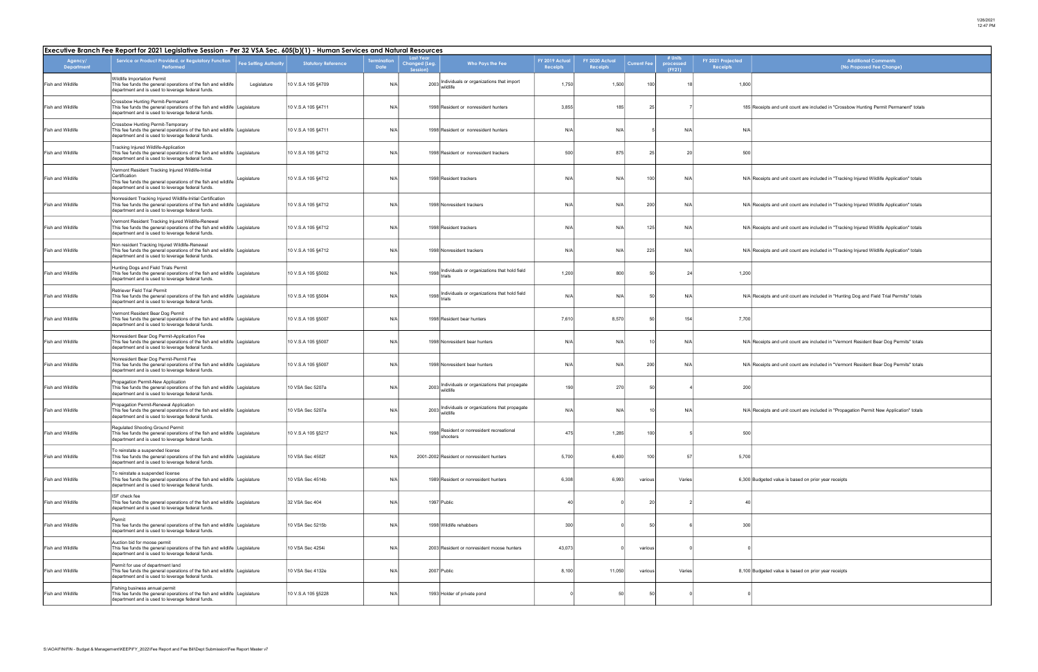| <b>Additional Comments</b>                                                         |
|------------------------------------------------------------------------------------|
| (No Proposed Fee Change)                                                           |
|                                                                                    |
| ipts and unit count are included in "Crossbow Hunting Permit Permanent" totals     |
|                                                                                    |
|                                                                                    |
| ipts and unit count are included in "Tracking Injured Wildlife Application" totals |
| ipts and unit count are included in "Tracking Injured Wildlife Application" totals |
| ipts and unit count are included in "Tracking Injured Wildlife Application" totals |
| ipts and unit count are included in "Tracking Injured Wildlife Application" totals |
|                                                                                    |
| ipts and unit count are included in "Hunting Dog and Field Trial Permits" totals   |
|                                                                                    |
| ipts and unit count are included in "Vermont Resident Bear Dog Permits" totals     |
| ipts and unit count are included in "Vermont Resident Bear Dog Permits" totals     |
|                                                                                    |
| ipts and unit count are included in "Propagation Permit New Application" totals    |
|                                                                                    |
|                                                                                    |
| eted value is based on prior year receipts                                         |
|                                                                                    |
|                                                                                    |
|                                                                                    |
| eted value is based on prior year receipts                                         |
|                                                                                    |

| Executive Branch Fee Report for 2021 Legislative Session - Per 32 VSA Sec. 605(b)(1) - Human Services and Natural Resources |                                                                                                                                                                                                |                              |                            |                           |                                                                   |                            |                            |                    |                                |                                      |                                                                                            |
|-----------------------------------------------------------------------------------------------------------------------------|------------------------------------------------------------------------------------------------------------------------------------------------------------------------------------------------|------------------------------|----------------------------|---------------------------|-------------------------------------------------------------------|----------------------------|----------------------------|--------------------|--------------------------------|--------------------------------------|--------------------------------------------------------------------------------------------|
| Agency/<br>Department                                                                                                       | Service or Product Provided, or Regulatory Function<br>Performed                                                                                                                               | <b>Fee Setting Authority</b> | <b>Statutory Reference</b> | ermination<br><b>Date</b> | <b>Last Year</b><br>Changed (Leg.<br>Who Pays the Fee<br>Session) | FY 2019 Actual<br>Receipts | FY 2020 Actual<br>Receipts | <b>Current Fee</b> | # Units<br>processed<br>(FY21) | FY 2021 Projected<br><b>Receipts</b> | <b>Additional Comments</b><br>(No Proposed Fee Change)                                     |
| Fish and Wildlife                                                                                                           | Wildlife Importation Permit<br>This fee funds the general operations of the fish and wildlife<br>department and is used to leverage federal funds.                                             | Legislature                  | 10 V.S.A 105 §4709         | N/A                       | 2003 Individuals or organizations that import<br>wildlife         | 1,750                      | 1,500                      | 100                |                                | 1,800                                |                                                                                            |
| Fish and Wildlife                                                                                                           | Crossbow Hunting Permit-Permanent<br>This fee funds the general operations of the fish and wildlife Legislature<br>department and is used to leverage federal funds.                           |                              | 10 V.S.A 105 §4711         | N/A                       | 1998 Resident or nonresident hunters                              | 3,855                      | 185                        | 25                 |                                |                                      | 185 Receipts and unit count are included in "Crossbow Hunting Permit Permanent" totals     |
| Fish and Wildlife                                                                                                           | Crossbow Hunting Permit-Temporary<br>This fee funds the general operations of the fish and wildlife Legislature<br>department and is used to leverage federal funds.                           |                              | 10 V.S.A 105 §4711         | N/A                       | 1998 Resident or nonresident hunters                              | N/A                        | N/A                        |                    | N/A                            | N/A                                  |                                                                                            |
| Fish and Wildlife                                                                                                           | Tracking Injured Wildlife-Application<br>This fee funds the general operations of the fish and wildlife Legislature<br>department and is used to leverage federal funds.                       |                              | 10 V.S.A 105 §4712         | N/A                       | 1998 Resident or nonresident trackers                             | 500                        | 875                        | 25                 | 20                             | 500                                  |                                                                                            |
| Fish and Wildlife                                                                                                           | /ermont Resident Tracking Injured Wildlife-Initial<br>Certification<br>This fee funds the general operations of the fish and wildlife<br>department and is used to leverage federal funds.     | Legislature                  | 10 V.S.A 105 §4712         | N/A                       | 1998 Resident trackers                                            | N/A                        | N/A                        | 100                | N/A                            |                                      | N/A Receipts and unit count are included in "Tracking Injured Wildlife Application" totals |
| Fish and Wildlife                                                                                                           | Nonresident Tracking Injured Wildlife-Initial Certification<br>This fee funds the general operations of the fish and wildlife Legislature<br>department and is used to leverage federal funds. |                              | 10 V.S.A 105 §4712         | N/A                       | 1998 Nonresident trackers                                         | N/A                        | N/A                        | 200                | N/A                            |                                      | N/A Receipts and unit count are included in "Tracking Injured Wildlife Application" totals |
| Fish and Wildlife                                                                                                           | Vermont Resident Tracking Injured Wildlife-Renewal<br>This fee funds the general operations of the fish and wildlife Legislature<br>department and is used to leverage federal funds.          |                              | 10 V.S.A 105 §4712         | N/A                       | 1998 Resident trackers                                            | N/A                        | N/A                        | 125                | N/A                            |                                      | N/A Receipts and unit count are included in "Tracking Injured Wildlife Application" totals |
| Fish and Wildlife                                                                                                           | Non resident Tracking Injured Wildlife-Renewal<br>This fee funds the general operations of the fish and wildlife Legislature<br>department and is used to leverage federal funds.              |                              | 10 V.S.A 105 §4712         | N/A                       | 1998 Nonresident trackers                                         | N/A                        | N/A                        | 225                | N/A                            |                                      | N/A Receipts and unit count are included in "Tracking Injured Wildlife Application" totals |
| Fish and Wildlife                                                                                                           | Hunting Dogs and Field Trials Permit<br>This fee funds the general operations of the fish and wildlife Legislature<br>department and is used to leverage federal funds.                        |                              | 10 V.S.A 105 §5002         | N/A                       | 1998 Individuals or organizations that hold field<br>trials       | 1,200                      | 800                        | 50                 | 24                             | 1,200                                |                                                                                            |
| Fish and Wildlife                                                                                                           | <b>Retriever Field Trial Permit</b><br>This fee funds the general operations of the fish and wildlife Legislature<br>department and is used to leverage federal funds.                         |                              | 10 V.S.A 105 §5004         | N/A                       | 1998 Individuals or organizations that hold field                 | N/A                        | N/A                        | -50                | N/A                            |                                      | N/A Receipts and unit count are included in "Hunting Dog and Field Trial Permits" totals   |
| Fish and Wildlife                                                                                                           | Vermont Resident Bear Dog Permit<br>This fee funds the general operations of the fish and wildlife Legislature<br>department and is used to leverage federal funds.                            |                              | 10 V.S.A 105 §5007         | N/A                       | 1998 Resident bear hunters                                        | 7,610                      | 8,570                      | 50                 | 154                            | 7,700                                |                                                                                            |
| Fish and Wildlife                                                                                                           | Nonresident Bear Dog Permit-Application Fee<br>This fee funds the general operations of the fish and wildlife Legislature<br>department and is used to leverage federal funds.                 |                              | 10 V.S.A 105 §5007         | N/A                       | 1998 Nonresident bear hunters                                     | N/A                        | N/A                        | 10                 | N/A                            |                                      | N/A Receipts and unit count are included in "Vermont Resident Bear Dog Permits" totals     |
| Fish and Wildlife                                                                                                           | Nonresident Bear Dog Permit-Permit Fee<br>This fee funds the general operations of the fish and wildlife Legislature<br>department and is used to leverage federal funds.                      |                              | 10 V.S.A 105 §5007         | N/A                       | 1998 Nonresident bear hunters                                     | N/A                        | N/A                        | 200                | N/A                            |                                      | N/A Receipts and unit count are included in "Vermont Resident Bear Dog Permits" totals     |
| Fish and Wildlife                                                                                                           | Propagation Permit-New Application<br>This fee funds the general operations of the fish and wildlife Legislature<br>department and is used to leverage federal funds.                          |                              | 10 VSA Sec 5207a           | N/A                       | 2003 Individuals or organizations that propagate<br>wildlife      | 190                        | 270                        | 50                 |                                | 200                                  |                                                                                            |
| Fish and Wildlife                                                                                                           | Propagation Permit-Renewal Application<br>This fee funds the general operations of the fish and wildlife Legislature<br>department and is used to leverage federal funds.                      |                              | 10 VSA Sec 5207a           | N/A                       | 2003 Individuals or organizations that propagate<br>wildlife      | N/A                        | N/A                        | 10                 | N/A                            |                                      | N/A Receipts and unit count are included in "Propagation Permit New Application" totals    |
| Fish and Wildlife                                                                                                           | Regulated Shooting Ground Permit<br>This fee funds the general operations of the fish and wildlife Legislature<br>department and is used to leverage federal funds.                            |                              | 10 V.S.A 105 §5217         | N/A                       | Resident or nonresident recreational<br>1998<br>shooters          | 475                        | 1,285                      | 100                |                                | 500                                  |                                                                                            |
| Fish and Wildlife                                                                                                           | To reinstate a suspended license<br>This fee funds the general operations of the fish and wildlife Legislature<br>department and is used to leverage federal funds.                            |                              | 10 VSA Sec 4502f           | N/A                       | 2001-2002 Resident or nonresident hunters                         | 5,700                      | 6,400                      | 100                | 57                             | 5,700                                |                                                                                            |
| Fish and Wildlife                                                                                                           | To reinstate a suspended license<br>This fee funds the general operations of the fish and wildlife Legislature<br>department and is used to leverage federal funds.                            |                              | 10 VSA Sec 4514b           | N/A                       | 1989 Resident or nonresident hunters                              | 6,308                      | 6,993                      | various            | Varies                         |                                      | 6,300 Budgeted value is based on prior year receipts                                       |
| Fish and Wildlife                                                                                                           | ISF check fee<br>This fee funds the general operations of the fish and wildlife Legislature<br>department and is used to leverage federal funds.                                               |                              | 32 VSA Sec 404             | N/A                       | 1997 Public                                                       | $\Delta($                  |                            | 20                 |                                | $\Delta($                            |                                                                                            |
| Fish and Wildlife                                                                                                           | Permit<br>This fee funds the general operations of the fish and wildlife Legislature<br>department and is used to leverage federal funds.                                                      |                              | 10 VSA Sec 5215b           | N/A                       | 1998 Wildlife rehabbers                                           | 300                        |                            | 50                 |                                | 300                                  |                                                                                            |
| Fish and Wildlife                                                                                                           | Auction bid for moose permit<br>This fee funds the general operations of the fish and wildlife Legislature<br>department and is used to leverage federal funds.                                |                              | 10 VSA Sec 4254i           | N/A                       | 2003 Resident or nonresident moose hunters                        | 43,073                     |                            | various            |                                |                                      |                                                                                            |
| Fish and Wildlife                                                                                                           | Permit for use of department land<br>This fee funds the general operations of the fish and wildlife Legislature<br>department and is used to leverage federal funds.                           |                              | 10 VSA Sec 4132e           | N/A                       | 2007 Public                                                       | 8,100                      | 11,050                     | various            | Varies                         |                                      | 8,100 Budgeted value is based on prior year receipts                                       |
| Fish and Wildlife                                                                                                           | Fishing business annual permit<br>This fee funds the general operations of the fish and wildlife Legislature<br>department and is used to leverage federal funds.                              |                              | 10 V.S.A 105 §5228         | N/A                       | 1993 Holder of private pond                                       |                            | 50                         | 50                 |                                |                                      |                                                                                            |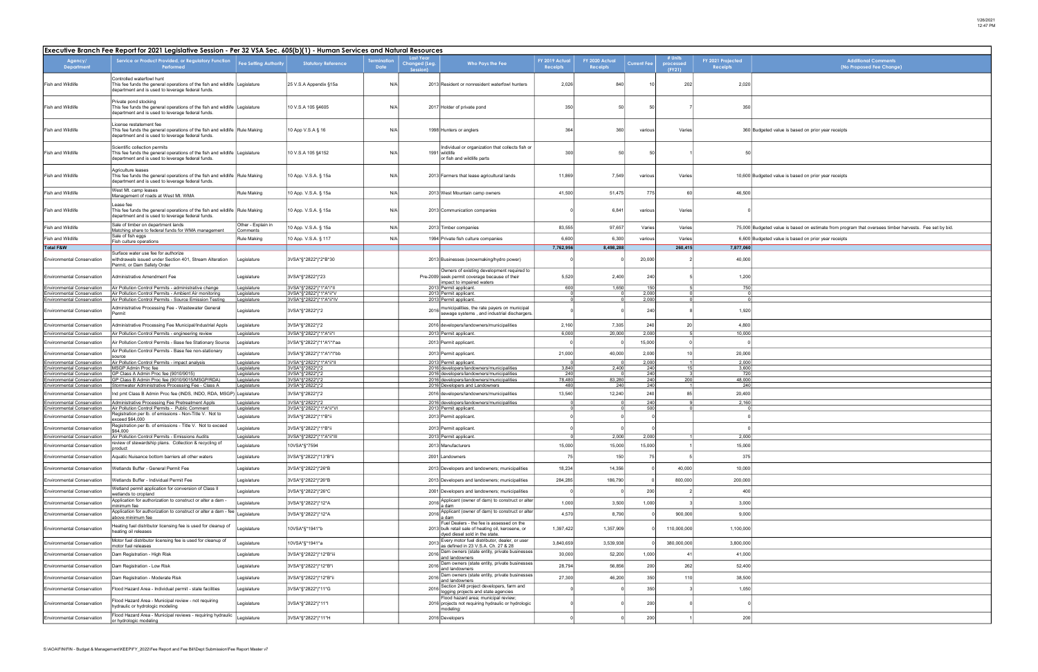| <b>Additional Comments</b>                                                                   |
|----------------------------------------------------------------------------------------------|
| (No Proposed Fee Change)                                                                     |
|                                                                                              |
|                                                                                              |
|                                                                                              |
|                                                                                              |
|                                                                                              |
| jeted value is based on prior year receipts                                                  |
|                                                                                              |
|                                                                                              |
|                                                                                              |
| jeted value is based on prior year receipts                                                  |
|                                                                                              |
|                                                                                              |
|                                                                                              |
|                                                                                              |
| jeted value is based on estimate from program that oversees timber harvests. Fee set by bid. |
| jeted value is based on prior year receipts                                                  |
|                                                                                              |
|                                                                                              |
|                                                                                              |
|                                                                                              |
|                                                                                              |
|                                                                                              |
|                                                                                              |
|                                                                                              |
|                                                                                              |
|                                                                                              |
|                                                                                              |
|                                                                                              |
|                                                                                              |
|                                                                                              |
|                                                                                              |
|                                                                                              |
|                                                                                              |
|                                                                                              |
|                                                                                              |
|                                                                                              |
|                                                                                              |
|                                                                                              |
|                                                                                              |
|                                                                                              |
|                                                                                              |
|                                                                                              |
|                                                                                              |
|                                                                                              |
|                                                                                              |
|                                                                                              |
|                                                                                              |
|                                                                                              |
|                                                                                              |
|                                                                                              |
|                                                                                              |
|                                                                                              |
|                                                                                              |
|                                                                                              |

| Executive Branch Fee Report for 2021 Legislative Session - Per 32 VSA Sec. 605(b)(1) - Human Services and Natural Resources |                                                                                                                                                                  |                                 |                                            |                          |                                               |                                                                                                                                   |                           |                            |                    |                                |                                      |                                                                                                        |
|-----------------------------------------------------------------------------------------------------------------------------|------------------------------------------------------------------------------------------------------------------------------------------------------------------|---------------------------------|--------------------------------------------|--------------------------|-----------------------------------------------|-----------------------------------------------------------------------------------------------------------------------------------|---------------------------|----------------------------|--------------------|--------------------------------|--------------------------------------|--------------------------------------------------------------------------------------------------------|
| Agency/<br><b>Department</b>                                                                                                | Service or Product Provided, or Regulatory Function<br>Performed                                                                                                 | Fee Setting Authority           | <b>Statutory Reference</b>                 | rminatior<br><b>Date</b> | <b>Last Year</b><br>Changed (Leg.<br>Session) | Who Pays the Fee                                                                                                                  | FY 2019 Actuc<br>Receipts | FY 2020 Actual<br>Receipts | <b>Current Fee</b> | # Units<br>processed<br>(FY21) | FY 2021 Projected<br><b>Receipts</b> | <b>Additional Comments</b><br>(No Proposed Fee Change)                                                 |
| Fish and Wildlife                                                                                                           | Controlled waterfowl hunt<br>This fee funds the general operations of the fish and wildlife Legislature<br>department and is used to leverage federal funds.     |                                 | 25 V.S.A Appendix §15a                     | N/A                      |                                               | 2013 Resident or nonresident waterfowl hunters                                                                                    | 2,026                     | 840                        |                    | 202                            | 2,020                                |                                                                                                        |
| Fish and Wildlife                                                                                                           | Private pond stocking<br>This fee funds the general operations of the fish and wildlife Legislature<br>department and is used to leverage federal funds.         |                                 | 10 V.S.A 105 §4605                         | N/A                      |                                               | 2017 Holder of private pond                                                                                                       | 350                       | 50                         | 50                 |                                | 350                                  |                                                                                                        |
| Fish and Wildlife                                                                                                           | License restatement fee<br>This fee funds the general operations of the fish and wildlife Rule Making<br>department and is used to leverage federal funds.       |                                 | 10 App V.S.A § 16                          | N/A                      |                                               | 1998 Hunters or anglers                                                                                                           | 364                       | 360                        | various            | Varies                         |                                      | 360 Budgeted value is based on prior year receipts                                                     |
| Fish and Wildlife                                                                                                           | Scientific collection permits<br>This fee funds the general operations of the fish and wildlife Legislature<br>department and is used to leverage federal funds. |                                 | 10 V.S.A 105 §4152                         | N/A                      |                                               | Individual or organization that collects fish or<br>1991 wildlife<br>or fish and wildlife parts                                   | 300                       | 50                         | 50                 |                                | 50                                   |                                                                                                        |
| Fish and Wildlife                                                                                                           | Agriculture leases<br>This fee funds the general operations of the fish and wildlife Rule Making<br>department and is used to leverage federal funds.            |                                 | 10 App. V.S.A. § 15a                       | N/A                      |                                               | 2013 Farmers that lease agricultural lands                                                                                        | 11,869                    | 7,549                      | various            | Varies                         |                                      | 10,600 Budgeted value is based on prior year receipts                                                  |
| Fish and Wildlife                                                                                                           | West Mt. camp leases<br>Management of roads at West Mt. WMA                                                                                                      | Rule Making                     | 10 App. V.S.A. § 15a                       | N/A                      |                                               | 2013 West Mountain camp owners                                                                                                    | 41,500                    | 51,475                     | 775                | 60                             | 46,500                               |                                                                                                        |
| Fish and Wildlife                                                                                                           | Lease fee<br>This fee funds the general operations of the fish and wildlife Rule Making<br>department and is used to leverage federal funds.                     |                                 | 10 App. V.S.A. § 15a                       | N/A                      |                                               | 2013 Communication companies                                                                                                      |                           | 6,841                      | various            | Varies                         |                                      |                                                                                                        |
| Fish and Wildlife                                                                                                           | Sale of timber on department lands<br>Matching share to federal funds for WMA management                                                                         | Other - Explain in<br>comments: | 10 App. V.S.A. § 15a                       | N/A                      |                                               | 2013 Timber companies                                                                                                             | 83,555                    | 97,657                     | Varies             | Varies                         |                                      | 75,000 Budgeted value is based on estimate from program that oversees timber harvests. Fee set by bid. |
| Fish and Wildlife                                                                                                           | Sale of fish eggs                                                                                                                                                | <b>Rule Making</b>              | 10 App. V.S.A. § 117                       | N/A                      |                                               | 1994 Private fish culture companies                                                                                               | 6,600                     | 6,300                      | various            | Varies                         |                                      | 6,600 Budgeted value is based on prior year receipts                                                   |
| <b>Total F&amp;W</b>                                                                                                        | Fish culture operations                                                                                                                                          |                                 |                                            |                          |                                               |                                                                                                                                   | 7,762,956                 | 8,498,288                  |                    | 260,415                        | 7,877,060                            |                                                                                                        |
| <b>Environmental Conservation</b>                                                                                           | Surface water use fee for authorize<br>withdrawals issued under Section 401, Stream Alteration<br>Permit, or Dam Safety Order                                    | egislature                      | 3VSA*§*2822*j*2*B*30                       |                          |                                               | 2013 Businesses (snowmaking/hydro power)<br>Owners of existing development required to                                            |                           |                            | 20,000             |                                | 40,000                               |                                                                                                        |
| <b>Environmental Conservation</b><br>Environmental Conservation                                                             | Administrative Amendment Fee<br>Air Pollution Control Permits - administrative change                                                                            | Legislature<br>egislature       | 3VSA*§*2822*j*23<br>3VSA*§*2822*j*1*A*i*II |                          |                                               | Pre-2009 seek permit coverage because of their<br>impact to impaired waters<br>2013 Permit applicant.                             | 5,520<br>600              | 2,400<br>1,650             | 240<br>150         |                                | 1,200<br>750                         |                                                                                                        |
| Environmental Conservation                                                                                                  | Air Pollution Control Permits - Ambient Air monitoring                                                                                                           | Legislature                     | 3VSA*§*2822*j*1*A*ii*V                     |                          |                                               | 2013 Permit applicant.                                                                                                            |                           |                            | 2,000              |                                |                                      |                                                                                                        |
| Environmental Conservation<br><b>Environmental Conservation</b>                                                             | Air Pollution Control Permits - Source Emission Testing<br>Administrative Processing Fee - Wastewater General<br>Permit                                          | egislature<br>Legislature       | 3VSA*§*2822*j*1*A*ii*IV<br>3VSA*§*2822*j*2 |                          | 2016                                          | 2013 Permit applicant.<br>municipalities, the rate payers on municipal<br>sewage systems, and industrial dischargers              |                           |                            | 2,000<br>240       |                                | 1,920                                |                                                                                                        |
| <b>Environmental Conservation</b>                                                                                           | Administrative Processing Fee Municipal/Industrial Appls                                                                                                         | egislature                      | 3VSA*§*2822*j*2                            |                          |                                               | 2016 developers/landowners/municipalities                                                                                         | 2,160                     | 7,305                      | 240                | 20                             | 4,800                                |                                                                                                        |
| Environmental Conservation                                                                                                  | Air Pollution Control Permits - engineering review                                                                                                               | egislature                      | 3VSA*§*2822*j*1*A*ii*l                     |                          |                                               | 2013 Permit applicant.                                                                                                            | 6,000                     | 20,000                     | 2,000              |                                | 10,000                               |                                                                                                        |
| Environmental Conservation                                                                                                  | Air Pollution Control Permits - Base fee Stationary Source                                                                                                       | egislature.                     | 3VSA*§*2822*j*1*A*i*I*aa                   |                          |                                               | 2013 Permit applicant.                                                                                                            |                           |                            | 15,000             |                                |                                      |                                                                                                        |
| <b>Environmental Conservation</b>                                                                                           | Air Pollution Control Permits - Base fee non-stationary<br>source                                                                                                | Legislature                     | 3VSA*§*2822*j*1*A*i*I*bb                   |                          |                                               | 2013 Permit applicant.                                                                                                            | 21,000                    | 40,000                     | 2,000              |                                | 20,000                               |                                                                                                        |
| Environmental Conservation<br>nvironmental Conservation                                                                     | Air Pollution Control Permits - impact analysis<br>MSGP Admin Proc fee                                                                                           | Legislature<br>Legislature      | 3VSA*§*2822*j*1*A*ii*II<br>3VSA*§*2822*j*2 |                          |                                               | 2013 Permit applicant.<br>2016 developers/landowners/municipalities                                                               | 3,840                     | 2,400                      | 2,000<br>240       | 15 <sup>1</sup>                | 2,000<br>3,600                       |                                                                                                        |
| <b>Environmental Conservation</b>                                                                                           | GP Class A Admin Proc fee (9010/9015)                                                                                                                            | Legislature                     | 3VSA*§*2822*j*2                            |                          |                                               | 2016 developers/landowners/municipalities                                                                                         | 240                       |                            | $\frac{240}{240}$  |                                | 720                                  |                                                                                                        |
| <b>Environmental Conservation</b><br><b>Environmental Conservation</b>                                                      | GP Class B Admin Proc fee (9010/9015/MSGP/RDA)<br>Stormwater Administrative Processing Fee - Class A                                                             | egislature<br>Legislature       | 3VSA*§*2822*j*2<br>3VSA*§*2822*j*2         |                          |                                               | 2016 developers/landowners/municipalities<br>2016 Developers and Landowners                                                       | 78,480<br>480             | 83,280<br>240              | 240                | 200                            | 48,000<br>240                        |                                                                                                        |
| Environmental Conservation                                                                                                  | Ind pmt Class B Admin Proc fee (INDS, INDO, RDA, MSGP) Legislature                                                                                               |                                 | 3VSA*§*2822*j*2                            |                          |                                               | 2016 developers/landowners/municipalities                                                                                         | 13,540                    | 12,240                     | 240                |                                | 20,400                               |                                                                                                        |
| Environmental Conservation                                                                                                  | Administrative Processing Fee Pretreatment Appls                                                                                                                 | egislature                      | 3VSA*§*2822*j*2                            |                          |                                               | 2016 developers/landowners/municipalities                                                                                         |                           |                            | 240                |                                | 2,160                                |                                                                                                        |
| <b>Environmental Conservation</b>                                                                                           | Air Pollution Control Permits - Public Comment<br>Registration per lb. of emissions - Non-Title V. Not to                                                        | egislature                      | 3VSA*§*2822*j*1*A*ii*VI                    |                          |                                               | 2013 Permit applicant.                                                                                                            |                           |                            | 500                |                                |                                      |                                                                                                        |
| <b>Environmental Conservation</b>                                                                                           | exceed \$64,000<br>Registration per lb. of emissions - Title V. Not to exceed                                                                                    | Legislature                     | 3VSA*§*2822*j*1*B*ii                       |                          |                                               | 2013 Permit applicant.                                                                                                            |                           |                            |                    |                                |                                      |                                                                                                        |
| Environmental Conservatior                                                                                                  | \$64,000                                                                                                                                                         | Legislature                     | 3VSA*§*2822*j*1*B*ii                       |                          |                                               | 2013 Permit applicant.                                                                                                            |                           |                            |                    |                                |                                      |                                                                                                        |
| <b>Environmental Conservation</b>                                                                                           | Air Pollution Control Permits - Emissions Audits<br>review of stewardship plans. Collection & recycling of                                                       | Legislature                     | 3VSA*§*2822*j*1*A*ii*III<br>10VSA*§*7594   |                          |                                               | 2013 Permit applicant.                                                                                                            |                           | 2,000                      | 2,000              |                                | 2,000                                |                                                                                                        |
| <b>Environmental Conservation</b>                                                                                           | oroduct                                                                                                                                                          | Legislature                     |                                            |                          |                                               | 2013 Manufacturers                                                                                                                | 15,000                    | 15,000                     | 15,000             |                                | 15,000                               |                                                                                                        |
| <b>Environmental Conservation</b>                                                                                           | Aquatic Nuisance bottom barriers all other waters                                                                                                                | Legislature                     | 3VSA*§*2822*j*13*B*ii                      |                          |                                               | 2001 Landowners                                                                                                                   |                           | 150                        | 75                 |                                | 375                                  |                                                                                                        |
| <b>Environmental Conservation</b>                                                                                           | Wetlands Buffer - General Permit Fee                                                                                                                             | Legislature                     | 3VSA*§*2822*j*26*B                         |                          |                                               | 2013 Developers and landowners; municipalities                                                                                    | 18,234                    | 14,356                     |                    | 40,000                         | 10,000                               |                                                                                                        |
| <b>Environmental Conservation</b>                                                                                           | Wetlands Buffer - Individual Permit Fee                                                                                                                          | Legislature                     | 3VSA*§*2822*j*26*B                         |                          |                                               | 2013 Developers and landowners; municipalities                                                                                    | 284,285                   | 186,790                    |                    | 800,000                        | 200,000                              |                                                                                                        |
| <b>Environmental Conservation</b>                                                                                           | Wetland permit application for conversion of Class II<br>wetlands to cropland                                                                                    | Legislature                     | 3VSA*§*2822*j*26*C                         |                          |                                               | 2001 Developers and landowners; municipalities                                                                                    |                           |                            | 200                |                                | 400                                  |                                                                                                        |
| <b>Environmental Conservation</b>                                                                                           | Application for authorization to construct or alter a dam -<br>minimum fee                                                                                       | egislature                      | 3VSA*§*2822*j*12*A                         |                          | 2016                                          | Applicant (owner of dam) to construct or alter<br>a dam                                                                           | 1,000                     | 3,500                      | 1,000              |                                | 3,000                                |                                                                                                        |
| <b>Environmental Conservation</b>                                                                                           | Application for authorization to construct or alter a dam - fee<br>above minimum fee                                                                             | Legislature                     | 3VSA*§*2822*j*12*A                         |                          | 2016                                          | Applicant (owner of dam) to construct or alter<br>a dam                                                                           | 4,570                     | 8,790                      |                    | 900,000                        | 9,000                                |                                                                                                        |
| <b>Environmental Conservation</b>                                                                                           | Heating fuel distributor licensing fee is used for cleanup of<br>heating oil releases                                                                            | Legislature                     | 10VSA*§*1941*b                             |                          |                                               | Fuel Dealers - the fee is assessed on the<br>2013 bulk retail sale of heating oil, kerosene, or<br>dyed diesel sold in the state. | 1,397,422                 | 1,357,909                  |                    | 110,000,000                    | 1,100,000                            |                                                                                                        |
| <b>Environmental Conservation</b>                                                                                           | Motor fuel distributor licensing fee is used for cleanup of<br>motor fuel releases                                                                               | Legislature                     | 10VSA*§*1941*a                             |                          | 201                                           | Every motor fuel distributor, dealer, or user<br>as defined in 23 V.S.A. Ch. 27 & 28                                              | 3,840,659                 | 3,539,938                  |                    | 380,000,000                    | 3,800,000                            |                                                                                                        |
| <b>Environmental Conservation</b>                                                                                           | Dam Registration - High Risk                                                                                                                                     | Legislature                     | 3VSA*§*2822*j*12*B*iii                     |                          | 2016                                          | Dam owners (state entity, private businesses<br>and landowners                                                                    | 30,000                    | 52,200                     | 1,000              |                                | 41,000                               |                                                                                                        |
| <b>Environmental Conservation</b>                                                                                           | Dam Registration - Low Risk                                                                                                                                      | Legislature                     | 3VSA*§*2822*j*12*B*i                       |                          | 2016                                          | Dam owners (state entity, private businesses<br>and landowners                                                                    | 28,794                    | 56,856                     | 200                | 262                            | 52,400                               |                                                                                                        |
| <b>Environmental Conservation</b>                                                                                           | Dam Registration - Moderate Risk                                                                                                                                 | Legislature                     | 3VSA*§*2822*j*12*B*ii                      |                          | 2016                                          | Dam owners (state entity, private businesses<br>and landowners                                                                    | 27,300                    | 46,200                     | 350                | 110                            | 38,500                               |                                                                                                        |
| <b>Environmental Conservation</b>                                                                                           | Flood Hazard Area - Individual permit - state facilities                                                                                                         | Legislature                     | 3VSA*§*2822*j*11*G                         |                          | 2016                                          | Section 248 project developers, farm and<br>ogging projects and state agencies                                                    |                           |                            | 350                |                                | 1,050                                |                                                                                                        |
| <b>Environmental Conservation</b>                                                                                           | Flood Hazard Area - Municipal review - not requiring<br>hydraulic or hydrologic modeling                                                                         | Legislature                     | 3VSA*§*2822*j*11*l                         |                          |                                               | Flood hazard area; municipal review;<br>2016 projects not requiring hydraulic or hydrologic<br>modeling:                          |                           |                            | 200                |                                |                                      |                                                                                                        |
| <b>Environmental Conservation</b>                                                                                           | Flood Hazard Area - Municipal reviews - requiring hydraulic<br>or hydrologic modeling                                                                            | Legislature                     | 3VSA*§*2822*j*11*H                         |                          |                                               | 2016 Developers                                                                                                                   |                           |                            | 200                |                                | 200                                  |                                                                                                        |
|                                                                                                                             |                                                                                                                                                                  |                                 |                                            |                          |                                               |                                                                                                                                   |                           |                            |                    |                                |                                      |                                                                                                        |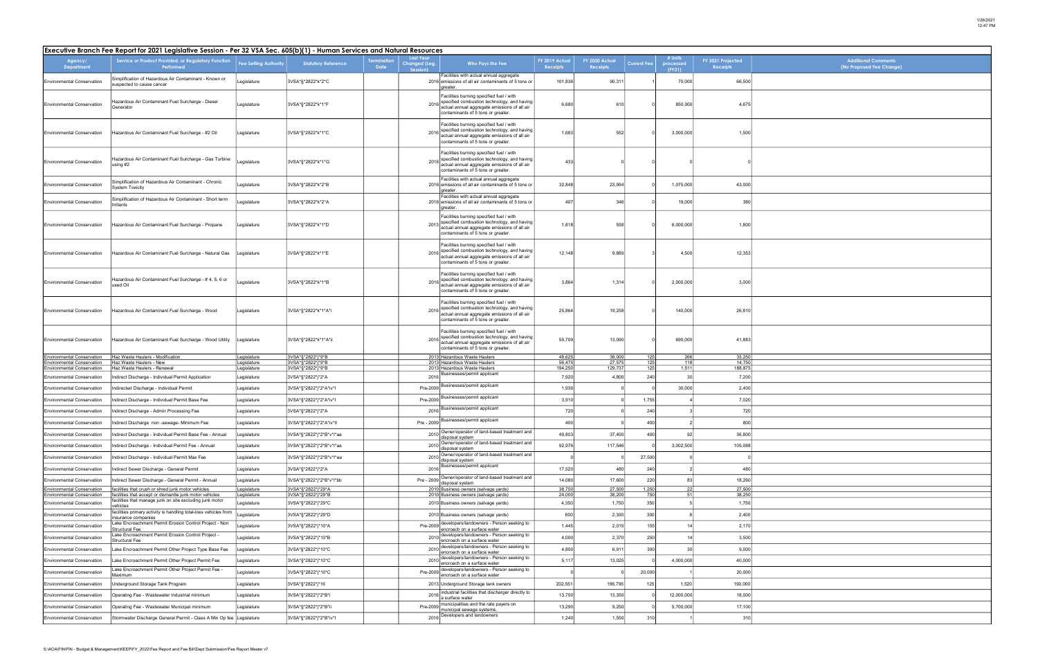| Additional Comments<br>(No Proposed Fee Change) |
|-------------------------------------------------|
|                                                 |
|                                                 |
|                                                 |
|                                                 |
|                                                 |
|                                                 |
|                                                 |
|                                                 |
|                                                 |
|                                                 |
|                                                 |
|                                                 |
|                                                 |
|                                                 |
|                                                 |
|                                                 |
|                                                 |
|                                                 |
|                                                 |
|                                                 |
|                                                 |
|                                                 |
|                                                 |
|                                                 |
|                                                 |
|                                                 |
|                                                 |
|                                                 |
|                                                 |
|                                                 |
|                                                 |
|                                                 |
|                                                 |
|                                                 |
|                                                 |
|                                                 |
|                                                 |
|                                                 |
|                                                 |
|                                                 |
|                                                 |
|                                                 |
|                                                 |
|                                                 |
|                                                 |
|                                                 |
|                                                 |
|                                                 |
|                                                 |
|                                                 |
|                                                 |
|                                                 |
|                                                 |
|                                                 |

|                                                                | Executive Branch Fee Report for 2021 Legislative Session - Per 32 VSA Sec. 605(b)(1) - Human Services and Natural Resources |                              |                                        |                           |                                               |                                                                                                                                                                               |                            |                                   |                    |                                |                                      |
|----------------------------------------------------------------|-----------------------------------------------------------------------------------------------------------------------------|------------------------------|----------------------------------------|---------------------------|-----------------------------------------------|-------------------------------------------------------------------------------------------------------------------------------------------------------------------------------|----------------------------|-----------------------------------|--------------------|--------------------------------|--------------------------------------|
| Agency/<br>Department                                          | Service or Product Provided, or Regulatory Function<br>Performed                                                            | <b>Fee Setting Authority</b> | <b>Statutory Reference</b>             | ermination<br><b>Date</b> | <b>Last Year</b><br>Changed (Leg.<br>Session) | Who Pays the Fee                                                                                                                                                              | FY 2019 Actual<br>Receipts | FY 2020 Actual<br><b>Receipts</b> | <b>Current Fee</b> | # Units<br>processed<br>(FY21) | FY 2021 Projected<br><b>Receipts</b> |
| <b>Environmental Conservation</b>                              | Simplification of Hazardous Air Contaminant - Known or<br>suspected to cause cancer                                         | Legislature                  | 3VSA*§*2822*k*2*C                      |                           |                                               | Facilities with actual annual aggregate<br>2016 emissions of all air contaminants of 5 tons or<br>greater.                                                                    | 101,836                    | 90,31                             |                    | 70,000                         | 66,500                               |
| <b>Environmental Conservation</b>                              | Hazardous Air Contaminant Fuel Surcharge - Diesel<br>Generator                                                              | Legislature                  | 3VSA*§*2822*k*1*F                      |                           | 2016                                          | Facilities burning specified fuel / with<br>specified combustion technology, and having<br>actual annual aggregate emissions of all air<br>contaminants of 5 tons or greater. | 6,680                      | 610                               |                    | 850,000                        | 4,675                                |
| <b>Environmental Conservation</b>                              | Hazardous Air Contaminant Fuel Surcharge - #2 Oil                                                                           | Legislature                  | 3VSA*§*2822*k*1*C                      |                           | 2016                                          | Facilities burning specified fuel / with<br>specified combustion technology, and having<br>actual annual aggregate emissions of all air<br>contaminants of 5 tons or greater. | 1,683                      | 552                               |                    | 3,000,000                      | 1,500                                |
| <b>Environmental Conservation</b>                              | Hazardous Air Contaminant Fuel Surcharge - Gas Turbine<br>sing #2                                                           | Legislature                  | 3VSA*§*2822*k*1*G                      |                           | 2016                                          | Facilities burning specified fuel / with<br>specified combustion technology, and having<br>actual annual aggregate emissions of all air<br>contaminants of 5 tons or greater. | 433                        |                                   |                    |                                |                                      |
| <b>Environmental Conservation</b>                              | Simplification of Hazardous Air Contaminant - Chronic<br>System Toxicity                                                    | Legislature                  | 3VSA*§*2822*k*2*B                      |                           |                                               | Facilities with actual annual aggregate<br>2016 emissions of all air contaminants of 5 tons or<br>greater.                                                                    | 32,848                     | 23,954                            |                    | 1,075,000                      | 43,000                               |
| <b>Environmental Conservation</b>                              | Simplification of Hazardous Air Contaminant - Short term<br>rritants                                                        | Legislature                  | 3VSA*§*2822*k*2*A                      |                           |                                               | Facilities with actual annual aggregate<br>2016 emissions of all air contaminants of 5 tons or<br>areater.                                                                    | 407                        | 346                               |                    | 19,000                         | 380                                  |
| <b>Environmental Conservation</b>                              | Hazardous Air Contaminant Fuel Surcharge - Propane                                                                          | Legislature                  | 3VSA*§*2822*k*1*D                      |                           | 2013                                          | Facilities burning specified fuel / with<br>specified combustion technology, and having<br>actual annual aggregate emissions of all air<br>contaminants of 5 tons or greater. | 1,818                      | 558                               |                    | 6,000,000                      | 1,800                                |
| <b>Environmental Conservation</b>                              | Hazardous Air Contaminant Fuel Surcharge - Natural Gas                                                                      | Legislature                  | 3VSA*§*2822*k*1*E                      |                           | 2016                                          | Facilities burning specified fuel / with<br>specified combustion technology, and having<br>actual annual aggregate emissions of all air<br>contaminants of 5 tons or greater. | 12,148                     | 9,889                             |                    | 4,500                          | 12,353                               |
| <b>Environmental Conservation</b>                              | Hazardous Air Contaminant Fuel Surcharge - # 4, 5, 6 or<br>used Oil                                                         | egislature                   | 3VSA*§*2822*k*1*B                      |                           | 2016                                          | Facilities burning specified fuel / with<br>specified combustion technology, and having<br>actual annual aggregate emissions of all air<br>contaminants of 5 tons or greater. | 3,864                      | 1,314                             |                    | 2,000,000                      | 3,000                                |
| <b>Environmental Conservation</b>                              | Hazardous Air Contaminant Fuel Surcharge - Wood                                                                             | Legislature                  | 3VSA*§*2822*k*1*A*i                    |                           | 2016                                          | Facilities burning specified fuel / with<br>specified combustion technology, and having<br>actual annual aggregate emissions of all air<br>contaminants of 5 tons or greater. | 25,864                     | 19,258                            |                    | 140,000                        | 26,810                               |
| <b>Environmental Conservation</b>                              | Hazardous Air Contaminant Fuel Surcharge - Wood Utility                                                                     | Legislature                  | 3VSA*§*2822*k*1*A*ii                   |                           | 2016                                          | Facilities burning specified fuel / with<br>specified combustion technology, and having<br>actual annual aggregate emissions of all air<br>contaminants of 5 tons or greater. | 55,709                     | 13,090                            |                    | 690,000                        | 41,883                               |
| <b>Environmental Conservation</b>                              | Haz Waste Haulers - Modification                                                                                            | Legislature                  | 3VSA*§*2822*j*9*B                      |                           |                                               | 2013 Hazardous Waste Haulers                                                                                                                                                  | 48,625                     | 38,000                            | 125                | 266                            | 33,250                               |
| nvironmental Conservation<br><b>Environmental Conservation</b> | Haz Waste Haulers - New<br>Haz Waste Haulers - Renewal                                                                      | Legislature<br>Legislature   | 3VSA*§*2822*j*9*B<br>3VSA*§*2822*j*9*B |                           |                                               | 2013 Hazardous Waste Haulers<br>2013 Hazardous Waste Haulers                                                                                                                  | 56,475<br>194,250          | 27,575<br>129,737                 | 125<br>125         | 118<br>1,511                   | 14,750<br>188,875                    |
| <b>Environmental Conservation</b>                              | ndirect Discharge - Individual Permit Application                                                                           | Legislature                  | 3VSA*§*2822*j*2*A                      |                           | 2016                                          | Businesses/permit applicant                                                                                                                                                   | 7,920                      | 4,800                             | 240                | 30                             | 7,200                                |
| <b>Environmental Conservation</b>                              | Indirected Discharge - Individual Permit                                                                                    | Legislature                  | 3VSA*§*2822*j*2*A*iv*l                 |                           | Pre-2009                                      | Businesses/permit applicant                                                                                                                                                   | 1,939                      |                                   |                    | 30,000                         | 2,400                                |
| <b>Environmental Conservation</b>                              | Indirect Discharge - Individual Permit Base Fee                                                                             | Legislature                  | 3VSA*§*2822*j*2*A*iv*l                 |                           | Pre-2009                                      | Businesses/permit applicant                                                                                                                                                   | 3,910                      |                                   | 1,755              |                                | 7,020                                |
| <b>Environmental Conservation</b>                              | Indirect Discharge - Admin Processing Fee                                                                                   | Legislature                  | 3VSA*§*2822*j*2*A                      |                           | 2016                                          | Businesses/permit applicant                                                                                                                                                   | 720                        |                                   | 240                |                                | 720                                  |
| <b>Environmental Conservation</b>                              | Indirect Discharge non -sewage- Minimum Fee                                                                                 | Legislature                  | 3VSA*§*2822*j*2*A*iv*II                |                           | Pre - 2009                                    | Businesses/permit applicant                                                                                                                                                   | 400                        |                                   | 400                |                                | 800                                  |
| <b>Environmental Conservation</b>                              | Indirect Discharge - Individual Permit Base Fee - Annual                                                                    | Legislature                  | 3VSA*§*2822*j*2*B*v*I*aa               |                           | 2010                                          | Owner/operator of land-based treatment and<br>disposal system                                                                                                                 | 49,803                     | 37,400                            | 400                | 92                             | 36,800                               |
| <b>Environmental Conservation</b>                              | Indirect Discharge - Individual Permit Fee - Annual                                                                         | Legislature                  | 3VSA*§*2822*j*2*B*v*I*aa               |                           | 2010                                          | Owner/operator of land-based treatment and<br>disposal system                                                                                                                 | 92,976                     | 117,546                           |                    | 3,002,500                      | 105,088                              |
| <b>Environmental Conservation</b>                              | Indirect Discharge - Individual Permit Max Fee                                                                              | Legislature                  | 3VSA*§*2822*j*2*B*v*l*aa               |                           | 2010                                          | Owner/operator of land-based treatment and<br>disposal system                                                                                                                 |                            |                                   | 27,500             |                                |                                      |
| <b>Environmental Conservation</b>                              | Indirect Sewer Discharge - General Permit                                                                                   | Legislature                  | 3VSA*§*2822*j*2*A                      |                           | 2016                                          | Businesses/permit applicant                                                                                                                                                   | 17,520                     | 480                               | 240                |                                | 480                                  |
| <b>Environmental Conservation</b>                              | Indirect Sewer Discharge - General Permit - Annual                                                                          | Legislature                  | 3VSA*§*2822*j*2*B*v*I*bb               |                           |                                               | Pre - 2009 Owner/operator of land-based treatment and                                                                                                                         | 14,080                     | 17,600                            | 220                | 83                             | 18,260                               |
| Environmental Conservation                                     | facilities that crush or shred junk motor vehicles                                                                          | Legislature                  | 3VSA*§*2822*j*29*A                     |                           |                                               | disposal system<br>2010 Business owners (salvage yards)                                                                                                                       | 38,750                     | 27,500                            | 1,250              | 22                             | 27,500                               |
| <b>Environmental Conservation</b>                              | facilities that accept or dismantle junk motor vehicles<br>facilities that manage junk on site excluding junk motor         | Legislature                  | 3VSA*§*2822*j*29*B                     |                           |                                               | 2010 Business owners (salvage yards)                                                                                                                                          | 24,000                     | 38,200                            | 750                | 51                             | 38,250                               |
| <b>Environmental Conservation</b>                              | facilities primary activity is handling total-loss vehicles from                                                            | Legislature                  | 3VSA*§*2822*j*29*C                     |                           |                                               | 2010 Business owners (salvage yards)                                                                                                                                          | 4,350                      | 1,750                             | 350                |                                | 1,750                                |
| <b>Environmental Conservation</b>                              | nsurance companies                                                                                                          | Legislature                  | 3VSA*§*2822*j*29*D                     |                           |                                               | 2010 Business owners (salvage yards)                                                                                                                                          | 600                        | 2,300                             | 300                |                                | 2,400                                |
| <b>Environmental Conservation</b>                              | Lake Encroachment Permit Erosion Control Project - Non<br>Structural Fee                                                    | Legislature                  | 3VSA*§*2822*j*10*A                     |                           | Pre-2009                                      | developers/landowners - Person seeking to<br>encroach on a surface water                                                                                                      | 1,445                      | 2,015                             | 155                | 14                             | 2,170                                |
| <b>Environmental Conservation</b>                              | Lake Encroachment Permit Erosion Control Project -<br>Structural Fee                                                        | Legislature                  | 3VSA*§*2822*j*10*B                     |                           | 2010                                          | developers/landowners - Person seeking to<br>encroach on a surface water                                                                                                      | 4,000                      | 2,370                             | 250                | 14                             | 3,500                                |
| <b>Environmental Conservation</b>                              | Lake Encroachment Permit Other Project Type Base Fee                                                                        | Legislature                  | 3VSA*§*2822*j*10*C                     |                           |                                               | 2010 developers/landowners - Person seeking to<br>encroach on a surface water                                                                                                 | 4,800                      | 6,911                             | 300                | 30                             | 9,000                                |
| <b>Environmental Conservation</b>                              | ake Encroachment Permit Other Project Permit Fee                                                                            | Legislature                  | 3VSA*§*2822*j*10*C                     |                           | 2010                                          | developers/landowners - Person seeking to<br>encroach on a surface water                                                                                                      | 5,117                      | 13,025                            |                    | 4,000,000                      | 40,000                               |
| <b>Environmental Conservation</b>                              | Lake Encroachment Permit Other Project Permit Fee -<br>Maximum                                                              | Legislature                  | 3VSA*§*2822*j*10*C                     |                           | Pre-2009                                      | developers/landowners - Person seeking to<br>encroach on a surface water                                                                                                      |                            |                                   | 20,000             |                                | 20,000                               |
| <b>Environmental Conservation</b>                              | Underground Storage Tank Program                                                                                            | Legislature                  | 3VSA*§*2822*j*16                       |                           |                                               | 2013 Underground Storage tank owners                                                                                                                                          | 202,551                    | 196,795                           | 125                | 1,520                          | 190,000                              |
| <b>Environmental Conservation</b>                              | Operating Fee - Wastewater Industrial minimum                                                                               | Legislature                  | 3VSA*§*2822*j*2*B*i                    |                           | 2016                                          | industrial facilities that discharger directly to<br>a surface water                                                                                                          | 13,750                     | 13,350                            |                    | 12,000,000                     | 18,000                               |
| <b>Environmental Conservation</b>                              | Operating Fee - Wastewater Municipal minimum                                                                                | Legislature                  | 3VSA*§*2822*j*2*B*ii                   |                           | Pre-2009                                      | municipalities and the rate payers on<br>municipal sewage systems.                                                                                                            | 13,290                     | 9,250                             |                    | 5,700,000                      | 17,100                               |
| <b>Environmental Conservation</b>                              | Stormwater Discharge General Permit - Class A Min Op fee                                                                    | Legislature                  | 3VSA*§*2822*j*2*B*iv*l                 |                           | 2016                                          | Developers and landowners                                                                                                                                                     | 1,240                      | 1,550                             | 310                |                                | 310                                  |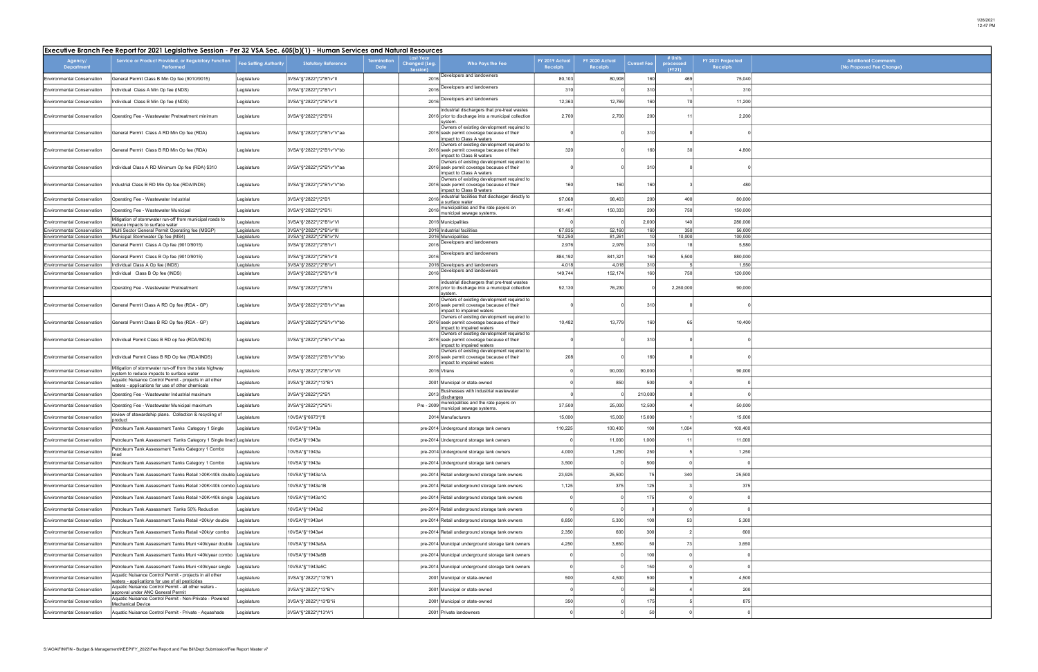| Additional Comments<br>(No Proposed Fee Change) |
|-------------------------------------------------|
|                                                 |
|                                                 |
|                                                 |
|                                                 |
|                                                 |
|                                                 |
|                                                 |
|                                                 |
|                                                 |
|                                                 |
|                                                 |
|                                                 |
|                                                 |
|                                                 |
|                                                 |
|                                                 |
|                                                 |
|                                                 |
|                                                 |
|                                                 |
|                                                 |
|                                                 |
|                                                 |
|                                                 |
|                                                 |
|                                                 |
|                                                 |
|                                                 |
|                                                 |
|                                                 |
|                                                 |
|                                                 |
|                                                 |
|                                                 |
|                                                 |
|                                                 |
|                                                 |
|                                                 |

|                                                                 | Executive Branch Fee Report for 2021 Legislative Session - Per 32 VSA Sec. 605(b)(1) - Human Services and Natural Resources |                              |                                                     |                            |                                        |                                                                                                                                                                     |                                   |                                   |                        |                                |                               |  |
|-----------------------------------------------------------------|-----------------------------------------------------------------------------------------------------------------------------|------------------------------|-----------------------------------------------------|----------------------------|----------------------------------------|---------------------------------------------------------------------------------------------------------------------------------------------------------------------|-----------------------------------|-----------------------------------|------------------------|--------------------------------|-------------------------------|--|
| Agency/<br><b>Department</b>                                    | Service or Product Provided, or Regulatory Function<br>Performed                                                            | <b>Fee Setting Authority</b> | <b>Statutory Reference</b>                          | <b>Termination</b><br>Date | Last Year<br>Changed (Leg.<br>Session) | Who Pays the Fee                                                                                                                                                    | FY 2019 Actual<br><b>Receipts</b> | FY 2020 Actual<br><b>Receipts</b> | <b>Current Fee</b>     | # Units<br>processed<br>(FY21) | FY 2021 Projected<br>Receipts |  |
| <b>Environmental Conservation</b>                               | General Permit Class B Min Op fee (9010/9015)                                                                               | Legislature                  | 3VSA*§*2822*j*2*B*iv*II                             |                            |                                        | 2016 Developers and landowners                                                                                                                                      | 80,103                            | 80,908                            | 160                    | 469                            | 75,040                        |  |
| <b>Environmental Conservation</b>                               | Individual Class A Min Op fee (INDS)                                                                                        | Legislature                  | 3VSA*§*2822*j*2*B*iv*l                              |                            | 2016                                   | Developers and landowners                                                                                                                                           | 310                               |                                   | 310                    |                                | 310                           |  |
| <b>Environmental Conservation</b>                               | Individual Class B Min Op fee (INDS)                                                                                        | Legislature                  | 3VSA*§*2822*j*2*B*iv*II                             |                            | 2016                                   | Developers and landowners                                                                                                                                           | 12,363                            | 12,769                            | 160                    | 70                             | 11,200                        |  |
| <b>Environmental Conservation</b>                               | Operating Fee - Wastewater Pretreatment minimum                                                                             | Legislature                  | 3VSA*§*2822*j*2*B*iii                               |                            |                                        | industrial dischargers that pre-treat wastes<br>2016 prior to discharge into a municipal collection<br>svstem.                                                      | 2,700                             | 2,700                             | 200                    |                                | 2,200                         |  |
| <b>Environmental Conservation</b>                               | General Permit Class A RD Min Op fee (RDA)                                                                                  | Legislature                  | 3VSA*§*2822*j*2*B*iv*V*aa                           |                            |                                        | Owners of existing development required to<br>2016 seek permit coverage because of their<br>impact to Class A waters                                                |                                   |                                   | 310                    |                                |                               |  |
| <b>Environmental Conservation</b>                               | General Permit Class B RD Min Op fee (RDA)                                                                                  | Legislature                  | 3VSA*§*2822*j*2*B*iv*V*bb                           |                            |                                        | Owners of existing development required to<br>2016 seek permit coverage because of their<br>impact to Class B waters                                                | 320                               |                                   | 160                    | 30                             | 4,800                         |  |
| <b>Environmental Conservation</b>                               | Individual Class A RD Minimum Op fee (RDA) \$310                                                                            | Legislature                  | 3VSA*§*2822*j*2*B*iv*V*aa                           |                            |                                        | Owners of existing development required to<br>2016 seek permit coverage because of their<br>impact to Class A waters                                                |                                   |                                   | 310                    |                                |                               |  |
| <b>Environmental Conservation</b>                               | Industrial Class B RD Min Op fee (RDA/INDS)                                                                                 | Legislature                  | 3VSA*§*2822*j*2*B*iv*V*bb                           |                            |                                        | Owners of existing development required to<br>2016 seek permit coverage because of their<br>impact to Class B waters                                                | 160                               | 160                               | 160                    |                                | 480                           |  |
| <b>Environmental Conservation</b>                               | Operating Fee - Wastewater Industrial                                                                                       | Legislature                  | 3VSA*§*2822*j*2*B*i                                 |                            | 2016                                   | industrial facilities that discharger directly to<br>a surface water                                                                                                | 97,068                            | 98,403                            | 200                    | 400                            | 80,000                        |  |
| <b>Environmental Conservation</b>                               | Operating Fee - Wastewater Municipal                                                                                        | Legislature                  | 3VSA*§*2822*j*2*B*ii                                |                            | 2016                                   | municipalities and the rate payers on<br>municipal sewage systems                                                                                                   | 181,461                           | 150,333                           | 200                    | 750                            | 150,000                       |  |
| <b>Environmental Conservation</b>                               | Mitigation of stormwater run-off from municipal roads to<br>educe impacts to surface water                                  | Legislature                  | 3VSA*§*2822*j*2*B*iv*VI                             |                            |                                        | 2016 Municipalities                                                                                                                                                 |                                   |                                   | 2,000                  | 140                            | 280,000                       |  |
| <b>Environmental Conservation</b><br>Environmental Conservation | Multi Sector General Permit Operating fee (MSGP)<br>Municipal Stormwater Op fee (MS4)                                       | Legislature<br>Legislature   | 3VSA*§*2822*j*2*B*iv*III<br>3VSA*§*2822*j*2*B*iv*IV |                            |                                        | 2016 Industrial facilities<br>2016 Municipalities                                                                                                                   | 67,835<br>102,250                 | 52,160<br>81,261                  | 160<br>10 <sup>1</sup> | 350<br>10,000                  | 56,000<br>100,000             |  |
| <b>Environmental Conservation</b>                               | General Permit Class A Op fee (9010/9015)                                                                                   | Legislature                  | 3VSA*§*2822*j*2*B*iv*l                              |                            | 2016                                   | Developers and landowners                                                                                                                                           | 2,976                             | 2,976                             | 310                    |                                | 5,580                         |  |
| <b>Environmental Conservation</b>                               | General Permit Class B Op fee (9010/9015)                                                                                   | Legislature                  | 3VSA*§*2822*j*2*B*iv*II                             |                            | 2016                                   | Developers and landowners                                                                                                                                           | 884,192                           | 841,321                           | 160                    | 5,500                          | 880,000                       |  |
| <b>Environmental Conservation</b>                               | Individual Class A Op fee (INDS)                                                                                            | Legislature                  | 3VSA*§*2822*j*2*B*iv*l                              |                            |                                        | 2016 Developers and landowners<br>Developers and landowners                                                                                                         | 4,018                             | 4,018                             | 310                    |                                | 1,550                         |  |
| <b>Environmental Conservation</b>                               | Individual Class B Op fee (INDS)                                                                                            | Legislature                  | 3VSA*§*2822*j*2*B*iv*II                             |                            | 2016                                   |                                                                                                                                                                     | 149,744                           | 152,174                           | 160                    | 750                            | 120,000                       |  |
| <b>Environmental Conservation</b>                               | Operating Fee - Wastewater Pretreatment                                                                                     | Legislature                  | 3VSA*§*2822*j*2*B*iii                               |                            |                                        | industrial dischargers that pre-treat wastes<br>2016 prior to discharge into a municipal collection<br>system.                                                      | 92,130                            | 76,230                            |                        | 2,250,000                      | 90,000                        |  |
| <b>Environmental Conservation</b>                               | General Permit Class A RD Op fee (RDA - GP)                                                                                 | Legislature                  | 3VSA*§*2822*j*2*B*iv*V*aa                           |                            |                                        | Owners of existing development required to<br>2016 seek permit coverage because of their<br>impact to impaired waters<br>Owners of existing development required to |                                   |                                   | 310                    |                                |                               |  |
| <b>Environmental Conservation</b>                               | General Permit Class B RD Op fee (RDA - GP)                                                                                 | Legislature                  | 3VSA*§*2822*j*2*B*iv*V*bb                           |                            |                                        | 2016 seek permit coverage because of their<br>impact to impaired waters<br>Owners of existing development required to                                               | 10,482                            | 13,779                            | 160                    | 65                             | 10,400                        |  |
| <b>Environmental Conservation</b>                               | Individual Permit Class B RD op fee (RDA/INDS)                                                                              | Legislature                  | 3VSA*§*2822*j*2*B*iv*V*aa                           |                            |                                        | 2016 seek permit coverage because of their<br>impact to impaired waters<br>Owners of existing development required to                                               |                                   |                                   | 310                    |                                |                               |  |
| <b>Environmental Conservation</b>                               | Individual Permit Class B RD Op fee (RDA/INDS)<br>Mitigation of stormwater run-off from the state highway                   | Legislature                  | 3VSA*§*2822*j*2*B*iv*V*bb                           |                            |                                        | 2016 seek permit coverage because of their<br>impact to impaired waters                                                                                             | 208                               |                                   | 160                    |                                |                               |  |
| <b>Environmental Conservation</b>                               | system to reduce impacts to surface water                                                                                   | Legislature                  | 3VSA*§*2822*j*2*B*iv*VII                            |                            |                                        | 2016 Vtrans                                                                                                                                                         |                                   | 90,000                            | 90,000                 |                                | 90,000                        |  |
| <b>Environmental Conservation</b>                               | Aquatic Nuisance Control Permit - projects in all other<br>waters - applications for use of other chemicals                 | Legislature                  | 3VSA*§*2822*j*13*B*i                                |                            |                                        | 2001 Municipal or state-owned                                                                                                                                       |                                   | 850                               | 500                    |                                |                               |  |
| <b>Environmental Conservation</b>                               | Operating Fee - Wastewater Industrial maximum                                                                               | Legislature                  | 3VSA*§*2822*j*2*B*i                                 |                            | 2013                                   | Businesses with industrial wastewater<br>discharges                                                                                                                 |                                   |                                   | 210,000                |                                |                               |  |
| <b>Environmental Conservation</b>                               | Operating Fee - Wastewater Municipal maximum                                                                                | Legislature                  | 3VSA*§*2822*j*2*B*ii                                |                            | Pre - 2009                             | municipalities and the rate payers on<br>municipal sewage systems                                                                                                   | 37,500                            | 25,000                            | 12,500                 |                                | 50,000                        |  |
| <b>Environmental Conservation</b>                               | review of stewardship plans. Collection & recycling of<br>product                                                           | Legislature                  | 10VSA*§*6673*j*8                                    |                            |                                        | 2014 Manufacturers                                                                                                                                                  | 15,000                            | 15,000                            | 15,000                 |                                | 15,000                        |  |
| l Environmental Conservation                                    | Petroleum Tank Assessment Tanks Category 1 Single                                                                           | Legislature                  | I0VSA*§*1943a                                       |                            |                                        | pre-2014 Underground storage tank owners                                                                                                                            | 110,225                           | 100,400                           | 100                    | 1,004                          | 100,400                       |  |
| <b>Environmental Conservation</b>                               | Petroleum Tank Assessment Tanks Category 1 Single lined Legislature                                                         |                              | 10VSA*§*1943a                                       |                            |                                        | pre-2014 Underground storage tank owners                                                                                                                            |                                   | 11,000                            | 1,000                  | 11                             | 11,000                        |  |
| <b>Environmental Conservation</b>                               | Petroleum Tank Assessment Tanks Category 1 Combo<br>lined                                                                   | Legislature                  | 10VSA*§*1943a                                       |                            |                                        | pre-2014 Underground storage tank owners                                                                                                                            | 4,000                             | 1,250                             | 250                    |                                | 1,250                         |  |
| <b>Environmental Conservation</b>                               | Petroleum Tank Assessment Tanks Category 1 Combo                                                                            | Legislature                  | 10VSA*§*1943a                                       |                            |                                        | pre-2014 Underground storage tank owners                                                                                                                            | 3,500                             |                                   | 500                    |                                |                               |  |
| <b>Environmental Conservation</b>                               | Petroleum Tank Assessment Tanks Retail >20K<40k double Legislature                                                          |                              | 10VSA*§*1943a1A                                     |                            |                                        | pre-2014 Retail underground storage tank owners                                                                                                                     | 23,925                            | 25,500                            | 75                     | 340                            | 25,500                        |  |
| <b>Environmental Conservation</b>                               | Petroleum Tank Assessment Tanks Retail >20K<40k combo Legislature                                                           |                              | 10VSA*§*1943a1B                                     |                            |                                        | pre-2014 Retail underground storage tank owners                                                                                                                     | 1,125                             | 375                               | 125                    |                                | 375                           |  |
| <b>Environmental Conservation</b>                               | Petroleum Tank Assessment Tanks Retail >20K<40k single Legislature                                                          |                              | 10VSA*§*1943a1C                                     |                            |                                        | pre-2014 Retail underground storage tank owners                                                                                                                     |                                   |                                   | 175                    |                                |                               |  |
| <b>Environmental Conservation</b>                               | Petroleum Tank Assessment Tanks 50% Reduction                                                                               | Legislature                  | 10VSA*§*1943a2                                      |                            |                                        | pre-2014 Retail underground storage tank owners                                                                                                                     | $\Omega$                          |                                   |                        |                                |                               |  |
| <b>Environmental Conservation</b>                               | Petroleum Tank Assessment Tanks Retail <20k/yr double                                                                       | Legislature                  | 10VSA*§*1943a4                                      |                            |                                        | pre-2014 Retail underground storage tank owners                                                                                                                     | 8,850                             | 5,300                             | 100                    | 53                             | 5,300                         |  |
| <b>Environmental Conservation</b>                               | Petroleum Tank Assessment Tanks Retail <20k/yr combo                                                                        | Legislature                  | 10VSA*§*1943a4                                      |                            |                                        | pre-2014 Retail underground storage tank owners                                                                                                                     | 2,350                             | 600                               | 300                    |                                | 600                           |  |
| <b>Environmental Conservation</b>                               | Petroleum Tank Assessment Tanks Muni <40k/year double                                                                       | Legislature                  | 10VSA*§*1943a5A                                     |                            |                                        | pre-2014 Municipal underground storage tank owners                                                                                                                  | 4,250                             | 3,650                             | 50                     | 73                             | 3,650                         |  |
|                                                                 |                                                                                                                             |                              | 10VSA*§*1943a5B                                     |                            |                                        |                                                                                                                                                                     | - 0                               |                                   | 100                    |                                |                               |  |
| <b>Environmental Conservation</b>                               | Petroleum Tank Assessment Tanks Muni <40k/year combo                                                                        | Legislature                  |                                                     |                            |                                        | pre-2014 Municipal underground storage tank owners                                                                                                                  |                                   |                                   |                        |                                |                               |  |
| <b>Environmental Conservation</b>                               | Petroleum Tank Assessment Tanks Muni <40k/year single<br>Aquatic Nuisance Control Permit - projects in all other            | egislature                   | 10VSA*§*1943a5C                                     |                            |                                        | pre-2014 Municipal underground storage tank owners                                                                                                                  | - 0                               |                                   | 150                    |                                |                               |  |
| <b>Environmental Conservation</b>                               | waters - applications for use of all pesticides<br>Aquatic Nuisance Control Permit - all other waters -                     | Legislature                  | 3VSA*§*2822*j*13*B*i                                |                            |                                        | 2001 Municipal or state-owned                                                                                                                                       | 500                               | 4,500                             | 500                    |                                | 4,500                         |  |
| <b>Environmental Conservation</b>                               | approval under ANC General Permit<br>Aquatic Nuisance Control Permit - Non-Private - Powered                                | Legislature                  | 3VSA*§*2822*j*13*B*v                                |                            |                                        | 2001 Municipal or state-owned                                                                                                                                       |                                   |                                   | 50                     |                                | 200                           |  |
| <b>Environmental Conservation</b>                               | Mechanical Device                                                                                                           | Legislature                  | 3VSA*§*2822*j*13*B*iii                              |                            |                                        | 2001 Municipal or state-owned                                                                                                                                       | 350                               |                                   | 175                    |                                | 875                           |  |
| <b>Environmental Conservation</b>                               | Aquatic Nuisance Control Permit - Private - Aquashade                                                                       | Legislature                  | 3VSA*§*2822*j*13*A*i                                |                            |                                        | 2001 Private landowners                                                                                                                                             |                                   |                                   | 50                     |                                |                               |  |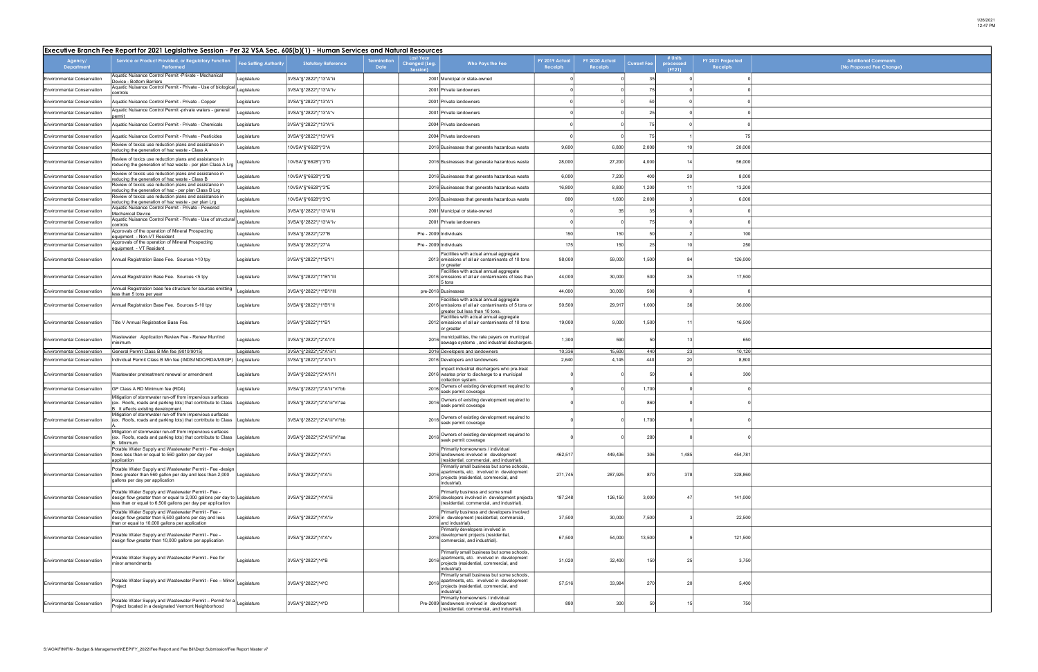| Additional Comments<br>(No Proposed Fee Change) |
|-------------------------------------------------|
|                                                 |
|                                                 |
|                                                 |
|                                                 |
|                                                 |
|                                                 |
|                                                 |
|                                                 |
|                                                 |
|                                                 |
|                                                 |
|                                                 |
|                                                 |
|                                                 |
|                                                 |
|                                                 |
|                                                 |
|                                                 |
|                                                 |
|                                                 |
|                                                 |
|                                                 |
|                                                 |
|                                                 |
|                                                 |
|                                                 |
|                                                 |
|                                                 |
|                                                 |
|                                                 |
|                                                 |
|                                                 |
|                                                 |
|                                                 |
|                                                 |
|                                                 |
|                                                 |
|                                                 |
|                                                 |
|                                                 |

|                                   | Executive Branch Fee Report for 2021 Legislative Session - Per 32 VSA Sec. 605(b)(1) - Human Services and Natural Resources                                                                    |                              |                             |                           |                                               |                                                                                                                                                  |                            |                                   |                    |                                |                                      |
|-----------------------------------|------------------------------------------------------------------------------------------------------------------------------------------------------------------------------------------------|------------------------------|-----------------------------|---------------------------|-----------------------------------------------|--------------------------------------------------------------------------------------------------------------------------------------------------|----------------------------|-----------------------------------|--------------------|--------------------------------|--------------------------------------|
| Agency/<br>Department             | Service or Product Provided, or Regulatory Function<br>Performed                                                                                                                               | <b>Fee Setting Authority</b> | <b>Statutory Reference</b>  | ermination<br><b>Date</b> | <b>Last Year</b><br>Changed (Leg.<br>Session) | Who Pays the Fee                                                                                                                                 | FY 2019 Actual<br>Receipts | FY 2020 Actual<br><b>Receipts</b> | <b>Current Fee</b> | # Units<br>processed<br>(FY21) | FY 2021 Projected<br><b>Receipts</b> |
| <b>Environmental Conservation</b> | Aquatic Nuisance Control Permit - Private - Mechanical<br>Device - Bottom Barriers                                                                                                             | Legislature                  | 3VSA*§*2822*j*13*A*iii      |                           |                                               | 2001 Municipal or state-owned                                                                                                                    |                            |                                   | 35                 |                                |                                      |
| <b>Environmental Conservation</b> | Aquatic Nuisance Control Permit - Private - Use of biological<br>controls                                                                                                                      | Legislature                  | 3VSA*§*2822*j*13*A*iv       |                           |                                               | 2001 Private landowners                                                                                                                          |                            |                                   | 75                 |                                |                                      |
| <b>Environmental Conservation</b> | Aquatic Nuisance Control Permit - Private - Copper                                                                                                                                             | egislature                   | 3VSA*§*2822*j*13*A*i        |                           |                                               | 2001 Private landowners                                                                                                                          |                            |                                   | 50                 |                                |                                      |
| <b>Environmental Conservation</b> | Aquatic Nuisance Control Permit -private waters - general<br>bermit                                                                                                                            | egislature                   | 3VSA*§*2822*j*13*A*v        |                           |                                               | 2001 Private landowners                                                                                                                          |                            |                                   | 25                 |                                |                                      |
| <b>Environmental Conservation</b> | Aquatic Nuisance Control Permit - Private - Chemicals                                                                                                                                          | egislature                   | 3VSA*§*2822*j*13*A*ii       |                           |                                               | 2004 Private landowners                                                                                                                          |                            |                                   | 75                 |                                |                                      |
| <b>Environmental Conservation</b> | Aquatic Nuisance Control Permit - Private - Pesticides                                                                                                                                         | Legislature                  | 3VSA*§*2822*j*13*A*ii       |                           |                                               | 2004 Private landowners                                                                                                                          |                            |                                   | 75                 |                                | 75                                   |
| <b>Environmental Conservation</b> | Review of toxics use reduction plans and assistance in<br>reducing the generation of haz waste - Class A                                                                                       | egislature                   | 10VSA*§*6628*j*3*A          |                           |                                               | 2016 Businesses that generate hazardous waste                                                                                                    | 9,600                      | 6,800                             | 2,000              | 10 <sup>1</sup>                | 20,000                               |
| <b>Environmental Conservation</b> | Review of toxics use reduction plans and assistance in<br>reducing the generation of haz waste - per plan Class A Lrg                                                                          | egislature.                  | 10VSA*§*6628*j*3*D          |                           |                                               | 2016 Businesses that generate hazardous waste                                                                                                    | 28,000                     | 27,200                            | 4,000              | 14                             | 56,000                               |
| <b>Environmental Conservation</b> | Review of toxics use reduction plans and assistance in<br>reducing the generation of haz waste - Class B                                                                                       | Legislature                  | 10VSA*§*6628*j*3*B          |                           |                                               | 2016 Businesses that generate hazardous waste                                                                                                    | 6,000                      | 7,200                             | 400                | 20                             | 8,000                                |
| <b>Environmental Conservation</b> | Review of toxics use reduction plans and assistance in<br>reducing the generation of haz - per plan Class B Lrg                                                                                | Legislature                  | 10VSA*§*6628*j*3*E          |                           |                                               | 2016 Businesses that generate hazardous waste                                                                                                    | 16,800                     | 8,800                             | 1,200              | 11                             | 13,200                               |
| <b>Environmental Conservation</b> | Review of toxics use reduction plans and assistance in<br>reducing the generation of haz waste - per plan Lrg                                                                                  | Legislature                  | 10VSA*§*6628*j*3*C          |                           |                                               | 2016 Businesses that generate hazardous waste                                                                                                    | 800                        | 1,600                             | 2,000              |                                | 6,000                                |
| <b>Environmental Conservation</b> | Aquatic Nuisance Control Permit - Private - Powered<br>Mechanical Device                                                                                                                       | Legislature                  | 3VSA*§*2822*j*13*A*iii      |                           |                                               | 2001 Municipal or state-owned                                                                                                                    |                            | 35                                | 35                 |                                |                                      |
| <b>Environmental Conservation</b> | Aquatic Nuisance Control Permit - Private - Use of structural                                                                                                                                  | Legislature                  | 3VSA*§*2822*j*13*A*iv       |                           |                                               | 2001 Private landowners                                                                                                                          |                            |                                   | 75                 |                                |                                      |
| <b>Environmental Conservation</b> | controls<br>Approvals of the operation of Mineral Prospecting                                                                                                                                  | Legislature                  | 3VSA*§*2822*j*27*B          |                           |                                               | Pre - 2009 Individuals                                                                                                                           | 150                        | 150                               | 50                 |                                | 100                                  |
| <b>Environmental Conservation</b> | equipment - Non-VT Resident<br>Approvals of the operation of Mineral Prospecting                                                                                                               | egislature                   | 3VSA*§*2822*j*27*A          |                           |                                               | Pre - 2009 Individuals                                                                                                                           | 175                        | 150                               | 25                 | 10                             | 250                                  |
|                                   | equipment - VT Resident                                                                                                                                                                        |                              |                             |                           |                                               | Facilities with actual annual aggregate                                                                                                          |                            |                                   |                    |                                |                                      |
| <b>Environmental Conservation</b> | Annual Registration Base Fee. Sources >10 tpy                                                                                                                                                  | Legislature                  | 3VSA*§*2822*j*1*B*i*l       |                           |                                               | 2013 emissions of all air contaminants of 10 tons<br>or greater<br>Facilities with actual annual aggregate                                       | 98,000                     | 59,000                            | 1,500              | 84                             | 126,000                              |
| <b>Environmental Conservation</b> | Annual Registration Base Fee. Sources <5 tpy                                                                                                                                                   | Legislature                  | 3VSA*§*2822*j*1*B*i*III     |                           |                                               | 2016 emissions of all air contaminants of less than<br>5 tons                                                                                    | 44,000                     | 30,000                            | 500                | 35                             | 17,500                               |
| <b>Environmental Conservation</b> | Annual Registration base fee structure for sources emitting<br>less than 5 tons per year                                                                                                       | egislature                   | 3VSA*§*2822*j*1*B*i*III     |                           |                                               | pre-2016 Businesses                                                                                                                              | 44,000                     | 30,000                            | 500                |                                |                                      |
| <b>Environmental Conservation</b> | Annual Registration Base Fee. Sources 5-10 tpy                                                                                                                                                 | Legislature                  | 3VSA*§*2822*j*1*B*i*ll      |                           |                                               | Facilities with actual annual aggregate<br>2016 emissions of all air contaminants of 5 tons or<br>greater but less than 10 tons.                 | 50,500                     | 29,917                            | 1,000              | 36                             | 36,000                               |
| <b>Environmental Conservation</b> | Title V Annual Registration Base Fee.                                                                                                                                                          | Legislature                  | 3VSA*§*2822*j*1*B*i         |                           |                                               | Facilities with actual annual aggregate<br>2012 emissions of all air contaminants of 10 tons<br>or greater                                       | 19,000                     | 9,000                             | 1,500              | 11                             | 16,500                               |
| <b>Environmental Conservation</b> | Wastewater Application Review Fee - Renew Mun/Ind<br>minimum                                                                                                                                   | egislature                   | 3VSA*§*2822*j*2*A*i*II      |                           |                                               | municipalities, the rate payers on municipal<br>sewage systems, and industrial dischargers                                                       | 1,300                      | 590                               | 50                 | 13                             | 650                                  |
| Environmental Conservation        | General Permit Class B Min fee (9010/9015)                                                                                                                                                     | egislature                   | 3VSA*§*2822*j*2*A*iii*l     |                           |                                               | 2016 Developers and landowners                                                                                                                   | 10,336                     | 15,600                            | 440                | 23                             | 10,120                               |
| <b>Environmental Conservation</b> | Individual Permit Class B Min fee (INDS/INDO/RDA/MSGP)                                                                                                                                         | Legislature                  | 3VSA*§*2822*j*2*A*iii*l     |                           |                                               | 2016 Developers and landowners<br>impact industrial dischargers who pre-treat                                                                    | 2,640                      | 4,145                             | 440                | 20                             | 8,800                                |
| <b>Environmental Conservation</b> | Wastewater pretreatment renewal or amendment                                                                                                                                                   | egislature                   | 3VSA*§*2822*j*2*A*ii*II     |                           |                                               | 2016 wastes prior to discharge to a municipal<br>collection system.<br>Owners of existing development required to                                |                            |                                   | 50                 |                                | 300                                  |
| <b>Environmental Conservation</b> | GP Class A RD Minimum fee (RDA)                                                                                                                                                                | Legislature                  | 3VSA*§*2822*j*2*A*iii*VI*bb |                           | 2016                                          | seek permit coverage                                                                                                                             |                            |                                   | 1,700              |                                |                                      |
| <b>Environmental Conservation</b> | Mitigation of stormwater run-off from impervious surfaces<br>(ex. Roofs, roads and parking lots) that contribute to Class<br>3. It affects existing development                                | Legislature                  | 3VSA*§*2822*j*2*A*iii*VI*aa |                           |                                               | 2016 Owners of existing development required to<br>seek permit coverage                                                                          |                            |                                   | 860                |                                |                                      |
| <b>Environmental Conservation</b> | Mitigation of stormwater run-off from impervious surfaces<br>(ex. Roofs, roads and parking lots) that contribute to Class                                                                      | Legislature                  | 3VSA*§*2822*j*2*A*iii*VI*bb |                           | 2016                                          | Owners of existing development required to<br>seek permit coverage                                                                               |                            |                                   | 1,700              |                                |                                      |
| <b>Environmental Conservation</b> | Mitigation of stormwater run-off from impervious surfaces<br>(ex. Roofs, roads and parking lots) that contribute to Class<br>. Minimum                                                         | Legislature                  | 3VSA*§*2822*j*2*A*iii*VI*aa |                           | 2016                                          | Owners of existing development required to<br>seek permit coverage                                                                               |                            |                                   | 280                |                                |                                      |
| <b>Environmental Conservation</b> | Potable Water Supply and Wastewater Permit - Fee -design<br>flows less than or equal to 560 gallon per day per<br>application                                                                  | Legislature                  | 3VSA*§*2822*j*4*A*i         |                           |                                               | Primarily homeowners / individual<br>2016 landowners involved in development<br>residential, commercial, and industrial).                        | 462,517                    | 449,436                           | 306                | 1,485                          | 454,781                              |
| <b>Environmental Conservation</b> | Potable Water Supply and Wastewater Permit - Fee -design<br>flows greater than 560 gallon per day and less than 2,000<br>gallons per day per application                                       | Legislature                  | 3VSA*§*2822*j*4*A*ii        |                           | 2016                                          | Primarily small business but some schools,<br>apartments, etc. involved in development<br>projects (residential, commercial, and<br>industrial). | 271,745                    | 287,925                           | 870                | 378                            | 328,860                              |
| <b>Environmental Conservation</b> | Potable Water Supply and Wastewater Permit - Fee -<br>design flow greater than or equal to 2,000 gallons per day to Legislature<br>less than or equal to 6,500 gallons per day per application |                              | 3VSA*§*2822*j*4*A*iii       |                           |                                               | Primarily business and some small<br>2016 developers involved in development projects<br>(residential, commercial, and industrial).              | 187,248                    | 126,150                           | 3,000              | 47                             | 141,000                              |
| <b>Environmental Conservation</b> | Potable Water Supply and Wastewater Permit - Fee -<br>design flow greater than 6,500 gallons per day and less<br>than or equal to 10,000 gallons per application                               | Legislature                  | 3VSA*§*2822*j*4*A*iv        |                           |                                               | Primarily business and developers involved<br>2016 in development (residential, commercial,<br>and industrial).                                  | 37,500                     | 30,000                            | 7,500              |                                | 22,500                               |
| <b>Environmental Conservation</b> | Potable Water Supply and Wastewater Permit - Fee -<br>design flow greater than 10,000 gallons per application                                                                                  | egislature                   | 3VSA*§*2822*j*4*A*v         |                           | 2016                                          | Primarily developers involved in<br>development projects (residential,<br>commercial, and industrial).                                           | 67,500                     | 54,000                            | 13,500             |                                | 121,500                              |
| <b>Environmental Conservation</b> | Potable Water Supply and Wastewater Permit - Fee for<br>minor amendments                                                                                                                       | egislature                   | 3VSA*§*2822*j*4*B           |                           | 2016                                          | Primarily small business but some schools,<br>apartments, etc. involved in development<br>projects (residential, commercial, and<br>industrial). | 31,020                     | 32,400                            | 150                | 25                             | 3,750                                |
| <b>Environmental Conservation</b> | Potable Water Supply and Wastewater Permit - Fee - Minor<br>Project                                                                                                                            | Legislature                  | 3VSA*§*2822*j*4*C           |                           | 2016                                          | Primarily small business but some schools,<br>apartments, etc. involved in development<br>projects (residential, commercial, and<br>industrial)  | 57,516                     | 33,984                            | 270                | 20                             | 5,400                                |
| <b>Environmental Conservation</b> | Potable Water Supply and Wastewater Permit - Permit for a<br>Project located in a designated Vermont Neighborhood                                                                              | Legislature                  | 3VSA*§*2822*j*4*D           |                           |                                               | Primarily homeowners / individual<br>Pre-2009 landowners involved in development<br>(residential, commercial, and industrial).                   | 880                        | 300                               | 50                 | 15                             | 750                                  |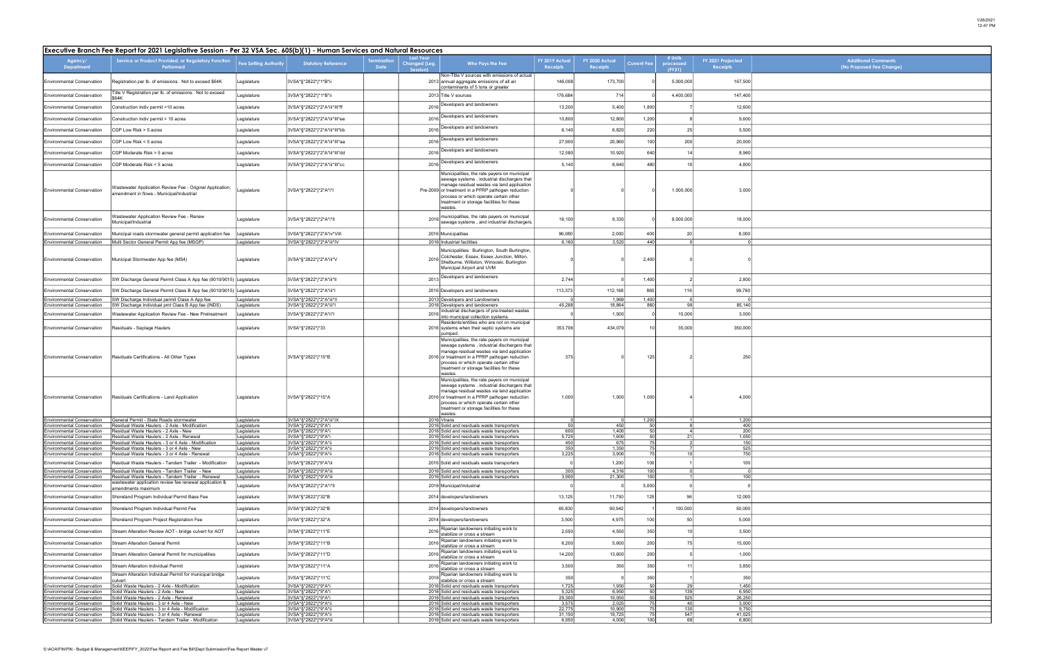| Additional Comments<br>(No Proposed Fee Change) |
|-------------------------------------------------|
|                                                 |
|                                                 |
|                                                 |
|                                                 |
|                                                 |
|                                                 |
|                                                 |
|                                                 |
|                                                 |
|                                                 |
|                                                 |
|                                                 |
|                                                 |
|                                                 |
|                                                 |
|                                                 |
|                                                 |
|                                                 |
|                                                 |
|                                                 |
|                                                 |
|                                                 |
|                                                 |
|                                                 |
|                                                 |
|                                                 |
|                                                 |
|                                                 |
|                                                 |
|                                                 |
|                                                 |
|                                                 |
|                                                 |

| Executive Branch Fee Report for 2021 Legislative Session - Per 32 VSA Sec. 605(b)(1) - Human Services and Natural Resources |                                                                                                              |                              |                                                   |                    |                                               |                                                                                                                                                                                                                                                                                                    |                                   |                                   |                          |                                |                                      |
|-----------------------------------------------------------------------------------------------------------------------------|--------------------------------------------------------------------------------------------------------------|------------------------------|---------------------------------------------------|--------------------|-----------------------------------------------|----------------------------------------------------------------------------------------------------------------------------------------------------------------------------------------------------------------------------------------------------------------------------------------------------|-----------------------------------|-----------------------------------|--------------------------|--------------------------------|--------------------------------------|
| Agency/<br>Department                                                                                                       | Service or Product Provided, or Regulatory Function<br>Performed                                             | <b>Fee Setting Authority</b> | <b>Statutory Reference</b>                        | erminatior<br>Date | <b>Last Year</b><br>Changed (Leg.<br>Session) | Who Pays the Fee                                                                                                                                                                                                                                                                                   | FY 2019 Actual<br><b>Receipts</b> | FY 2020 Actual<br><b>Receipts</b> | <b>Current Fee</b>       | # Units<br>processed<br>(FY21) | FY 2021 Projected<br><b>Receipts</b> |
| <b>Environmental Conservation</b>                                                                                           | Registration per lb. of emissions. Not to exceed \$64K                                                       | Legislature                  | 3VSA*§*2822*j*1*B*ii                              |                    |                                               | Non-Title V sources with emissions of actual<br>2013 annual aggregate emissions of all air<br>contaminants of 5 tons or greater                                                                                                                                                                    | 146,008                           | 173,700                           |                          | 5,000,000                      | 167,500                              |
| <b>Environmental Conservation</b>                                                                                           | Title V Registration per lb. of emissions. Not to exceed<br>\$64K                                            | Legislature                  | 3VSA*§*2822*j*1*B*ii                              |                    |                                               | 2013 Title V sources                                                                                                                                                                                                                                                                               | 176,684                           | 714                               |                          | 4,400,000                      | 147,400                              |
| <b>Environmental Conservation</b>                                                                                           | Construction Indiv permit >10 acres                                                                          | Legislature                  | 3VSA*§*2822*j*2*A*iii*III*ff                      | 2016               |                                               | Developers and landowners                                                                                                                                                                                                                                                                          | 13,200                            | 5,400                             | 1,800                    |                                | 12,600                               |
| <b>Environmental Conservation</b>                                                                                           | Construction Indiv permit < 10 acres                                                                         | Legislature                  | 3VSA*§*2822*j*2*A*iii*III*ee                      |                    |                                               | Developers and landowners                                                                                                                                                                                                                                                                          | 10,800                            | 12,800                            | 1,200                    |                                | 9,600                                |
| <b>Environmental Conservation</b>                                                                                           | CGP Low Risk > 5 acres                                                                                       | Legislature                  | 3VSA*§*2822*j*2*A*iii*Ill*bb                      |                    | 2016<br>2016                                  | Developers and landowners                                                                                                                                                                                                                                                                          | 6,140                             | 6,820                             | 220                      | 25                             | 5,500                                |
|                                                                                                                             |                                                                                                              |                              |                                                   |                    |                                               | Developers and landowners                                                                                                                                                                                                                                                                          |                                   |                                   |                          |                                |                                      |
| <b>Environmental Conservation</b>                                                                                           | CGP Low Risk < 5 acres                                                                                       | Legislature                  | 3VSA*§*2822*j*2*A*iii*III*aa                      |                    | 2016                                          | Developers and landowners                                                                                                                                                                                                                                                                          | 27,900                            | 20,960                            | 100                      | 200                            | 20,000                               |
| <b>Environmental Conservation</b>                                                                                           | CGP Moderate Risk > 5 acres                                                                                  | Legislature                  | 3VSA*§*2822*j*2*A*iii*III*dd                      |                    | 2016                                          |                                                                                                                                                                                                                                                                                                    | 12,580                            | 10,920                            | 640                      |                                | 8,960                                |
| <b>Environmental Conservation</b>                                                                                           | CGP Moderate Risk < 5 acres                                                                                  | Legislature                  | 3VSA*§*2822*j*2*A*iii*III*cc                      |                    | 2016                                          | Developers and landowners                                                                                                                                                                                                                                                                          | 5,140                             | 8,640                             | 480                      | 10                             | 4,800                                |
| <b>Environmental Conservation</b>                                                                                           | Wastewater Application Review Fee - Original Application;<br>amendment in flows - Municipal/Industrial       | egislature                   | 3VSA*§*2822*j*2*A*i*l                             |                    |                                               | Municipalities, the rate payers on municipal<br>sewage systems, industrial dischargers that<br>manage residual wastes via land application<br>Pre-2009 or treatment in a PFRP pathogen reduction<br>process or which operate certain other<br>treatment or storage facilities for these<br>wastes. |                                   |                                   |                          | 1,000,000                      | 3,000                                |
| <b>Environmental Conservation</b>                                                                                           | Wastewater Application Review Fee - Renew<br>Municipal/Industrial                                            | Legislature                  | 3VSA*§*2822*j*2*A*i*ll                            |                    | 2016                                          | municipalities, the rate payers on municipal<br>sewage systems, and industrial dischargers.                                                                                                                                                                                                        | 16,100                            | 9,330                             |                          | 9,000,000                      | 18,000                               |
| <b>Environmental Conservation</b>                                                                                           | Municipal roads stormwater general permit application fee                                                    | Legislature                  | 3VSA*§*2822*j*2*A*iv*VIII                         |                    |                                               | 2016 Municipalities                                                                                                                                                                                                                                                                                | 96,080                            | 2,000                             | 400                      | 20                             | 8,000                                |
| <b>Environmental Conservation</b>                                                                                           | Multi Sector General Permit App fee (MSGP)                                                                   | Legislature                  | 3VSA*§*2822*j*2*A*iii*IV                          |                    |                                               | 2016 Industrial facilities                                                                                                                                                                                                                                                                         | 6,160                             | 3,520                             | 440                      |                                |                                      |
| <b>Environmental Conservation</b>                                                                                           | Municipal Stormwater App fee (MS4)                                                                           | Legislature                  | 3VSA*§*2822*j*2*A*iii*V                           |                    | 2016                                          | Municipalities: Burlington, South Burlington,<br>Colchester, Essex, Essex Junction, Milton,<br>Shelburne, Williston, Winooski, Burlington<br>Municipal Airport and UVM                                                                                                                             |                                   |                                   | 2,400                    |                                |                                      |
| <b>Environmental Conservation</b>                                                                                           | SW Discharge General Permit Class A App fee (9010/9015) Legislature                                          |                              | 3VSA*§*2822*j*2*A*iii*II                          |                    | 2013                                          | Developers and landowners                                                                                                                                                                                                                                                                          | 2,744                             |                                   | 1,400                    |                                | 2,800                                |
| <b>Environmental Conservation</b>                                                                                           | SW Discharge General Permit Class B App fee (9010/9015)  Legislature                                         |                              | 3VSA*§*2822*j*2*A*iii*l                           |                    |                                               | 2016 Developers and landowners                                                                                                                                                                                                                                                                     | 113,373                           | 112,168                           | 860                      | 116                            | 99,760                               |
| <b>Environmental Conservation</b>                                                                                           | SW Discharge Individual permit Class A App fee                                                               | egislature                   | 3VSA*§*2822*j*2*A*iii*II                          |                    |                                               | 2013 Developers and Landowners                                                                                                                                                                                                                                                                     | 45,288                            | 1,969                             | 1,400                    |                                |                                      |
| <b>Environmental Conservation</b><br><b>Environmental Conservation</b>                                                      | SW Discharge Individual pmt Class B App fee (INDS)<br>Wastewater Application Review Fee - New Pretreatment   | Legislature<br>Legislature   | 3VSA*§*2822*j*2*A*iii*l<br>3VSA*§*2822*j*2*A*ii*l |                    | 2016                                          | 2016 Developers and landowners<br>industrial dischargers of pre-treated wastes                                                                                                                                                                                                                     |                                   | 18,864<br>1,500                   | 860                      | 99<br>15,000                   | 85,140<br>3,000                      |
|                                                                                                                             |                                                                                                              |                              |                                                   |                    |                                               | into municipal collection systems.<br>Residents/entities who are not on municipal                                                                                                                                                                                                                  | 353,706                           |                                   | 10                       |                                |                                      |
| <b>Environmental Conservation</b>                                                                                           | Residuals - Septage Haulers                                                                                  | Legislature                  | 3VSA*§*2822*j*33                                  |                    |                                               | 2016 systems when their septic systems are<br>pumped.                                                                                                                                                                                                                                              |                                   | 434,079                           |                          | 35,000                         | 350,000                              |
| <b>Environmental Conservation</b>                                                                                           | Residuals Certifications - All Other Types                                                                   | Legislature                  | 3VSA*§*2822*j*15*B                                |                    |                                               | Municipalities, the rate payers on municipal<br>sewage systems, industrial dischargers that<br>manage residual wastes via land application<br>2016 or treatment in a PFRP pathogen reduction<br>process or which operate certain other<br>treatment or storage facilities for these<br>wastes.     | 375                               |                                   | 125                      |                                | 250                                  |
| <b>Environmental Conservation</b>                                                                                           | Residuals Certifications - Land Application                                                                  | Legislature                  | 3VSA*§*2822*j*15*A                                |                    |                                               | Municipalities, the rate payers on municipal<br>sewage systems, industrial dischargers that<br>manage residual wastes via land application<br>2016 or treatment in a PFRP pathogen reduction<br>process or which operate certain other<br>treatment or storage facilities for these<br>wastes.     | 1,000                             | 1,000                             | 1,000                    |                                | 4,000                                |
| <b>Environmental Conservation</b><br><b>Environmental Conservation</b>                                                      | General Permit - State Roads stormwater<br>Residual Waste Haulers - 2 Axle - Modification                    | Legislature<br>Legislature   | 3VSA*§*2822*j*2*A*iii*IX<br>3VSA*§*2822*j*9*A*i   |                    |                                               | 2016 Vtrans<br>2016 Solid and residuals waste transporters                                                                                                                                                                                                                                         | 50                                | 450                               | 1,200<br>50 <sub>l</sub> |                                | 1,200<br>400                         |
| <b>Environmental Conservation</b><br><b>Environmental Conservation</b>                                                      | Residual Waste Haulers - 2 Axle - New<br>Residual Waste Haulers - 2 Axle - Renewal                           | Legislature<br>Legislature   | 3VSA*§*2822*j*9*A*i<br>3VSA*§*2822*j*9*A*i        |                    |                                               | 2016 Solid and residuals waste transporters<br>2016 Solid and residuals waste transporters                                                                                                                                                                                                         | 600<br>5,725                      | 1,400<br>1,600                    | 50                       | 21                             | 200<br>1,050                         |
| Environmental Conservation                                                                                                  | Residual Waste Haulers - 3 or 4 Axle - Modification                                                          | Legislature                  | 3VSA*§*2822*j*9*A*ii                              |                    |                                               | 2016 Solid and residuals waste transporters                                                                                                                                                                                                                                                        | 450                               | 675                               | $\frac{50}{75}$          |                                | 150                                  |
| <b>Environmental Conservation</b><br><b>Environmental Conservation</b>                                                      | Residual Waste Haulers - 3 or 4 Axle - New<br>Residual Waste Haulers - 3 or 4 Axle - Renewal                 | Legislature<br>Legislature   | 3VSA*§*2822*j*9*A*ii<br>3VSA*§*2822*j*9*A*ii      |                    |                                               | 2016 Solid and residuals waste transporters<br>2016 Solid and residuals waste transporters                                                                                                                                                                                                         | 350<br>3,225                      | 1,350<br>3,900                    | 75<br>75                 | 10 <sup>1</sup>                | 525<br>750                           |
| <b>Environmental Conservation</b>                                                                                           | Residual Waste Haulers - Tandem Trailer - Modification                                                       | Legislature                  | 3VSA*§*2822*j*9*A*iii                             |                    |                                               | 2016 Solid and residuals waste transporters                                                                                                                                                                                                                                                        | $\overline{0}$                    | 1,200                             | 100                      |                                | 100                                  |
| <b>Environmental Conservation</b>                                                                                           | Residual Waste Haulers - Tandem Trailer - New                                                                | Legislature                  | 3VSA*§*2822*j*9*A*iii                             |                    |                                               | 2016 Solid and residuals waste transporters                                                                                                                                                                                                                                                        | 300                               | 4,316                             | 100                      |                                | $\Omega$                             |
| <b>Environmental Conservation</b><br><b>Environmental Conservation</b>                                                      | Residual Waste Haulers - Tandem Trailer - Renewal<br>wastewater application review fee renewal application & | Legislature<br>Legislature   | 3VSA*§*2822*j*9*A*iii<br>3VSA*§*2822*j*2*A*i*ll   |                    |                                               | 2016 Solid and residuals waste transporters<br>2016 Municipal/Industrial                                                                                                                                                                                                                           | 3,900                             | 21,300                            | 100<br>5,000             |                                | 100                                  |
| <b>Environmental Conservation</b>                                                                                           | amendments maximum<br>Shoreland Program Individual Permit Base Fee                                           | Legislature                  | 3VSA*§*2822*j*32*B                                |                    |                                               | 2014 developers/landowners                                                                                                                                                                                                                                                                         | 13,125                            | 11,750                            | 125                      | 96                             | 12,000                               |
| <b>Environmental Conservation</b>                                                                                           | Shoreland Program Individual Permit Fee                                                                      | Legislature                  | 3VSA*§*2822*j*32*B                                |                    |                                               | 2014 developers/landowners                                                                                                                                                                                                                                                                         | 65,830                            | 90,942                            |                          | 100,000                        | 50,000                               |
| <b>Environmental Conservation</b>                                                                                           | Shoreland Program Project Registration Fee                                                                   | egislature                   | 3VSA*§*2822*j*32*A                                |                    |                                               | 2014 developers/landowners                                                                                                                                                                                                                                                                         | 3,500                             | 4,975                             | 100                      | 50                             | 5,000                                |
| <b>Environmental Conservation</b>                                                                                           | Stream Alteration Review AOT - bridge culvert for AOT                                                        | Legislature                  | 3VSA*§*2822*j*11*E                                |                    | 2016                                          | Riparian landowners initiating work to<br>stabilize or cross a stream                                                                                                                                                                                                                              | 2,550                             | 4,550                             | 350                      | 10                             | 3,500                                |
| <b>Environmental Conservation</b>                                                                                           | <b>Stream Alteration General Permit</b>                                                                      | Legislature                  | 3VSA*§*2822*j*11*B                                |                    | 2016                                          | Riparian landowners initiating work to<br>stabilize or cross a stream                                                                                                                                                                                                                              | 6,200                             | 5,600                             | 200                      | 75                             | 15,000                               |
| <b>Environmental Conservation</b>                                                                                           | Stream Alteration General Permit for municipalities                                                          | Legislature                  | 3VSA*§*2822*j*11*D                                |                    | 2016                                          | Riparian landowners initiating work to<br>stabilize or cross a stream                                                                                                                                                                                                                              | 14,200                            | 13,600                            | 200                      |                                | 1,000                                |
| <b>Environmental Conservation</b>                                                                                           | Stream Alteration Individual Permit                                                                          | Legislature                  | 3VSA*§*2822*j*11*A                                |                    | 2016                                          | Riparian landowners initiating work to<br>stabilize or cross a stream                                                                                                                                                                                                                              | 3,500                             | 350                               | 350                      | 11                             | 3,850                                |
| <b>Environmental Conservation</b>                                                                                           | Stream Alteration Individual Permit for municipal bridge<br>culvert                                          | Legislature                  | 3VSA*§*2822*j*11*C                                |                    | 2016                                          | Riparian landowners initiating work to<br>stabilize or cross a stream                                                                                                                                                                                                                              | 350                               |                                   | 350                      |                                | 350                                  |
| <b>Environmental Conservation</b>                                                                                           | Solid Waste Haulers - 2 Axle - Modification                                                                  | Legislature                  | 3VSA*§*2822*j*9*A*i                               |                    |                                               | 2016 Solid and residuals waste transporters                                                                                                                                                                                                                                                        | 1,725                             | 1,950                             | 50                       | 29                             | 1,450                                |
| <b>Environmental Conservation</b><br><b>Environmental Conservation</b>                                                      | Solid Waste Haulers - 2 Axle - New<br>Solid Waste Haulers - 2 Axle - Renewal                                 | Legislature<br>Legislature   | 3VSA*§*2822*j*9*A*i<br>3VSA*§*2822*j*9*A*i        |                    |                                               | 2016 Solid and residuals waste transporters<br>2016 Solid and residuals waste transporters                                                                                                                                                                                                         | 5,325<br>29,300                   | 6,950<br>10,050                   | 50<br>50                 | 139<br>525                     | 6,950<br>26,250                      |
| <b>Environmental Conservation</b>                                                                                           | Solid Waste Haulers - 3 or 4 Axle - New                                                                      | Legislature                  | 3VSA*§*2822*j*9*A*ii                              |                    |                                               | 2016 Solid and residuals waste transporters                                                                                                                                                                                                                                                        | 3,575                             | 2,025                             | 75                       | 40                             | 3,000                                |
| <b>Environmental Conservation</b><br><b>Environmental Conservation</b>                                                      | Solid Waste Haulers - 3 or 4 Axle - Modification<br>Solid Waste Haulers - 3 or 4 Axle - Renewal              | Legislature<br>Legislature   | 3VSA*§*2822*j*9*A*ii<br>3VSA*§*2822*j*9*A*ii      |                    |                                               | 2016 Solid and residuals waste transporters<br>2016 Solid and residuals waste transporters                                                                                                                                                                                                         | 22,775<br>31,150                  | 10,900<br>19,725                  | 75<br>75                 | 130<br>547                     | 9,750<br>41,025                      |
| <b>Environmental Conservation</b>                                                                                           | Solid Waste Haulers - Tandem Trailer - Modification                                                          | Legislature                  | 3VSA*§*2822*j*9*A*iii                             |                    |                                               | 2016 Solid and residuals waste transporters                                                                                                                                                                                                                                                        | 6,950                             | 4,000                             | 100                      | 68                             | 6,800                                |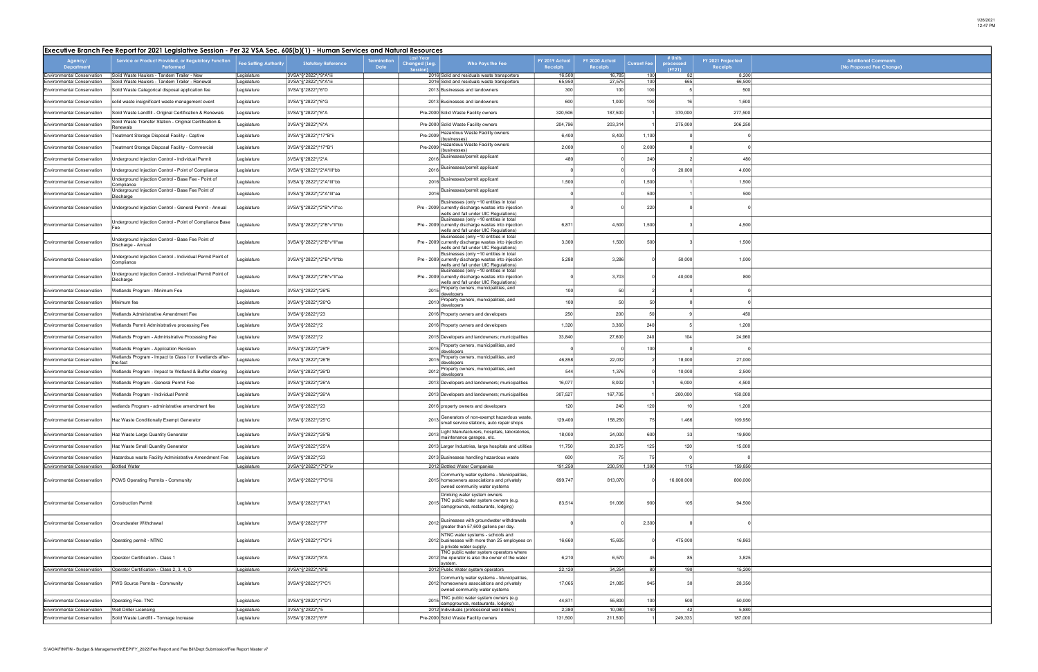| Additional Comments<br>(No Proposed Fee Change) |
|-------------------------------------------------|
|                                                 |
|                                                 |
|                                                 |
|                                                 |
|                                                 |
|                                                 |
|                                                 |
|                                                 |
|                                                 |
|                                                 |
|                                                 |
|                                                 |
|                                                 |
|                                                 |
|                                                 |
|                                                 |
|                                                 |
|                                                 |
|                                                 |
|                                                 |
|                                                 |
|                                                 |
|                                                 |
|                                                 |
|                                                 |
|                                                 |
|                                                 |
|                                                 |
|                                                 |
|                                                 |
|                                                 |
|                                                 |
|                                                 |
|                                                 |
|                                                 |
|                                                 |
|                                                 |
|                                                 |
|                                                 |
|                                                 |

| Executive Branch Fee Report for 2021 Legislative Session - Per 32 VSA Sec. 605(b)(1) - Human Services and Natural Resources |                                                                                                       |                              |                                                |                                   |                                                                                                                                         |                                                                                                                                                                                 |                                   |                                   |                    |                                |                                      |
|-----------------------------------------------------------------------------------------------------------------------------|-------------------------------------------------------------------------------------------------------|------------------------------|------------------------------------------------|-----------------------------------|-----------------------------------------------------------------------------------------------------------------------------------------|---------------------------------------------------------------------------------------------------------------------------------------------------------------------------------|-----------------------------------|-----------------------------------|--------------------|--------------------------------|--------------------------------------|
| Agency/<br><b>Department</b>                                                                                                | Service or Product Provided, or Regulatory Function<br>Performed                                      | <b>Fee Setting Authority</b> | <b>Statutory Reference</b>                     | <b>Termination</b><br><b>Date</b> | <b>Last Year</b><br>Changed (Leg.<br>Session)                                                                                           | Who Pays the Fee                                                                                                                                                                | FY 2019 Actual<br><b>Receipts</b> | FY 2020 Actual<br><b>Receipts</b> | <b>Current Fee</b> | # Units<br>processed<br>(FY21) | FY 2021 Projected<br><b>Receipts</b> |
| <b>Environmental Conservation</b><br>Environmental Conservation                                                             | Solid Waste Haulers - Tandem Trailer - New<br>Solid Waste Haulers - Tandem Trailer - Renewal          | Legislature<br>Legislature   | 3VSA*§*2822*j*9*A*iii<br>3VSA*§*2822*j*9*A*iii |                                   |                                                                                                                                         | 2016 Solid and residuals waste transporters<br>2016 Solid and residuals waste transporters                                                                                      | 16,500<br>65,950                  | 16,785<br>27,575                  | 100<br>100         | 82<br>665                      | 8,200<br>66,500                      |
| <b>Environmental Conservation</b>                                                                                           | Solid Waste Categorical disposal application fee                                                      | Legislature                  | 3VSA*§*2822*j*6*D                              |                                   |                                                                                                                                         | 2013 Businesses and landowners                                                                                                                                                  | 300                               | 100                               | 100                |                                | 500                                  |
| <b>Environmental Conservation</b>                                                                                           | solid waste insignificant waste management event                                                      | Legislature                  | 3VSA*§*2822*j*6*G                              |                                   |                                                                                                                                         | 2013 Businesses and landowners                                                                                                                                                  | 600                               | 1,000                             | 100                | 16                             | 1,600                                |
| <b>Environmental Conservation</b>                                                                                           | Solid Waste Landfill - Original Certification & Renewals                                              | Legislature                  | 3VSA*§*2822*j*6*A                              |                                   |                                                                                                                                         | Pre-2000 Solid Waste Facility owners                                                                                                                                            | 320,506                           | 187,500                           |                    | 370,000                        | 277,500                              |
| <b>Environmental Conservation</b>                                                                                           | Solid Waste Transfer Station - Original Certification &<br>Renewals                                   | Legislature                  | 3VSA*§*2822*j*6*A                              |                                   |                                                                                                                                         | Pre-2000 Solid Waste Facility owners                                                                                                                                            | 204,796                           | 203,314                           |                    | 275,000                        | 206,250                              |
| <b>Environmental Conservation</b>                                                                                           | Treatment Storage Disposal Facility - Captive                                                         | Legislature                  | 3VSA*§*2822*j*17*B*ii                          |                                   | Pre-2009                                                                                                                                | Hazardous Waste Facility owners<br>(businesses)                                                                                                                                 | 6,400                             | 8,400                             | 1,100              |                                |                                      |
| <b>Environmental Conservation</b>                                                                                           | Treatment Storage Disposal Facility - Commercial                                                      | Legislature                  | 3VSA*§*2822*j*17*B*i                           |                                   | Pre-2009                                                                                                                                | lazardous Waste Facility owners<br>(businesses)                                                                                                                                 | 2,000                             |                                   | 2,000              |                                |                                      |
| <b>Environmental Conservation</b>                                                                                           | Underground Injection Control - Individual Permit                                                     | Legislature                  | 3VSA*§*2822*j*2*A                              |                                   | 2016                                                                                                                                    | Businesses/permit applicant                                                                                                                                                     | 480                               |                                   | 240                |                                | 480                                  |
| <b>Environmental Conservation</b>                                                                                           | Underground Injection Control - Point of Compliance                                                   | Legislature                  | 3VSA*§*2822*j*2*A*III*bb                       |                                   | 2016                                                                                                                                    | Businesses/permit applicant                                                                                                                                                     |                                   |                                   |                    | 20,000                         | 4,000                                |
| <b>Environmental Conservation</b>                                                                                           | Underground Injection Control - Base Fee - Point of<br>Compliance                                     | Legislature                  | 3VSA*§*2822*j*2*A*III*bb                       |                                   | 2016                                                                                                                                    | Businesses/permit applicant                                                                                                                                                     | 1,500                             |                                   | 1,500              |                                | 1,500                                |
| <b>Environmental Conservation</b>                                                                                           | Underground Injection Control - Base Fee Point of<br>Discharge                                        | Legislature                  | 3VSA*§*2822*j*2*A*III*aa                       |                                   | 2016                                                                                                                                    | Businesses/permit applicant                                                                                                                                                     |                                   |                                   | 500                |                                | 500                                  |
| <b>Environmental Conservation</b>                                                                                           | Underground Injection Control - General Permit - Annual                                               | egislature                   | 3VSA*§*2822*j*2*B*v*II*cc                      |                                   |                                                                                                                                         | Businesses (only ~10 entities in total<br>Pre - 2009 currently discharge wastes into injection<br>wells and fall under UIC Regulations)                                         |                                   |                                   | 220                |                                |                                      |
| <b>Environmental Conservation</b>                                                                                           | Underground Injection Control - Point of Compliance Base                                              | Legislature                  | 3VSA*§*2822*j*2*B*v*II*bb                      |                                   |                                                                                                                                         | Businesses (only ~10 entities in total<br>Pre - 2009 currently discharge wastes into injection<br>wells and fall under UIC Regulations)                                         |                                   | 4,500                             | 1,500              |                                | 4,500                                |
| <b>Environmental Conservation</b>                                                                                           | Underground Injection Control - Base Fee Point of<br>Discharge - Annual                               | Legislature                  | 3VSA*§*2822*j*2*B*v*ll*aa                      |                                   | Businesses (only ~10 entities in total<br>Pre - 2009 currently discharge wastes into injection<br>wells and fall under UIC Regulations) |                                                                                                                                                                                 | 3,300                             | 1,500                             | 500                |                                | 1,500                                |
| <b>Environmental Conservation</b>                                                                                           | Underground Injection Control - Individual Permit Point of<br>Compliance                              | Legislature                  | 3VSA*§*2822*j*2*B*v*ll*bb                      |                                   |                                                                                                                                         | Businesses (only ~10 entities in total<br>Pre - 2009 currently discharge wastes into injection<br>wells and fall under UIC Regulations)                                         |                                   | 5,288<br>3,286                    |                    | 50,000                         | 1,000                                |
| <b>Environmental Conservation</b>                                                                                           | Underground Injection Control - Individual Permit Point of<br>Discharge                               | Legislature                  | 3VSA*§*2822*j*2*B*v*ll*aa                      |                                   |                                                                                                                                         | Businesses (only ~10 entities in total<br>Pre - 2009 currently discharge wastes into injection<br>wells and fall under UIC Regulations)<br>Property owners, municipalities, and | $\Omega$                          | 3,703                             |                    | 40,000                         | 800                                  |
| <b>Environmental Conservation</b>                                                                                           | Wetlands Program - Minimum Fee                                                                        | Legislature                  | 3VSA*§*2822*j*26*E                             |                                   | 2015                                                                                                                                    | developers<br>Property owners, municipalities, and                                                                                                                              | 100                               | 50                                |                    |                                |                                      |
| <b>Environmental Conservation</b>                                                                                           | Minimum fee                                                                                           | Legislature                  | 3VSA*§*2822*j*26*G                             |                                   | 2010                                                                                                                                    | developers                                                                                                                                                                      | 100                               | 50                                | 50                 |                                |                                      |
| <b>Environmental Conservation</b>                                                                                           | Wetlands Administrative Amendment Fee                                                                 | Legislature                  | 3VSA*§*2822*j*23                               |                                   |                                                                                                                                         | 2016 Property owners and developers                                                                                                                                             | 250                               | 200                               | 50                 |                                | 450                                  |
| <b>Environmental Conservation</b>                                                                                           | Wetlands Permit Administrative processing Fee                                                         | Legislature                  | 3VSA*§*2822*j*2                                |                                   |                                                                                                                                         | 2016 Property owners and developers                                                                                                                                             | 1,320                             | 3,360                             | 240                |                                | 1,200                                |
| <b>Environmental Conservation</b>                                                                                           | Wetlands Program - Administrative Processing Fee                                                      | Legislature                  | 3VSA*§*2822*j*2                                |                                   |                                                                                                                                         | 2015 Developers and landowners; municipalities<br>Property owners, municipalities, and                                                                                          | 33,840                            | 27,600                            | 240                | 104                            | 24,960                               |
| <b>Environmental Conservation</b>                                                                                           | Wetlands Program - Application Revision<br>Wetlands Program - Impact to Class I or II wetlands after- | Legislature                  | 3VSA*§*2822*j*26*F                             |                                   | 2015                                                                                                                                    | developers<br>Property owners, municipalities, and                                                                                                                              |                                   |                                   | 100                |                                |                                      |
| <b>Environmental Conservation</b>                                                                                           | the-fact                                                                                              | egislature                   | 3VSA*§*2822*j*26*E                             |                                   | 2015                                                                                                                                    | developers<br>Property owners, municipalities, and                                                                                                                              | 46,858                            | 22,032                            |                    | 18,000                         | 27,000                               |
| <b>Environmental Conservation</b>                                                                                           | Wetlands Program - Impact to Wetland & Buffer clearing                                                | Legislature                  | 3VSA*§*2822*j*26*D                             |                                   | 2012                                                                                                                                    | developers                                                                                                                                                                      | 544                               | 1,376                             |                    | 10,000                         | 2,500                                |
| <b>Environmental Conservation</b>                                                                                           | Wetlands Program - General Permit Fee                                                                 | Legislature                  | 3VSA*§*2822*j*26*A                             |                                   |                                                                                                                                         | 2013 Developers and landowners; municipalities                                                                                                                                  | 16,077                            | 8,002                             |                    | 6,000                          | 4,500                                |
| <b>Environmental Conservation</b>                                                                                           | Wetlands Program - Individual Permit                                                                  | Legislature                  | 3VSA*§*2822*j*26*A                             |                                   |                                                                                                                                         | 2013 Developers and landowners; municipalities                                                                                                                                  | 307,527                           | 167,705                           |                    | 200,000                        | 150,000                              |
| <b>Environmental Conservation</b>                                                                                           | wetlands Program - administrative amendment fee                                                       | Legislature                  | 3VSA*§*2822*j*23                               |                                   |                                                                                                                                         | 2016 property owners and developers                                                                                                                                             | 120                               | 240                               | 120                | 10                             | 1,200                                |
| <b>Environmental Conservation</b>                                                                                           | Haz Waste Conditionally Exempt Generator                                                              | Legislature                  | 3VSA*§*2822*j*25*C                             |                                   | 2013                                                                                                                                    | Generators of non-exempt hazardous waste,<br>small service stations, auto repair shops<br>Light Manufacturers, hospitals, laboratories,                                         | 129,400                           | 158,250                           | 75                 | 1,466                          | 109,950                              |
| <b>Environmental Conservation</b>                                                                                           | Haz Waste Large Quantity Generator                                                                    | Legislature                  | 3VSA*§*2822*j*25*B                             |                                   | 2013                                                                                                                                    | maintenance garages, etc.                                                                                                                                                       | 18,000                            | 24,000                            | 600                | 33                             | 19,800                               |
| <b>Environmental Conservation</b>                                                                                           | Haz Waste Small Quantity Generator                                                                    | Legislature                  | 3VSA*§*2822*j*25*A                             |                                   |                                                                                                                                         | 2013 Larger Industries, large hospitals and utilities                                                                                                                           | 11,750                            | 20,375                            | 125                | 120                            | 15,000                               |
| <b>Environmental Conservation</b><br><b>Environmental Conservation</b>                                                      | Hazardous waste Facility Administrative Amendment Fee<br><b>Bottled Water</b>                         | Legislature<br>Legislature   | 3VSA*§*2822*j*23<br>3VSA*§*2822*j*7*D*iv       |                                   |                                                                                                                                         | 2013 Businesses handling hazardous waste<br>2012 Bottled Water Companies                                                                                                        | 600<br>191,250                    | 75<br>230,510                     | 75<br>1,390        | 115                            | 159,850                              |
| <b>Environmental Conservation</b>                                                                                           | PCWS Operating Permits - Community                                                                    | Legislature                  | 3VSA*§*2822*j*7*D*iii                          |                                   |                                                                                                                                         | Community water systems - Municipalities,<br>2015 homeowners associations and privately<br>owned community water systems                                                        | 699,747                           | 813,070                           |                    | 16,000,000                     | 800,000                              |
| <b>Environmental Conservation</b>                                                                                           | <b>Construction Permit</b>                                                                            | Legislature                  | 3VSA*§*2822*j*7*A*i                            |                                   | 2015                                                                                                                                    | Drinking water system owners<br>TNC public water system owners (e.g.<br>campgrounds, restaurants, lodging)                                                                      | 83,514                            | 91,006                            | 900                | 105                            | 94,500                               |
| <b>Environmental Conservation</b>                                                                                           | Groundwater Withdrawal                                                                                | Legislature                  | 3VSA*§*2822*j*7*F                              |                                   | 2012                                                                                                                                    | Businesses with groundwater withdrawals<br>greater than 57,600 gallons per day.                                                                                                 |                                   |                                   | 2,300              |                                |                                      |
| <b>Environmental Conservation</b>                                                                                           | Operating permit - NTNC                                                                               | Legislature                  | 3VSA*§*2822*j*7*D*ii                           |                                   |                                                                                                                                         | NTNC water systems - schools and<br>2012 businesses with more than 25 employees on<br>a private water supply.                                                                   | 16,660                            | 15,605                            |                    | 475,000                        | 16,863                               |
| <b>Environmental Conservation</b>                                                                                           | Operator Certification - Class 1                                                                      | Legislature                  | 3VSA*§*2822*j*8*A                              |                                   |                                                                                                                                         | TNC public water system operators where<br>2012 the operator is also the owner of the water<br>system.                                                                          | 6,210                             | 6,570                             | 45                 | 85                             | 3,825                                |
| <b>Environmental Conservation</b>                                                                                           | Operator Certification - Class 2, 3, 4, D                                                             | Legislature                  | 3VSA*§*2822*j*8*B                              |                                   |                                                                                                                                         | 2012 Public Water system operators                                                                                                                                              | 22,120                            | 34,254                            | 80 <sup>1</sup>    | 190                            | 15,200                               |
| <b>Environmental Conservation</b>                                                                                           | PWS Source Permits - Community                                                                        | Legislature                  | 3VSA*§*2822*j*7*C*i                            |                                   |                                                                                                                                         | Community water systems - Municipalities,<br>2012 homeowners associations and privately<br>owned community water systems                                                        | 17,065                            | 21,085                            | 945                | 3 <sub>l</sub>                 | 28,350                               |
| <b>Environmental Conservation</b>                                                                                           | Operating Fee-TNC                                                                                     | Legislature                  | 3VSA*§*2822*j*7*D*i                            |                                   | 2015                                                                                                                                    | TNC public water system owners (e.g.<br>campgrounds, restaurants, lodging)                                                                                                      | 44,871                            | 55,800                            | 100                | 500                            | 50,000                               |
| <b>Environmental Conservation</b><br><b>Environmental Conservation</b>                                                      | Well Driller Licensing<br>Solid Waste Landfill - Tonnage Increase                                     | Legislature<br>Legislature   | 3VSA*§*2822*j*5<br>3VSA*§*2822*j*6*F           |                                   |                                                                                                                                         | 2012 Individuals (professional well drillers)<br>Pre-2000 Solid Waste Facility owners                                                                                           | 2,380<br>131,500                  | 10,080<br>211,500                 | 140                | 42<br>249,333                  | 5,880<br>187,000                     |
|                                                                                                                             |                                                                                                       |                              |                                                |                                   |                                                                                                                                         |                                                                                                                                                                                 |                                   |                                   |                    |                                |                                      |